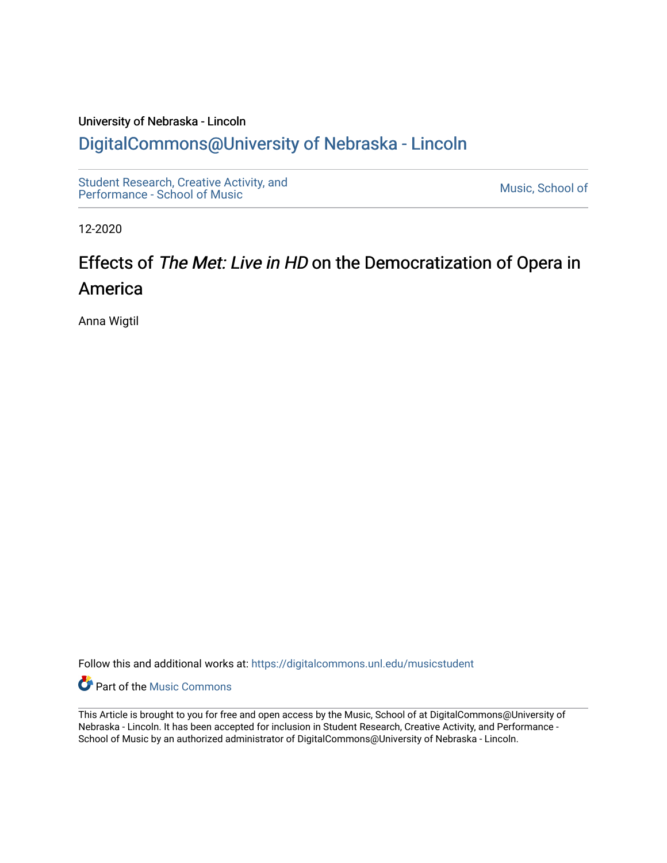## University of Nebraska - Lincoln [DigitalCommons@University of Nebraska - Lincoln](https://digitalcommons.unl.edu/)

[Student Research, Creative Activity, and](https://digitalcommons.unl.edu/musicstudent) Student Research, Creative Activity, and<br>Performance - School of Music

12-2020

# Effects of The Met: Live in HD on the Democratization of Opera in America

Anna Wigtil

Follow this and additional works at: [https://digitalcommons.unl.edu/musicstudent](https://digitalcommons.unl.edu/musicstudent?utm_source=digitalcommons.unl.edu%2Fmusicstudent%2F149&utm_medium=PDF&utm_campaign=PDFCoverPages)

**P** Part of the Music Commons

This Article is brought to you for free and open access by the Music, School of at DigitalCommons@University of Nebraska - Lincoln. It has been accepted for inclusion in Student Research, Creative Activity, and Performance - School of Music by an authorized administrator of DigitalCommons@University of Nebraska - Lincoln.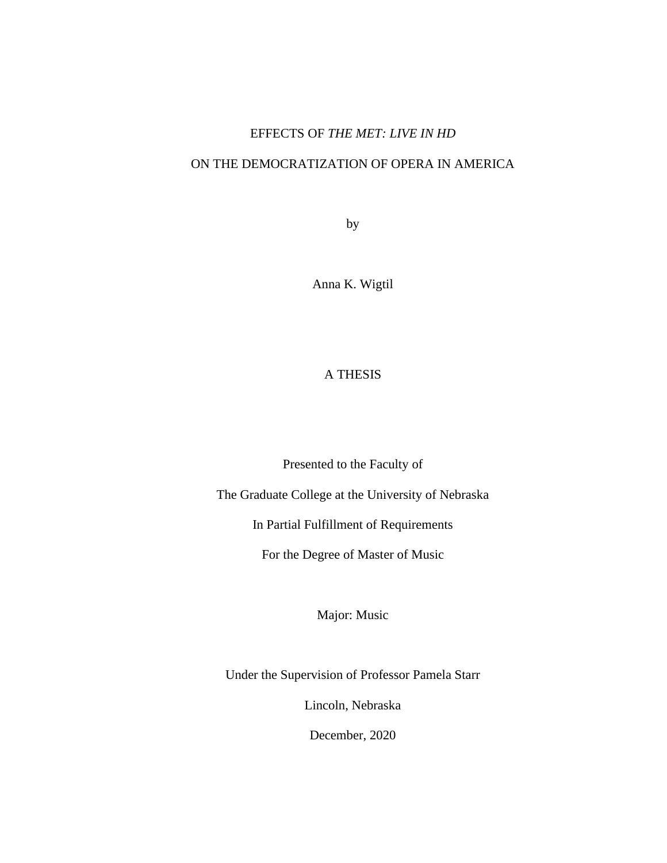### EFFECTS OF *THE MET: LIVE IN HD*

### ON THE DEMOCRATIZATION OF OPERA IN AMERICA

by

Anna K. Wigtil

### A THESIS

Presented to the Faculty of

The Graduate College at the University of Nebraska

In Partial Fulfillment of Requirements

For the Degree of Master of Music

Major: Music

Under the Supervision of Professor Pamela Starr

Lincoln, Nebraska

December, 2020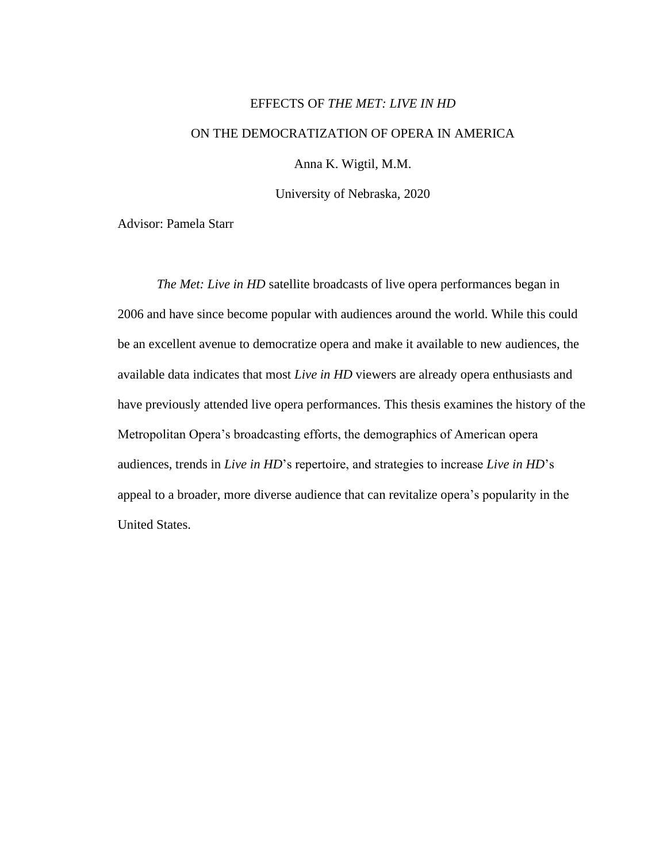# EFFECTS OF *THE MET: LIVE IN HD*  ON THE DEMOCRATIZATION OF OPERA IN AMERICA

Anna K. Wigtil, M.M.

University of Nebraska, 2020

Advisor: Pamela Starr

*The Met: Live in HD* satellite broadcasts of live opera performances began in 2006 and have since become popular with audiences around the world. While this could be an excellent avenue to democratize opera and make it available to new audiences, the available data indicates that most *Live in HD* viewers are already opera enthusiasts and have previously attended live opera performances. This thesis examines the history of the Metropolitan Opera's broadcasting efforts, the demographics of American opera audiences, trends in *Live in HD*'s repertoire, and strategies to increase *Live in HD*'s appeal to a broader, more diverse audience that can revitalize opera's popularity in the United States.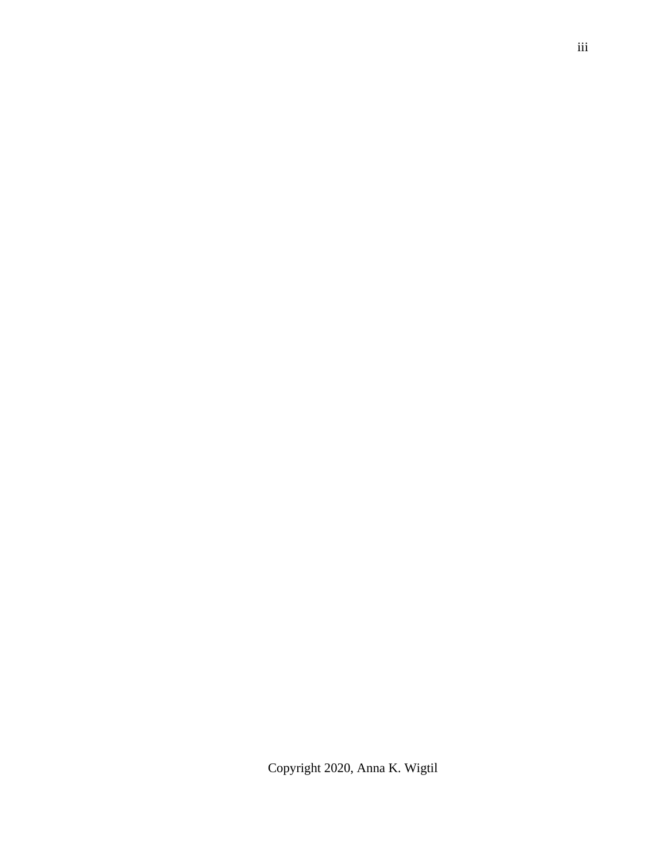Copyright 2020, Anna K. Wigtil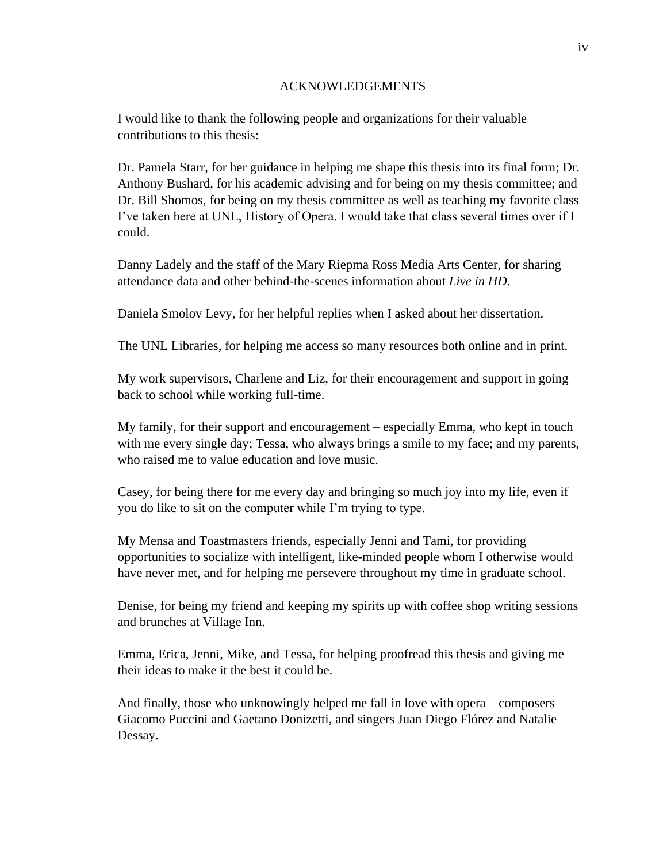#### ACKNOWLEDGEMENTS

I would like to thank the following people and organizations for their valuable contributions to this thesis:

Dr. Pamela Starr, for her guidance in helping me shape this thesis into its final form; Dr. Anthony Bushard, for his academic advising and for being on my thesis committee; and Dr. Bill Shomos, for being on my thesis committee as well as teaching my favorite class I've taken here at UNL, History of Opera. I would take that class several times over if I could.

Danny Ladely and the staff of the Mary Riepma Ross Media Arts Center, for sharing attendance data and other behind-the-scenes information about *Live in HD*.

Daniela Smolov Levy, for her helpful replies when I asked about her dissertation.

The UNL Libraries, for helping me access so many resources both online and in print.

My work supervisors, Charlene and Liz, for their encouragement and support in going back to school while working full-time.

My family, for their support and encouragement – especially Emma, who kept in touch with me every single day; Tessa, who always brings a smile to my face; and my parents, who raised me to value education and love music.

Casey, for being there for me every day and bringing so much joy into my life, even if you do like to sit on the computer while I'm trying to type.

My Mensa and Toastmasters friends, especially Jenni and Tami, for providing opportunities to socialize with intelligent, like-minded people whom I otherwise would have never met, and for helping me persevere throughout my time in graduate school.

Denise, for being my friend and keeping my spirits up with coffee shop writing sessions and brunches at Village Inn.

Emma, Erica, Jenni, Mike, and Tessa, for helping proofread this thesis and giving me their ideas to make it the best it could be.

And finally, those who unknowingly helped me fall in love with opera – composers Giacomo Puccini and Gaetano Donizetti, and singers Juan Diego Flórez and Natalie Dessay.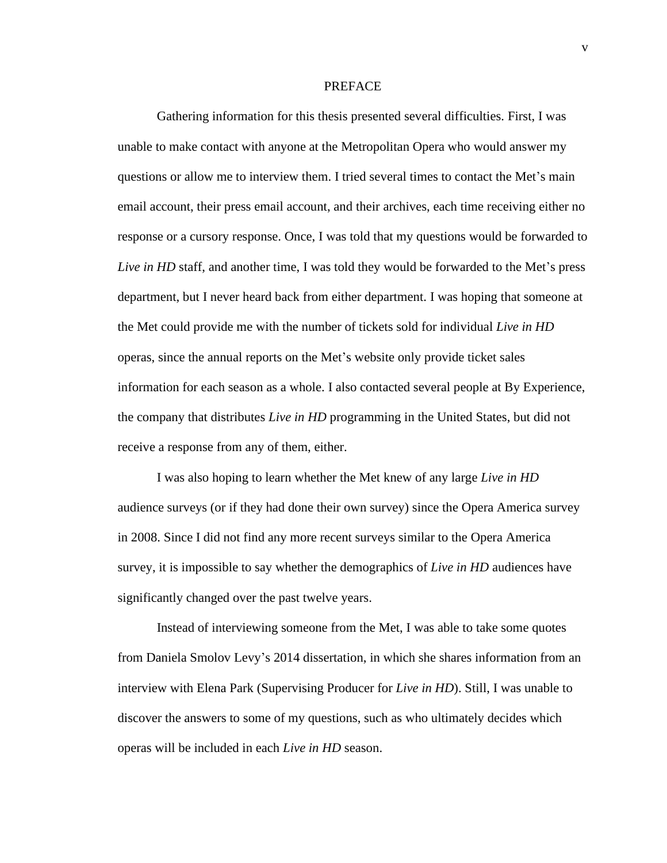#### PREFACE

Gathering information for this thesis presented several difficulties. First, I was unable to make contact with anyone at the Metropolitan Opera who would answer my questions or allow me to interview them. I tried several times to contact the Met's main email account, their press email account, and their archives, each time receiving either no response or a cursory response. Once, I was told that my questions would be forwarded to *Live in HD* staff, and another time, I was told they would be forwarded to the Met's press department, but I never heard back from either department. I was hoping that someone at the Met could provide me with the number of tickets sold for individual *Live in HD* operas, since the annual reports on the Met's website only provide ticket sales information for each season as a whole. I also contacted several people at By Experience, the company that distributes *Live in HD* programming in the United States, but did not receive a response from any of them, either.

I was also hoping to learn whether the Met knew of any large *Live in HD* audience surveys (or if they had done their own survey) since the Opera America survey in 2008. Since I did not find any more recent surveys similar to the Opera America survey, it is impossible to say whether the demographics of *Live in HD* audiences have significantly changed over the past twelve years.

Instead of interviewing someone from the Met, I was able to take some quotes from Daniela Smolov Levy's 2014 dissertation, in which she shares information from an interview with Elena Park (Supervising Producer for *Live in HD*). Still, I was unable to discover the answers to some of my questions, such as who ultimately decides which operas will be included in each *Live in HD* season.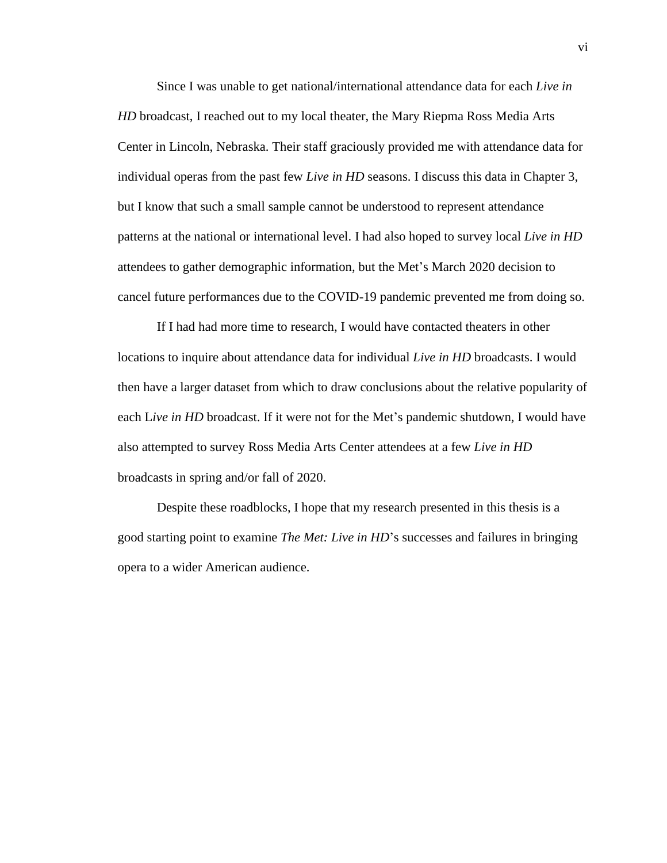Since I was unable to get national/international attendance data for each *Live in HD* broadcast, I reached out to my local theater, the Mary Riepma Ross Media Arts Center in Lincoln, Nebraska. Their staff graciously provided me with attendance data for individual operas from the past few *Live in HD* seasons. I discuss this data in Chapter 3, but I know that such a small sample cannot be understood to represent attendance patterns at the national or international level. I had also hoped to survey local *Live in HD* attendees to gather demographic information, but the Met's March 2020 decision to cancel future performances due to the COVID-19 pandemic prevented me from doing so.

If I had had more time to research, I would have contacted theaters in other locations to inquire about attendance data for individual *Live in HD* broadcasts. I would then have a larger dataset from which to draw conclusions about the relative popularity of each L*ive in HD* broadcast. If it were not for the Met's pandemic shutdown, I would have also attempted to survey Ross Media Arts Center attendees at a few *Live in HD*  broadcasts in spring and/or fall of 2020.

Despite these roadblocks, I hope that my research presented in this thesis is a good starting point to examine *The Met: Live in HD*'s successes and failures in bringing opera to a wider American audience.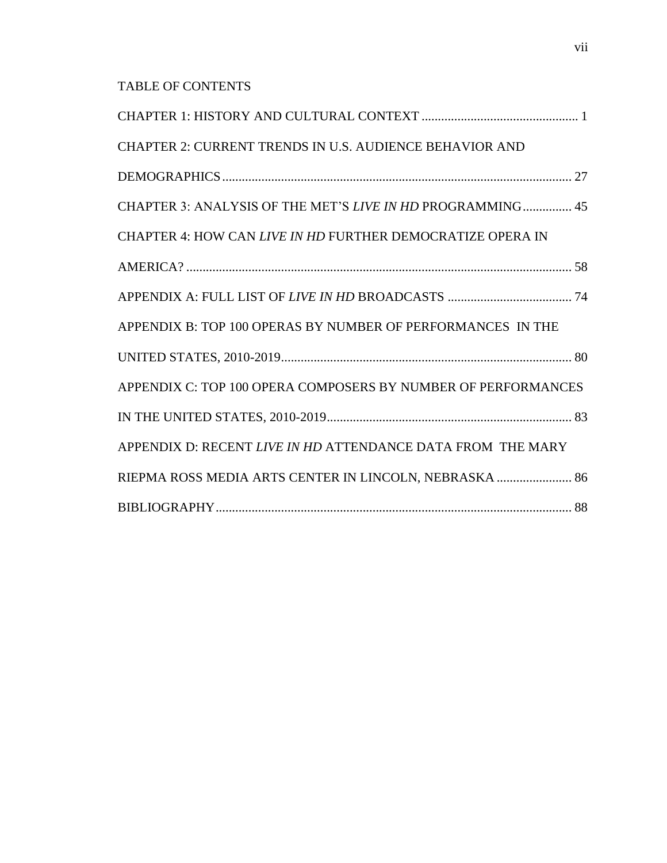## TABLE OF CONTENTS

| CHAPTER 2: CURRENT TRENDS IN U.S. AUDIENCE BEHAVIOR AND       |
|---------------------------------------------------------------|
|                                                               |
| CHAPTER 3: ANALYSIS OF THE MET'S LIVE IN HD PROGRAMMING 45    |
| CHAPTER 4: HOW CAN LIVE IN HD FURTHER DEMOCRATIZE OPERA IN    |
|                                                               |
|                                                               |
| APPENDIX B: TOP 100 OPERAS BY NUMBER OF PERFORMANCES IN THE   |
|                                                               |
| APPENDIX C: TOP 100 OPERA COMPOSERS BY NUMBER OF PERFORMANCES |
|                                                               |
| APPENDIX D: RECENT LIVE IN HD ATTENDANCE DATA FROM THE MARY   |
| RIEPMA ROSS MEDIA ARTS CENTER IN LINCOLN, NEBRASKA  86        |
|                                                               |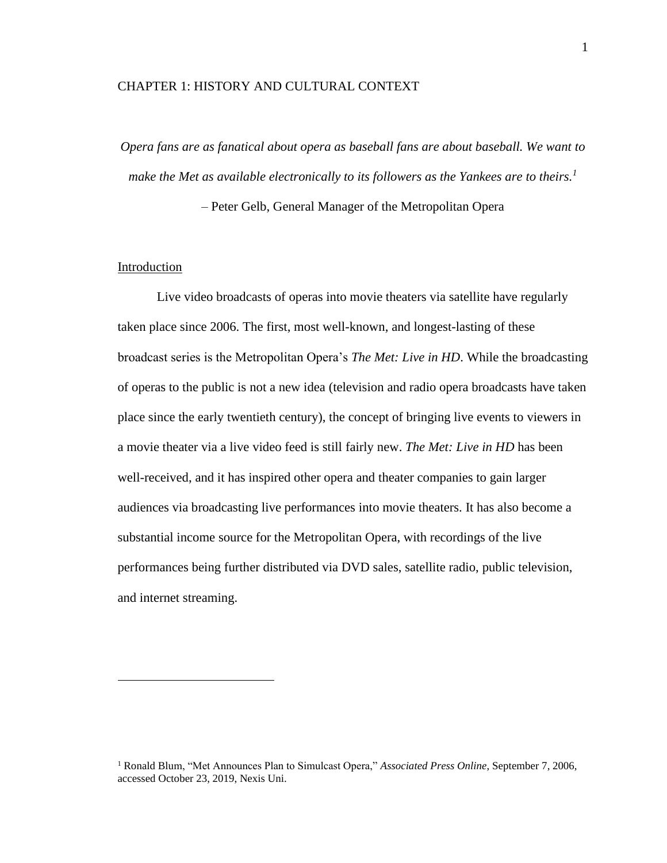#### <span id="page-8-0"></span>CHAPTER 1: HISTORY AND CULTURAL CONTEXT

*Opera fans are as fanatical about opera as baseball fans are about baseball. We want to make the Met as available electronically to its followers as the Yankees are to theirs.<sup>1</sup>*

– Peter Gelb, General Manager of the Metropolitan Opera

#### Introduction

Live video broadcasts of operas into movie theaters via satellite have regularly taken place since 2006. The first, most well-known, and longest-lasting of these broadcast series is the Metropolitan Opera's *The Met: Live in HD*. While the broadcasting of operas to the public is not a new idea (television and radio opera broadcasts have taken place since the early twentieth century), the concept of bringing live events to viewers in a movie theater via a live video feed is still fairly new. *The Met: Live in HD* has been well-received, and it has inspired other opera and theater companies to gain larger audiences via broadcasting live performances into movie theaters. It has also become a substantial income source for the Metropolitan Opera, with recordings of the live performances being further distributed via DVD sales, satellite radio, public television, and internet streaming.

<sup>1</sup> Ronald Blum, "Met Announces Plan to Simulcast Opera," *Associated Press Online*, September 7, 2006, accessed October 23, 2019, Nexis Uni.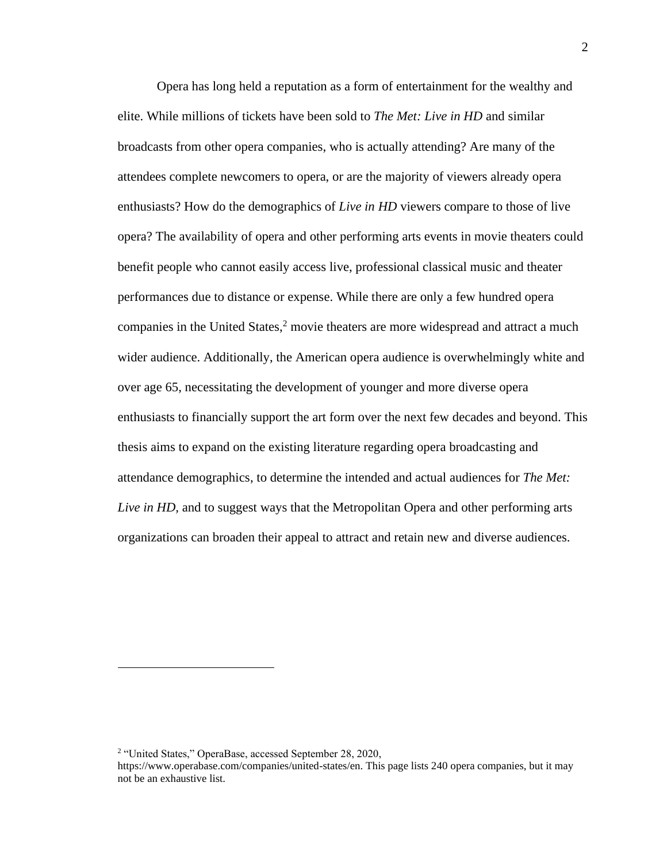Opera has long held a reputation as a form of entertainment for the wealthy and elite. While millions of tickets have been sold to *The Met: Live in HD* and similar broadcasts from other opera companies, who is actually attending? Are many of the attendees complete newcomers to opera, or are the majority of viewers already opera enthusiasts? How do the demographics of *Live in HD* viewers compare to those of live opera? The availability of opera and other performing arts events in movie theaters could benefit people who cannot easily access live, professional classical music and theater performances due to distance or expense. While there are only a few hundred opera companies in the United States, <sup>2</sup> movie theaters are more widespread and attract a much wider audience. Additionally, the American opera audience is overwhelmingly white and over age 65, necessitating the development of younger and more diverse opera enthusiasts to financially support the art form over the next few decades and beyond. This thesis aims to expand on the existing literature regarding opera broadcasting and attendance demographics, to determine the intended and actual audiences for *The Met: Live in HD*, and to suggest ways that the Metropolitan Opera and other performing arts organizations can broaden their appeal to attract and retain new and diverse audiences.

<sup>2</sup> "United States," OperaBase, accessed September 28, 2020, https://www.operabase.com/companies/united-states/en. This page lists 240 opera companies, but it may not be an exhaustive list.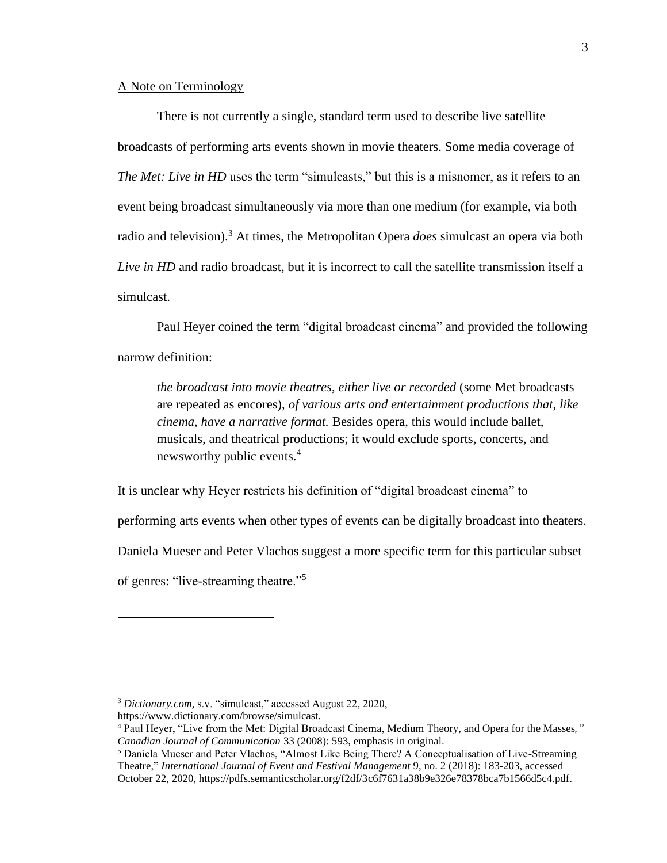#### A Note on Terminology

There is not currently a single, standard term used to describe live satellite broadcasts of performing arts events shown in movie theaters. Some media coverage of *The Met: Live in HD* uses the term "simulcasts," but this is a misnomer, as it refers to an event being broadcast simultaneously via more than one medium (for example, via both radio and television).<sup>3</sup> At times, the Metropolitan Opera *does* simulcast an opera via both *Live in HD* and radio broadcast, but it is incorrect to call the satellite transmission itself a simulcast.

Paul Heyer coined the term "digital broadcast cinema" and provided the following narrow definition:

*the broadcast into movie theatres, either live or recorded* (some Met broadcasts are repeated as encores), *of various arts and entertainment productions that, like cinema, have a narrative format.* Besides opera, this would include ballet, musicals, and theatrical productions; it would exclude sports, concerts, and news worthy public events.<sup>4</sup>

It is unclear why Heyer restricts his definition of "digital broadcast cinema" to

performing arts events when other types of events can be digitally broadcast into theaters.

Daniela Mueser and Peter Vlachos suggest a more specific term for this particular subset

of genres: "live-streaming theatre."<sup>5</sup>

https://www.dictionary.com/browse/simulcast.

<sup>3</sup> *Dictionary.com,* s.v. "simulcast," accessed August 22, 2020,

<sup>4</sup> Paul Heyer, "Live from the Met: Digital Broadcast Cinema, Medium Theory, and Opera for the Masses*," Canadian Journal of Communication* 33 (2008): 593, emphasis in original.

<sup>5</sup> Daniela Mueser and Peter Vlachos, "Almost Like Being There? A Conceptualisation of Live-Streaming Theatre," *International Journal of Event and Festival Management* 9, no. 2 (2018): 183-203, accessed October 22, 2020, https://pdfs.semanticscholar.org/f2df/3c6f7631a38b9e326e78378bca7b1566d5c4.pdf.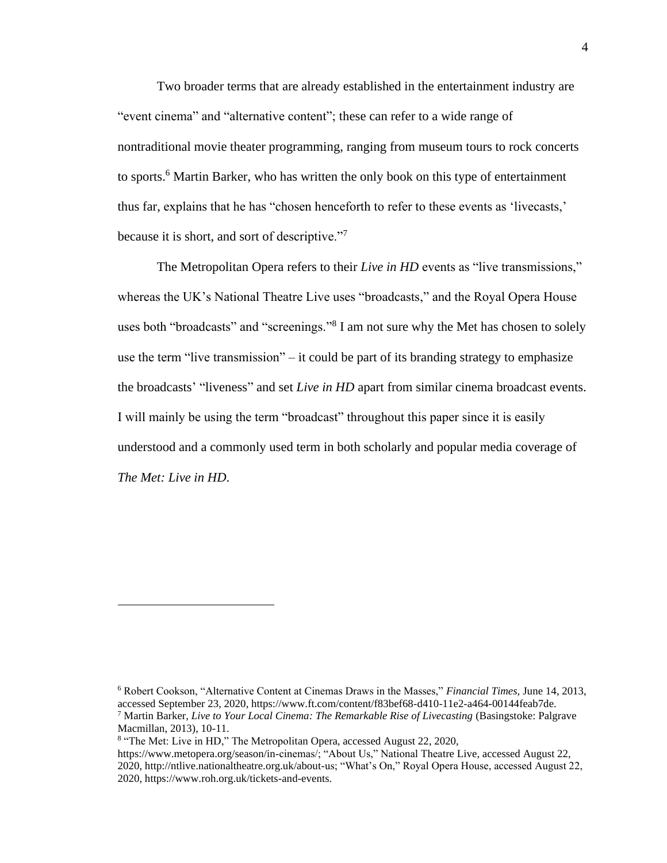Two broader terms that are already established in the entertainment industry are "event cinema" and "alternative content"; these can refer to a wide range of nontraditional movie theater programming, ranging from museum tours to rock concerts to sports.<sup>6</sup> Martin Barker, who has written the only book on this type of entertainment thus far, explains that he has "chosen henceforth to refer to these events as 'livecasts,' because it is short, and sort of descriptive."<sup>7</sup>

The Metropolitan Opera refers to their *Live in HD* events as "live transmissions," whereas the UK's National Theatre Live uses "broadcasts," and the Royal Opera House uses both "broadcasts" and "screenings."<sup>8</sup> I am not sure why the Met has chosen to solely use the term "live transmission" – it could be part of its branding strategy to emphasize the broadcasts' "liveness" and set *Live in HD* apart from similar cinema broadcast events. I will mainly be using the term "broadcast" throughout this paper since it is easily understood and a commonly used term in both scholarly and popular media coverage of *The Met: Live in HD*.

<sup>6</sup> Robert Cookson, "Alternative Content at Cinemas Draws in the Masses," *Financial Times,* June 14, 2013, accessed September 23, 2020, https://www.ft.com/content/f83bef68-d410-11e2-a464-00144feab7de. <sup>7</sup> Martin Barker, *Live to Your Local Cinema: The Remarkable Rise of Livecasting* (Basingstoke: Palgrave

Macmillan, 2013), 10-11.

<sup>&</sup>lt;sup>8</sup> "The Met: Live in HD," The Metropolitan Opera, accessed August 22, 2020,

https://www.metopera.org/season/in-cinemas/; "About Us," National Theatre Live, accessed August 22, 2020, http://ntlive.nationaltheatre.org.uk/about-us; "What's On," Royal Opera House, accessed August 22, 2020, https://www.roh.org.uk/tickets-and-events.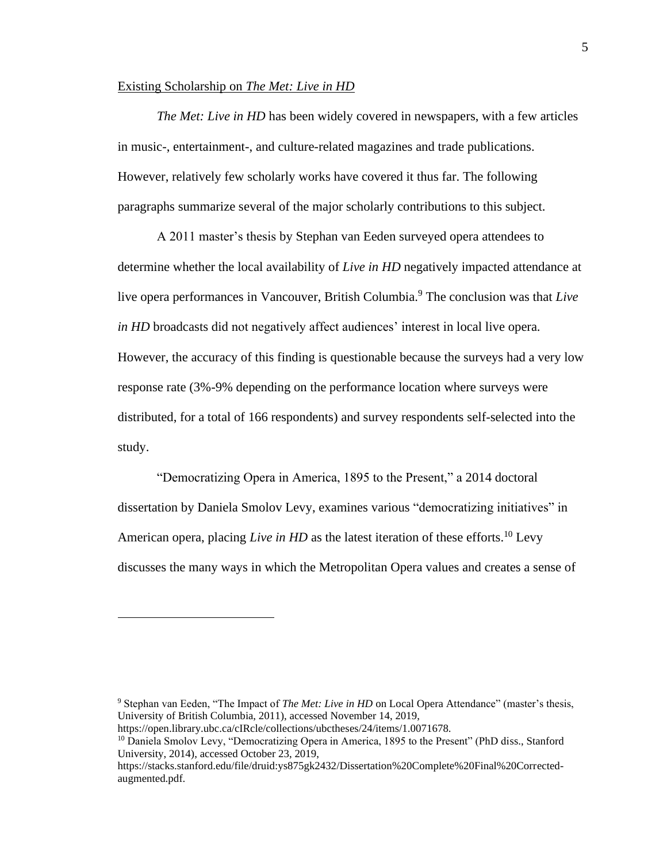#### Existing Scholarship on *The Met: Live in HD*

*The Met: Live in HD* has been widely covered in newspapers, with a few articles in music-, entertainment-, and culture-related magazines and trade publications. However, relatively few scholarly works have covered it thus far. The following paragraphs summarize several of the major scholarly contributions to this subject.

A 2011 master's thesis by Stephan van Eeden surveyed opera attendees to determine whether the local availability of *Live in HD* negatively impacted attendance at live opera performances in Vancouver, British Columbia.<sup>9</sup> The conclusion was that *Live in HD* broadcasts did not negatively affect audiences' interest in local live opera. However, the accuracy of this finding is questionable because the surveys had a very low response rate (3%-9% depending on the performance location where surveys were distributed, for a total of 166 respondents) and survey respondents self-selected into the study.

"Democratizing Opera in America, 1895 to the Present," a 2014 doctoral dissertation by Daniela Smolov Levy, examines various "democratizing initiatives" in American opera, placing *Live in HD* as the latest iteration of these efforts.<sup>10</sup> Levy discusses the many ways in which the Metropolitan Opera values and creates a sense of

<sup>9</sup> Stephan van Eeden, "The Impact of *The Met: Live in HD* on Local Opera Attendance" (master's thesis, University of British Columbia, 2011), accessed November 14, 2019,

https://open.library.ubc.ca/cIRcle/collections/ubctheses/24/items/1.0071678.

<sup>&</sup>lt;sup>10</sup> Daniela Smolov Levy, "Democratizing Opera in America, 1895 to the Present" (PhD diss., Stanford University, 2014), accessed October 23, 2019,

https://stacks.stanford.edu/file/druid:ys875gk2432/Dissertation%20Complete%20Final%20Correctedaugmented.pdf.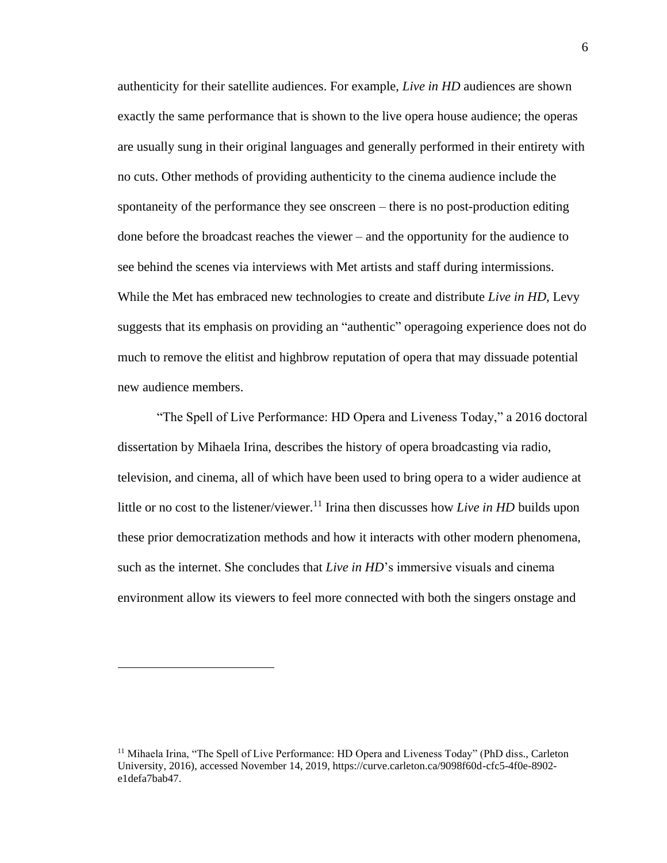authenticity for their satellite audiences. For example, *Live in HD* audiences are shown exactly the same performance that is shown to the live opera house audience; the operas are usually sung in their original languages and generally performed in their entirety with no cuts. Other methods of providing authenticity to the cinema audience include the spontaneity of the performance they see onscreen – there is no post-production editing done before the broadcast reaches the viewer – and the opportunity for the audience to see behind the scenes via interviews with Met artists and staff during intermissions. While the Met has embraced new technologies to create and distribute *Live in HD*, Levy suggests that its emphasis on providing an "authentic" operagoing experience does not do much to remove the elitist and highbrow reputation of opera that may dissuade potential new audience members.

"The Spell of Live Performance: HD Opera and Liveness Today," a 2016 doctoral dissertation by Mihaela Irina, describes the history of opera broadcasting via radio, television, and cinema, all of which have been used to bring opera to a wider audience at little or no cost to the listener/viewer.<sup>11</sup> Irina then discusses how *Live in HD* builds upon these prior democratization methods and how it interacts with other modern phenomena, such as the internet. She concludes that *Live in HD*'s immersive visuals and cinema environment allow its viewers to feel more connected with both the singers onstage and

<sup>&</sup>lt;sup>11</sup> Mihaela Irina, "The Spell of Live Performance: HD Opera and Liveness Today" (PhD diss., Carleton University, 2016), accessed November 14, 2019, https://curve.carleton.ca/9098f60d-cfc5-4f0e-8902 e1defa7bab47.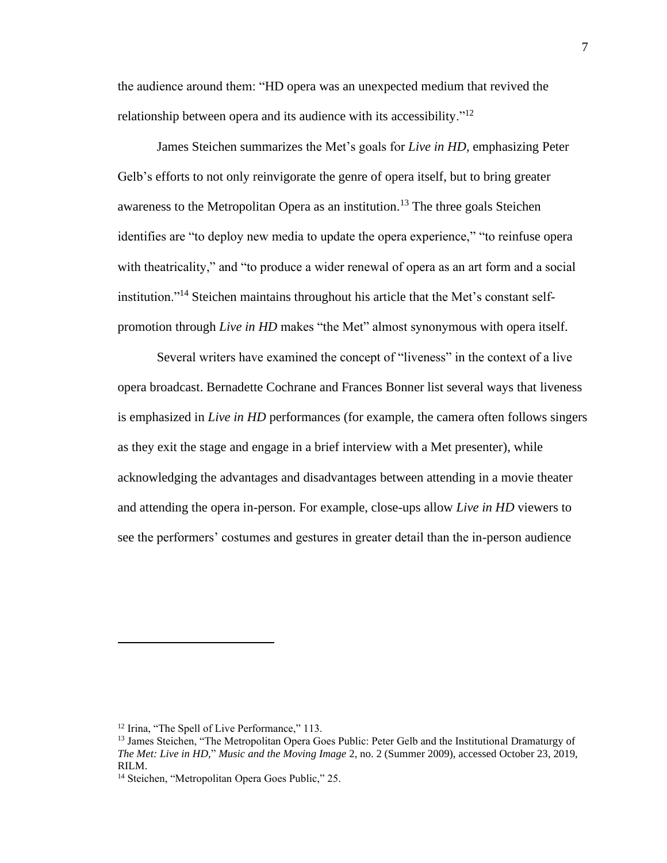the audience around them: "HD opera was an unexpected medium that revived the relationship between opera and its audience with its accessibility."<sup>12</sup>

James Steichen summarizes the Met's goals for *Live in HD,* emphasizing Peter Gelb's efforts to not only reinvigorate the genre of opera itself, but to bring greater awareness to the Metropolitan Opera as an institution.<sup>13</sup> The three goals Steichen identifies are "to deploy new media to update the opera experience," "to reinfuse opera with theatricality," and "to produce a wider renewal of opera as an art form and a social institution."<sup>14</sup> Steichen maintains throughout his article that the Met's constant selfpromotion through *Live in HD* makes "the Met" almost synonymous with opera itself.

Several writers have examined the concept of "liveness" in the context of a live opera broadcast. Bernadette Cochrane and Frances Bonner list several ways that liveness is emphasized in *Live in HD* performances (for example, the camera often follows singers as they exit the stage and engage in a brief interview with a Met presenter), while acknowledging the advantages and disadvantages between attending in a movie theater and attending the opera in-person. For example, close-ups allow *Live in HD* viewers to see the performers' costumes and gestures in greater detail than the in-person audience

<sup>&</sup>lt;sup>12</sup> Irina, "The Spell of Live Performance," 113.

<sup>&</sup>lt;sup>13</sup> James Steichen, "The Metropolitan Opera Goes Public: Peter Gelb and the Institutional Dramaturgy of *The Met: Live in HD,*" *Music and the Moving Image* 2, no. 2 (Summer 2009), accessed October 23, 2019, RILM.

<sup>&</sup>lt;sup>14</sup> Steichen, "Metropolitan Opera Goes Public," 25.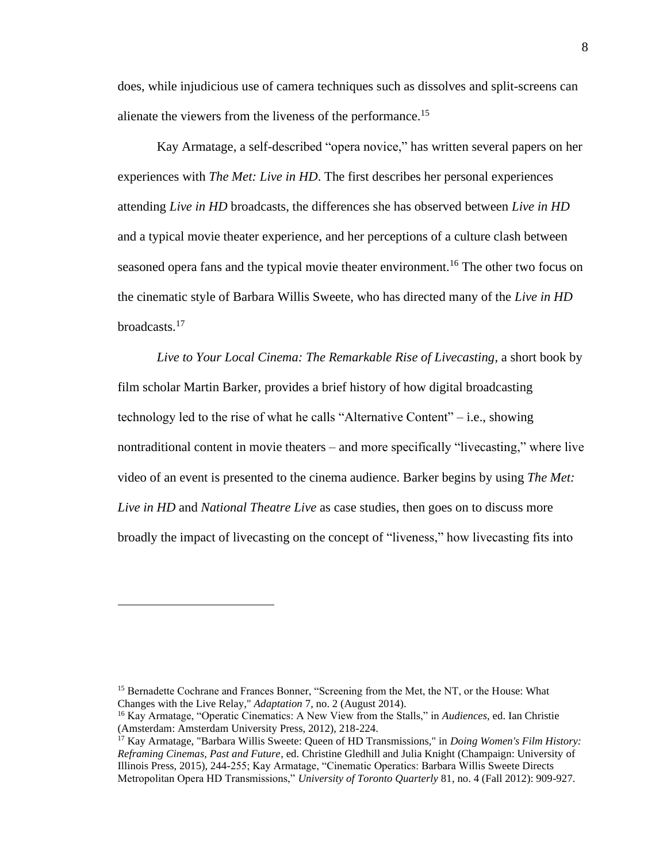does, while injudicious use of camera techniques such as dissolves and split-screens can alienate the viewers from the liveness of the performance.<sup>15</sup>

Kay Armatage, a self-described "opera novice," has written several papers on her experiences with *The Met: Live in HD*. The first describes her personal experiences attending *Live in HD* broadcasts, the differences she has observed between *Live in HD* and a typical movie theater experience, and her perceptions of a culture clash between seasoned opera fans and the typical movie theater environment.<sup>16</sup> The other two focus on the cinematic style of Barbara Willis Sweete, who has directed many of the *Live in HD* broadcasts.<sup>17</sup>

*Live to Your Local Cinema: The Remarkable Rise of Livecasting,* a short book by film scholar Martin Barker, provides a brief history of how digital broadcasting technology led to the rise of what he calls "Alternative Content" – i.e., showing nontraditional content in movie theaters – and more specifically "livecasting," where live video of an event is presented to the cinema audience. Barker begins by using *The Met: Live in HD* and *National Theatre Live* as case studies, then goes on to discuss more broadly the impact of livecasting on the concept of "liveness," how livecasting fits into

<sup>&</sup>lt;sup>15</sup> Bernadette Cochrane and Frances Bonner, "Screening from the Met, the NT, or the House: What Changes with the Live Relay," *Adaptation* 7, no. 2 (August 2014).

<sup>16</sup> Kay Armatage, "Operatic Cinematics: A New View from the Stalls," in *Audiences*, ed. Ian Christie (Amsterdam: Amsterdam University Press, 2012), 218-224.

<sup>17</sup> Kay Armatage, "Barbara Willis Sweete: Queen of HD Transmissions," in *Doing Women's Film History: Reframing Cinemas, Past and Future*, ed. Christine Gledhill and Julia Knight (Champaign: University of Illinois Press, 2015), 244-255; Kay Armatage, "Cinematic Operatics: Barbara Willis Sweete Directs Metropolitan Opera HD Transmissions," *University of Toronto Quarterly* 81, no. 4 (Fall 2012): 909-927.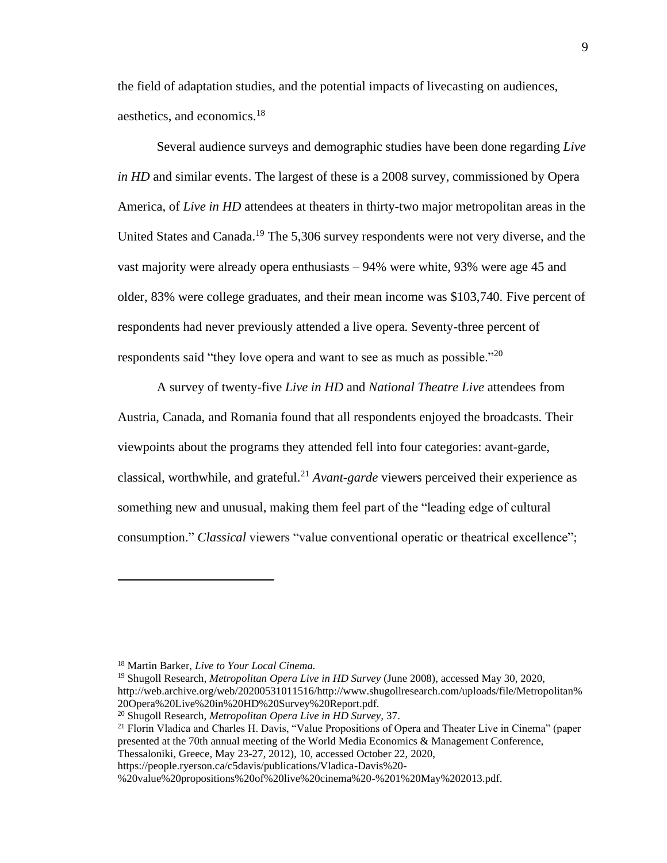the field of adaptation studies, and the potential impacts of livecasting on audiences, aesthetics, and economics.<sup>18</sup>

Several audience surveys and demographic studies have been done regarding *Live in HD* and similar events. The largest of these is a 2008 survey, commissioned by Opera America, of *Live in HD* attendees at theaters in thirty-two major metropolitan areas in the United States and Canada.<sup>19</sup> The 5,306 survey respondents were not very diverse, and the vast majority were already opera enthusiasts – 94% were white, 93% were age 45 and older, 83% were college graduates, and their mean income was \$103,740. Five percent of respondents had never previously attended a live opera. Seventy-three percent of respondents said "they love opera and want to see as much as possible."<sup>20</sup>

A survey of twenty-five *Live in HD* and *National Theatre Live* attendees from Austria, Canada, and Romania found that all respondents enjoyed the broadcasts. Their viewpoints about the programs they attended fell into four categories: avant-garde, classical, worthwhile, and grateful. <sup>21</sup> *Avant-garde* viewers perceived their experience as something new and unusual, making them feel part of the "leading edge of cultural consumption." *Classical* viewers "value conventional operatic or theatrical excellence";

<sup>18</sup> Martin Barker, *Live to Your Local Cinema.*

<sup>19</sup> Shugoll Research, *Metropolitan Opera Live in HD Survey* (June 2008), accessed May 30, 2020, http://web.archive.org/web/20200531011516/http://www.shugollresearch.com/uploads/file/Metropolitan% 20Opera%20Live%20in%20HD%20Survey%20Report.pdf.

<sup>20</sup> Shugoll Research, *Metropolitan Opera Live in HD Survey,* 37.

<sup>&</sup>lt;sup>21</sup> Florin Vladica and Charles H. Davis, "Value Propositions of Opera and Theater Live in Cinema" (paper presented at the 70th annual meeting of the World Media Economics & Management Conference, Thessaloniki, Greece, May 23-27, 2012), 10, accessed October 22, 2020,

https://people.ryerson.ca/c5davis/publications/Vladica-Davis%20-

<sup>%20</sup>value%20propositions%20of%20live%20cinema%20-%201%20May%202013.pdf.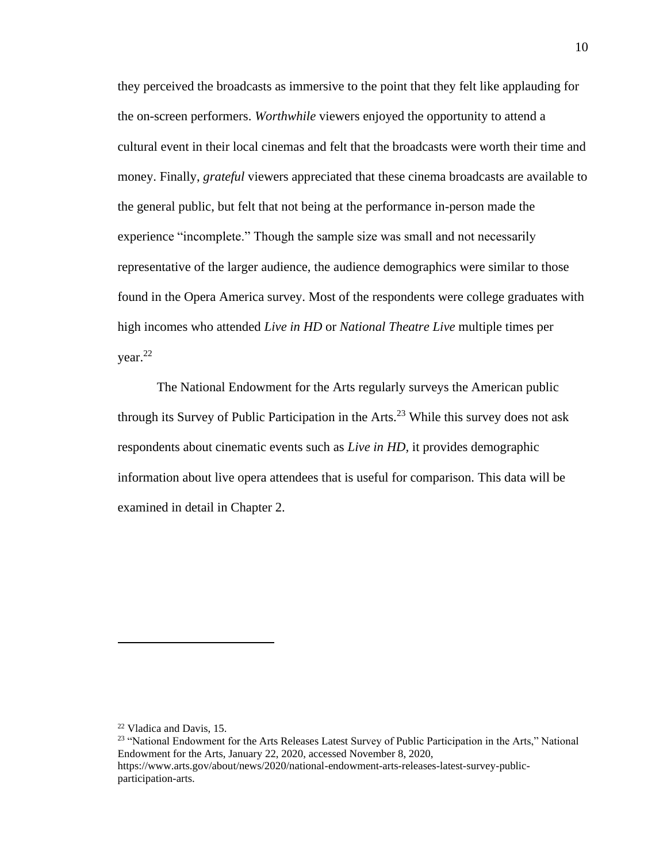they perceived the broadcasts as immersive to the point that they felt like applauding for the on-screen performers. *Worthwhile* viewers enjoyed the opportunity to attend a cultural event in their local cinemas and felt that the broadcasts were worth their time and money. Finally, *grateful* viewers appreciated that these cinema broadcasts are available to the general public, but felt that not being at the performance in-person made the experience "incomplete." Though the sample size was small and not necessarily representative of the larger audience, the audience demographics were similar to those found in the Opera America survey. Most of the respondents were college graduates with high incomes who attended *Live in HD* or *National Theatre Live* multiple times per year.<sup>22</sup>

The National Endowment for the Arts regularly surveys the American public through its Survey of Public Participation in the Arts.<sup>23</sup> While this survey does not ask respondents about cinematic events such as *Live in HD,* it provides demographic information about live opera attendees that is useful for comparison. This data will be examined in detail in Chapter 2.

<sup>22</sup> Vladica and Davis, 15.

<sup>&</sup>lt;sup>23</sup> "National Endowment for the Arts Releases Latest Survey of Public Participation in the Arts," National Endowment for the Arts, January 22, 2020, accessed November 8, 2020, https://www.arts.gov/about/news/2020/national-endowment-arts-releases-latest-survey-publicparticipation-arts.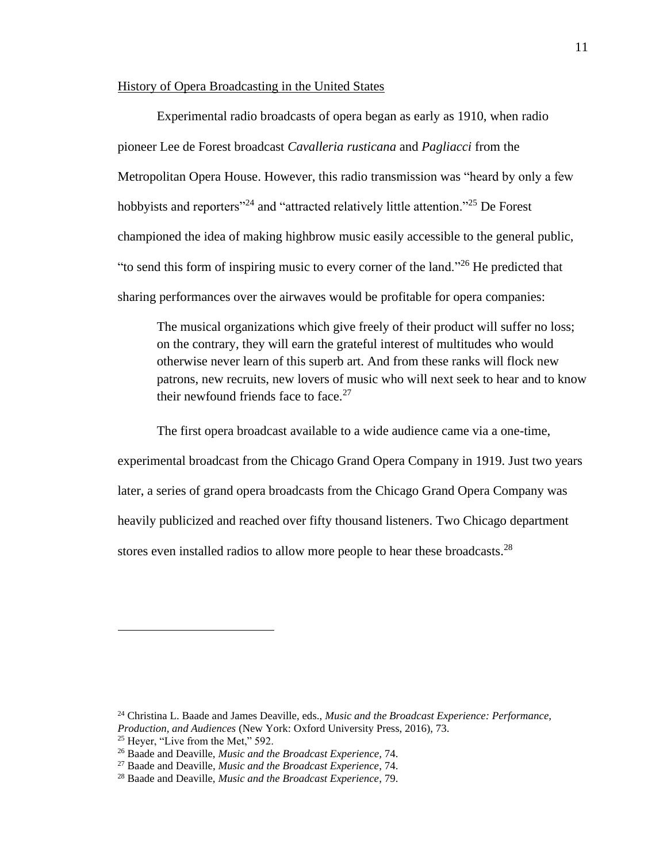#### History of Opera Broadcasting in the United States

Experimental radio broadcasts of opera began as early as 1910, when radio pioneer Lee de Forest broadcast *Cavalleria rusticana* and *Pagliacci* from the Metropolitan Opera House. However, this radio transmission was "heard by only a few hobbyists and reporters<sup>"24</sup> and "attracted relatively little attention."<sup>25</sup> De Forest championed the idea of making highbrow music easily accessible to the general public, "to send this form of inspiring music to every corner of the land."<sup>26</sup> He predicted that sharing performances over the airwaves would be profitable for opera companies:

The musical organizations which give freely of their product will suffer no loss; on the contrary, they will earn the grateful interest of multitudes who would otherwise never learn of this superb art. And from these ranks will flock new patrons, new recruits, new lovers of music who will next seek to hear and to know their newfound friends face to face. $27$ 

The first opera broadcast available to a wide audience came via a one-time, experimental broadcast from the Chicago Grand Opera Company in 1919. Just two years later, a series of grand opera broadcasts from the Chicago Grand Opera Company was heavily publicized and reached over fifty thousand listeners. Two Chicago department stores even installed radios to allow more people to hear these broadcasts.<sup>28</sup>

<sup>24</sup> Christina L. Baade and James Deaville, eds., *Music and the Broadcast Experience: Performance, Production, and Audiences* (New York: Oxford University Press, 2016), 73.

<sup>&</sup>lt;sup>25</sup> Heyer, "Live from the Met," 592.

<sup>26</sup> Baade and Deaville, *Music and the Broadcast Experience,* 74.

<sup>27</sup> Baade and Deaville, *Music and the Broadcast Experience*, 74.

<sup>28</sup> Baade and Deaville, *Music and the Broadcast Experience*, 79.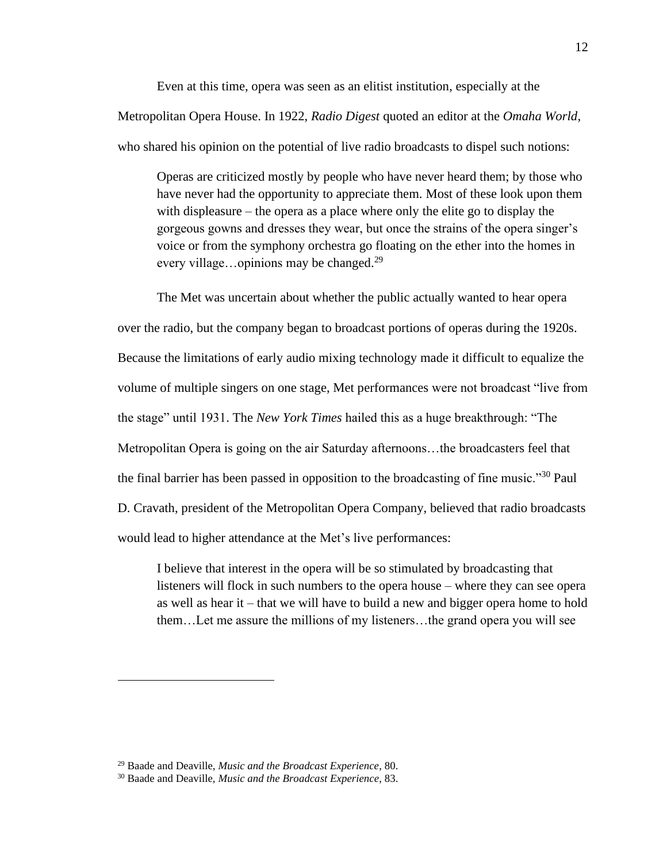Even at this time, opera was seen as an elitist institution, especially at the Metropolitan Opera House. In 1922, *Radio Digest* quoted an editor at the *Omaha World,* who shared his opinion on the potential of live radio broadcasts to dispel such notions:

Operas are criticized mostly by people who have never heard them; by those who have never had the opportunity to appreciate them. Most of these look upon them with displeasure – the opera as a place where only the elite go to display the gorgeous gowns and dresses they wear, but once the strains of the opera singer's voice or from the symphony orchestra go floating on the ether into the homes in every village...opinions may be changed.<sup>29</sup>

The Met was uncertain about whether the public actually wanted to hear opera over the radio, but the company began to broadcast portions of operas during the 1920s. Because the limitations of early audio mixing technology made it difficult to equalize the volume of multiple singers on one stage, Met performances were not broadcast "live from the stage" until 1931. The *New York Times* hailed this as a huge breakthrough: "The Metropolitan Opera is going on the air Saturday afternoons…the broadcasters feel that the final barrier has been passed in opposition to the broadcasting of fine music."<sup>30</sup> Paul D. Cravath, president of the Metropolitan Opera Company, believed that radio broadcasts would lead to higher attendance at the Met's live performances:

I believe that interest in the opera will be so stimulated by broadcasting that listeners will flock in such numbers to the opera house – where they can see opera as well as hear it – that we will have to build a new and bigger opera home to hold them…Let me assure the millions of my listeners…the grand opera you will see

<sup>29</sup> Baade and Deaville, *Music and the Broadcast Experience*, 80.

<sup>30</sup> Baade and Deaville, *Music and the Broadcast Experience*, 83.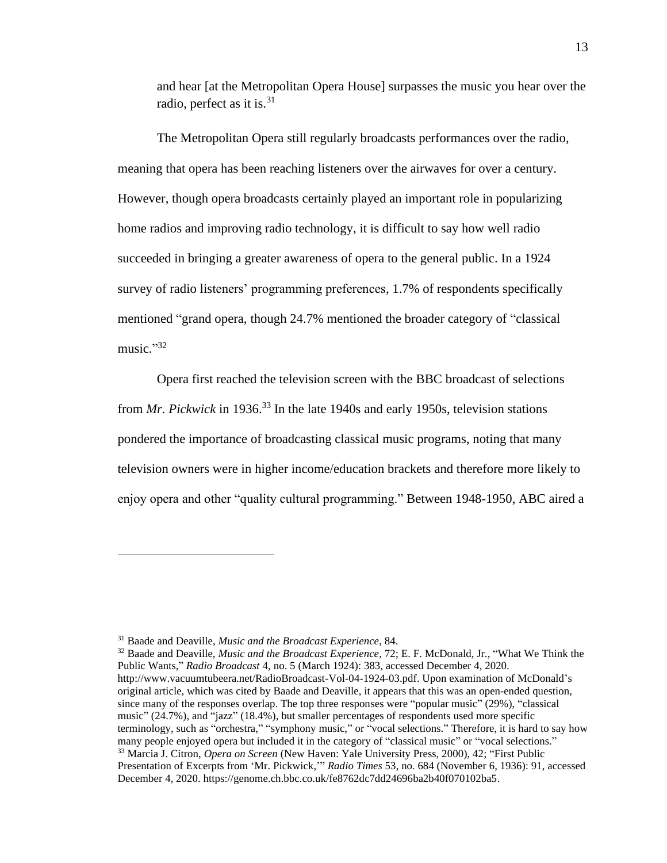and hear [at the Metropolitan Opera House] surpasses the music you hear over the radio, perfect as it is. $31$ 

The Metropolitan Opera still regularly broadcasts performances over the radio, meaning that opera has been reaching listeners over the airwaves for over a century. However, though opera broadcasts certainly played an important role in popularizing home radios and improving radio technology, it is difficult to say how well radio succeeded in bringing a greater awareness of opera to the general public. In a 1924 survey of radio listeners' programming preferences, 1.7% of respondents specifically mentioned "grand opera, though 24.7% mentioned the broader category of "classical music." 32

Opera first reached the television screen with the BBC broadcast of selections from *Mr. Pickwick* in 1936. <sup>33</sup> In the late 1940s and early 1950s, television stations pondered the importance of broadcasting classical music programs, noting that many television owners were in higher income/education brackets and therefore more likely to enjoy opera and other "quality cultural programming." Between 1948-1950, ABC aired a

<sup>31</sup> Baade and Deaville, *Music and the Broadcast Experience*, 84.

<sup>32</sup> Baade and Deaville, *Music and the Broadcast Experience*, 72; E. F. McDonald, Jr., "What We Think the Public Wants," *Radio Broadcast* 4, no. 5 (March 1924): 383, accessed December 4, 2020. http://www.vacuumtubeera.net/RadioBroadcast-Vol-04-1924-03.pdf. Upon examination of McDonald's original article, which was cited by Baade and Deaville, it appears that this was an open-ended question, since many of the responses overlap. The top three responses were "popular music" (29%), "classical music" (24.7%), and "jazz" (18.4%), but smaller percentages of respondents used more specific terminology, such as "orchestra," "symphony music," or "vocal selections." Therefore, it is hard to say how many people enjoyed opera but included it in the category of "classical music" or "vocal selections." <sup>33</sup> Marcia J. Citron, *Opera on Screen* (New Haven: Yale University Press, 2000), 42; "First Public Presentation of Excerpts from 'Mr. Pickwick,'" *Radio Times* 53, no. 684 (November 6, 1936): 91, accessed December 4, 2020. https://genome.ch.bbc.co.uk/fe8762dc7dd24696ba2b40f070102ba5.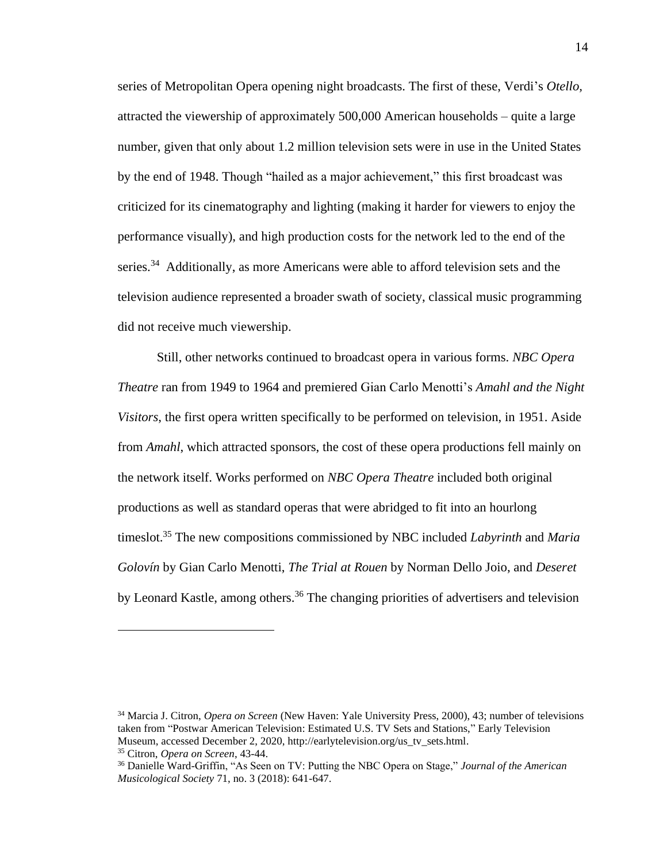series of Metropolitan Opera opening night broadcasts. The first of these, Verdi's *Otello,* attracted the viewership of approximately 500,000 American households – quite a large number, given that only about 1.2 million television sets were in use in the United States by the end of 1948. Though "hailed as a major achievement," this first broadcast was criticized for its cinematography and lighting (making it harder for viewers to enjoy the performance visually), and high production costs for the network led to the end of the series.<sup>34</sup> Additionally, as more Americans were able to afford television sets and the television audience represented a broader swath of society, classical music programming did not receive much viewership.

Still, other networks continued to broadcast opera in various forms. *NBC Opera Theatre* ran from 1949 to 1964 and premiered Gian Carlo Menotti's *Amahl and the Night Visitors*, the first opera written specifically to be performed on television, in 1951. Aside from *Amahl*, which attracted sponsors, the cost of these opera productions fell mainly on the network itself. Works performed on *NBC Opera Theatre* included both original productions as well as standard operas that were abridged to fit into an hourlong timeslot. <sup>35</sup> The new compositions commissioned by NBC included *Labyrinth* and *Maria Golovín* by Gian Carlo Menotti, *The Trial at Rouen* by Norman Dello Joio, and *Deseret* by Leonard Kastle, among others.<sup>36</sup> The changing priorities of advertisers and television

<sup>34</sup> Marcia J. Citron, *Opera on Screen* (New Haven: Yale University Press, 2000), 43; number of televisions taken from "Postwar American Television: Estimated U.S. TV Sets and Stations," Early Television Museum, accessed December 2, 2020, http://earlytelevision.org/us\_tv\_sets.html. <sup>35</sup> Citron, *Opera on Screen*, 43-44.

<sup>36</sup> Danielle Ward-Griffin, "As Seen on TV: Putting the NBC Opera on Stage," *Journal of the American Musicological Society* 71, no. 3 (2018): 641-647.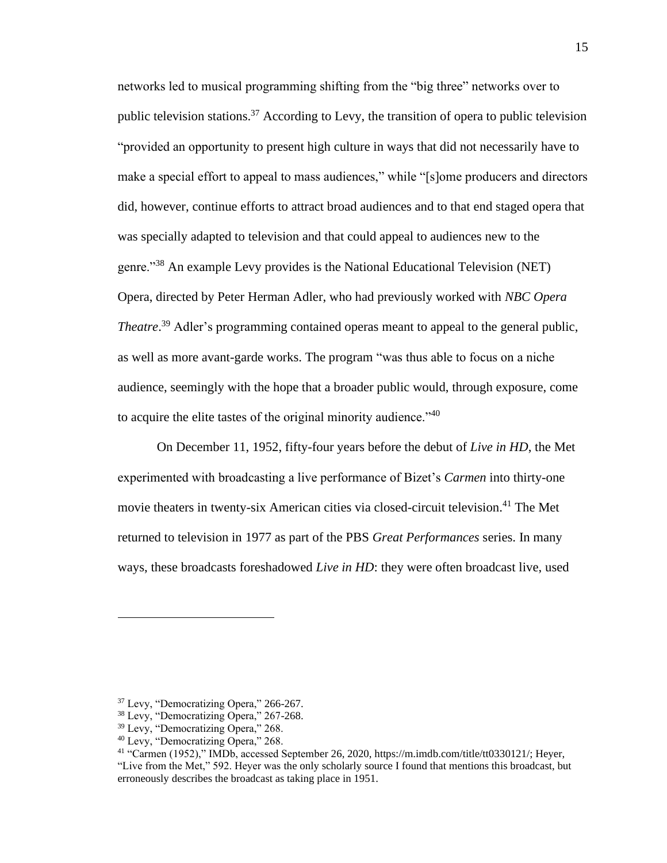networks led to musical programming shifting from the "big three" networks over to public television stations.<sup>37</sup> According to Levy, the transition of opera to public television "provided an opportunity to present high culture in ways that did not necessarily have to make a special effort to appeal to mass audiences," while "[s]ome producers and directors did, however, continue efforts to attract broad audiences and to that end staged opera that was specially adapted to television and that could appeal to audiences new to the genre."<sup>38</sup> An example Levy provides is the National Educational Television (NET) Opera, directed by Peter Herman Adler, who had previously worked with *NBC Opera Theatre*. <sup>39</sup> Adler's programming contained operas meant to appeal to the general public, as well as more avant-garde works. The program "was thus able to focus on a niche audience, seemingly with the hope that a broader public would, through exposure, come to acquire the elite tastes of the original minority audience.<sup> $140$ </sup>

On December 11, 1952, fifty-four years before the debut of *Live in HD*, the Met experimented with broadcasting a live performance of Bizet's *Carmen* into thirty-one movie theaters in twenty-six American cities via closed-circuit television.<sup>41</sup> The Met returned to television in 1977 as part of the PBS *Great Performances* series. In many ways, these broadcasts foreshadowed *Live in HD*: they were often broadcast live, used

<sup>37</sup> Levy, "Democratizing Opera," 266-267.

<sup>38</sup> Levy, "Democratizing Opera," 267-268.

<sup>&</sup>lt;sup>39</sup> Levy, "Democratizing Opera," 268.

<sup>40</sup> Levy, "Democratizing Opera," 268.

<sup>41</sup> "Carmen (1952)," IMDb, accessed September 26, 2020, https://m.imdb.com/title/tt0330121/; Heyer, "Live from the Met," 592. Heyer was the only scholarly source I found that mentions this broadcast, but erroneously describes the broadcast as taking place in 1951.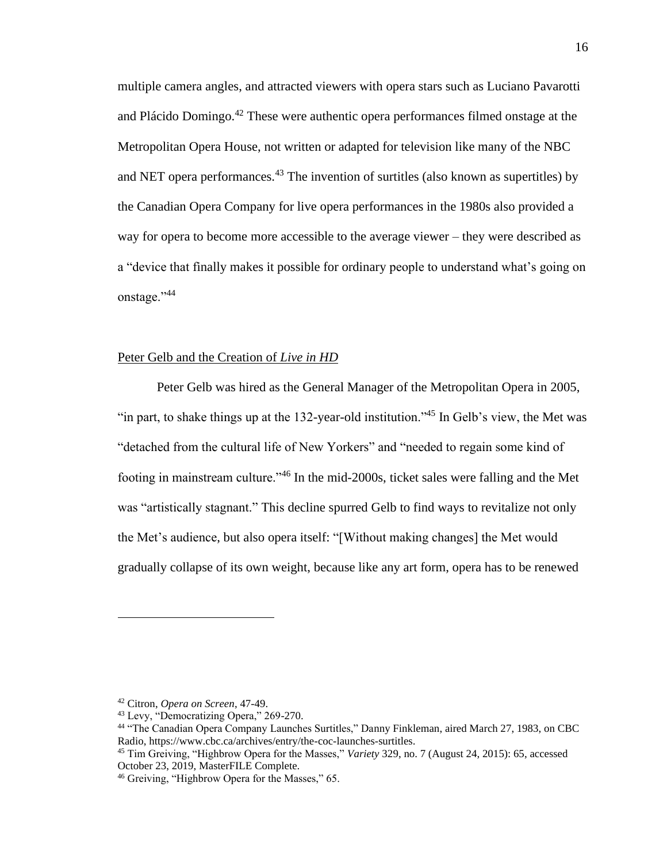multiple camera angles, and attracted viewers with opera stars such as Luciano Pavarotti and Plácido Domingo.<sup>42</sup> These were authentic opera performances filmed onstage at the Metropolitan Opera House, not written or adapted for television like many of the NBC and NET opera performances.<sup>43</sup> The invention of surtitles (also known as supertitles) by the Canadian Opera Company for live opera performances in the 1980s also provided a way for opera to become more accessible to the average viewer – they were described as a "device that finally makes it possible for ordinary people to understand what's going on onstage."<sup>44</sup>

#### Peter Gelb and the Creation of *Live in HD*

Peter Gelb was hired as the General Manager of the Metropolitan Opera in 2005, "in part, to shake things up at the 132-year-old institution."<sup>45</sup> In Gelb's view, the Met was "detached from the cultural life of New Yorkers" and "needed to regain some kind of footing in mainstream culture."<sup>46</sup> In the mid-2000s, ticket sales were falling and the Met was "artistically stagnant." This decline spurred Gelb to find ways to revitalize not only the Met's audience, but also opera itself: "[Without making changes] the Met would gradually collapse of its own weight, because like any art form, opera has to be renewed

<sup>42</sup> Citron, *Opera on Screen*, 47-49.

<sup>43</sup> Levy, "Democratizing Opera," 269-270.

<sup>44</sup> "The Canadian Opera Company Launches Surtitles," Danny Finkleman, aired March 27, 1983, on CBC Radio, https://www.cbc.ca/archives/entry/the-coc-launches-surtitles.

<sup>45</sup> Tim Greiving, "Highbrow Opera for the Masses," *Variety* 329, no. 7 (August 24, 2015): 65, accessed October 23, 2019, MasterFILE Complete.

<sup>&</sup>lt;sup>46</sup> Greiving, "Highbrow Opera for the Masses," 65.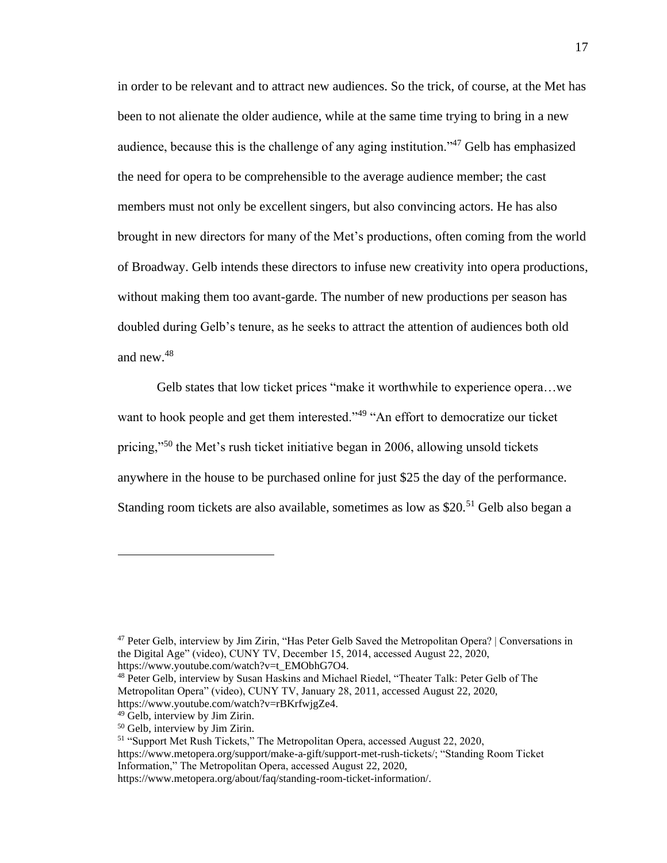in order to be relevant and to attract new audiences. So the trick, of course, at the Met has been to not alienate the older audience, while at the same time trying to bring in a new audience, because this is the challenge of any aging institution."<sup>47</sup> Gelb has emphasized the need for opera to be comprehensible to the average audience member; the cast members must not only be excellent singers, but also convincing actors. He has also brought in new directors for many of the Met's productions, often coming from the world of Broadway. Gelb intends these directors to infuse new creativity into opera productions, without making them too avant-garde. The number of new productions per season has doubled during Gelb's tenure, as he seeks to attract the attention of audiences both old and new.<sup>48</sup>

Gelb states that low ticket prices "make it worthwhile to experience opera…we want to hook people and get them interested."<sup>49</sup> "An effort to democratize our ticket pricing,"<sup>50</sup> the Met's rush ticket initiative began in 2006, allowing unsold tickets anywhere in the house to be purchased online for just \$25 the day of the performance. Standing room tickets are also available, sometimes as low as  $$20<sup>51</sup>$  Gelb also began a

<sup>47</sup> Peter Gelb, interview by Jim Zirin, "Has Peter Gelb Saved the Metropolitan Opera? | Conversations in the Digital Age" (video), CUNY TV, December 15, 2014, accessed August 22, 2020, https://www.youtube.com/watch?v=t\_EMObhG7O4.

<sup>&</sup>lt;sup>48</sup> Peter Gelb, interview by Susan Haskins and Michael Riedel, "Theater Talk: Peter Gelb of The Metropolitan Opera" (video), CUNY TV, January 28, 2011, accessed August 22, 2020, https://www.youtube.com/watch?v=rBKrfwjgZe4.

<sup>49</sup> Gelb, interview by Jim Zirin.

<sup>50</sup> Gelb, interview by Jim Zirin.

<sup>51</sup> "Support Met Rush Tickets," The Metropolitan Opera, accessed August 22, 2020, https://www.metopera.org/support/make-a-gift/support-met-rush-tickets/; "Standing Room Ticket Information," The Metropolitan Opera, accessed August 22, 2020, https://www.metopera.org/about/faq/standing-room-ticket-information/.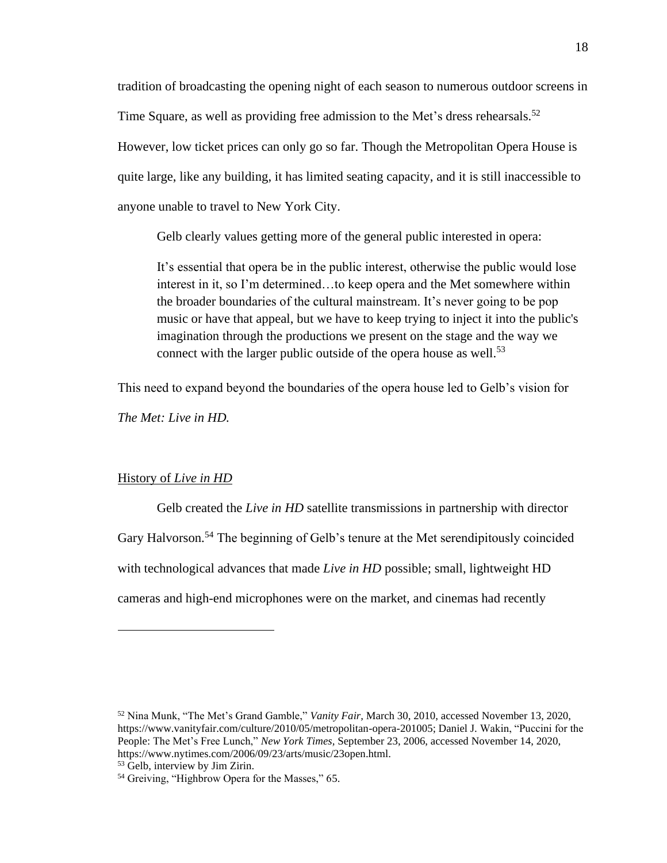tradition of broadcasting the opening night of each season to numerous outdoor screens in Time Square, as well as providing free admission to the Met's dress rehearsals.<sup>52</sup> However, low ticket prices can only go so far. Though the Metropolitan Opera House is quite large, like any building, it has limited seating capacity, and it is still inaccessible to anyone unable to travel to New York City.

Gelb clearly values getting more of the general public interested in opera:

It's essential that opera be in the public interest, otherwise the public would lose interest in it, so I'm determined…to keep opera and the Met somewhere within the broader boundaries of the cultural mainstream. It's never going to be pop music or have that appeal, but we have to keep trying to inject it into the public's imagination through the productions we present on the stage and the way we connect with the larger public outside of the opera house as well.<sup>53</sup>

This need to expand beyond the boundaries of the opera house led to Gelb's vision for

*The Met: Live in HD.*

#### History of *Live in HD*

Gelb created the *Live in HD* satellite transmissions in partnership with director Gary Halvorson.<sup>54</sup> The beginning of Gelb's tenure at the Met serendipitously coincided with technological advances that made *Live in HD* possible; small, lightweight HD cameras and high-end microphones were on the market, and cinemas had recently

<sup>52</sup> Nina Munk, "The Met's Grand Gamble," *Vanity Fair,* March 30, 2010, accessed November 13, 2020, https://www.vanityfair.com/culture/2010/05/metropolitan-opera-201005; Daniel J. Wakin, "Puccini for the People: The Met's Free Lunch," *New York Times,* September 23, 2006, accessed November 14, 2020, https://www.nytimes.com/2006/09/23/arts/music/23open.html.

<sup>53</sup> Gelb, interview by Jim Zirin.

<sup>&</sup>lt;sup>54</sup> Greiving, "Highbrow Opera for the Masses," 65.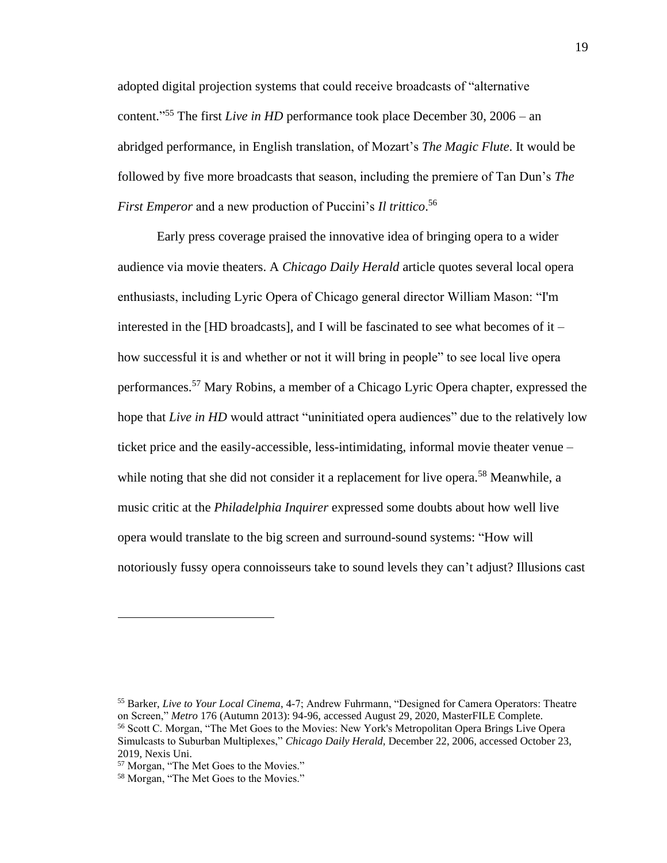adopted digital projection systems that could receive broadcasts of "alternative content." <sup>55</sup> The first *Live in HD* performance took place December 30, 2006 – an abridged performance, in English translation, of Mozart's *The Magic Flute*. It would be followed by five more broadcasts that season, including the premiere of Tan Dun's *The First Emperor* and a new production of Puccini's *Il trittico*. 56

Early press coverage praised the innovative idea of bringing opera to a wider audience via movie theaters. A *Chicago Daily Herald* article quotes several local opera enthusiasts, including Lyric Opera of Chicago general director William Mason: "I'm interested in the [HD broadcasts], and I will be fascinated to see what becomes of it – how successful it is and whether or not it will bring in people" to see local live opera performances.<sup>57</sup> Mary Robins, a member of a Chicago Lyric Opera chapter, expressed the hope that *Live in HD* would attract "uninitiated opera audiences" due to the relatively low ticket price and the easily-accessible, less-intimidating, informal movie theater venue – while noting that she did not consider it a replacement for live opera.<sup>58</sup> Meanwhile, a music critic at the *Philadelphia Inquirer* expressed some doubts about how well live opera would translate to the big screen and surround-sound systems: "How will notoriously fussy opera connoisseurs take to sound levels they can't adjust? Illusions cast

<sup>55</sup> Barker, *Live to Your Local Cinema*, 4-7; Andrew Fuhrmann, "Designed for Camera Operators: Theatre on Screen," *Metro* 176 (Autumn 2013): 94-96, accessed August 29, 2020, MasterFILE Complete. <sup>56</sup> Scott C. Morgan, "The Met Goes to the Movies: New York's Metropolitan Opera Brings Live Opera Simulcasts to Suburban Multiplexes," *Chicago Daily Herald,* December 22, 2006, accessed October 23, 2019, Nexis Uni.

<sup>57</sup> Morgan, "The Met Goes to the Movies."

<sup>58</sup> Morgan, "The Met Goes to the Movies."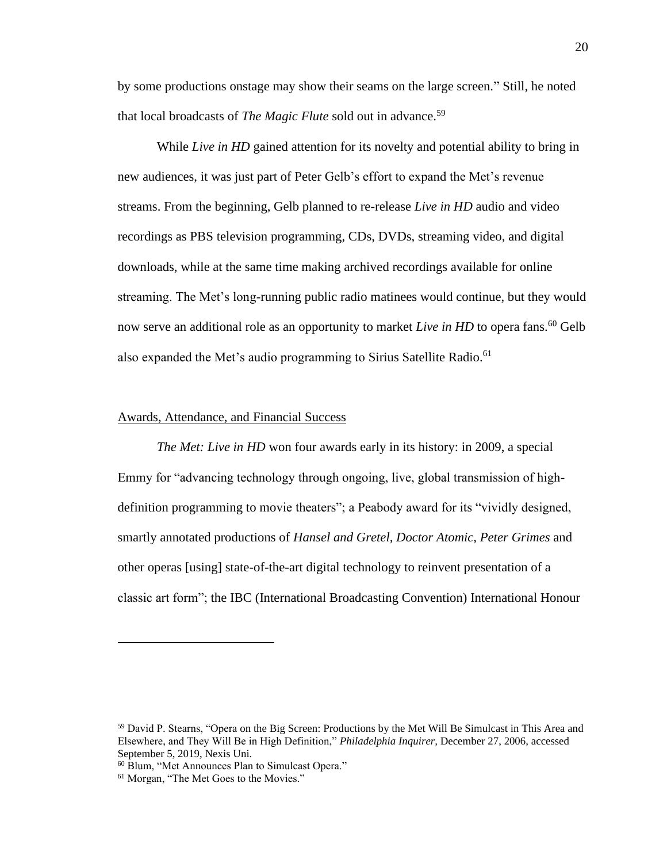by some productions onstage may show their seams on the large screen." Still, he noted that local broadcasts of *The Magic Flute* sold out in advance.<sup>59</sup>

While *Live in HD* gained attention for its novelty and potential ability to bring in new audiences, it was just part of Peter Gelb's effort to expand the Met's revenue streams. From the beginning, Gelb planned to re-release *Live in HD* audio and video recordings as PBS television programming, CDs, DVDs, streaming video, and digital downloads, while at the same time making archived recordings available for online streaming. The Met's long-running public radio matinees would continue, but they would now serve an additional role as an opportunity to market *Live in HD* to opera fans.<sup>60</sup> Gelb also expanded the Met's audio programming to Sirius Satellite Radio.<sup>61</sup>

#### Awards, Attendance, and Financial Success

*The Met: Live in HD* won four awards early in its history: in 2009, a special Emmy for "advancing technology through ongoing, live, global transmission of highdefinition programming to movie theaters"; a Peabody award for its "vividly designed, smartly annotated productions of *Hansel and Gretel, Doctor Atomic, Peter Grimes* and other operas [using] state-of-the-art digital technology to reinvent presentation of a classic art form"; the IBC (International Broadcasting Convention) International Honour

<sup>&</sup>lt;sup>59</sup> David P. Stearns, "Opera on the Big Screen: Productions by the Met Will Be Simulcast in This Area and Elsewhere, and They Will Be in High Definition," *Philadelphia Inquirer,* December 27, 2006, accessed September 5, 2019, Nexis Uni.

<sup>60</sup> Blum, "Met Announces Plan to Simulcast Opera."

<sup>&</sup>lt;sup>61</sup> Morgan, "The Met Goes to the Movies."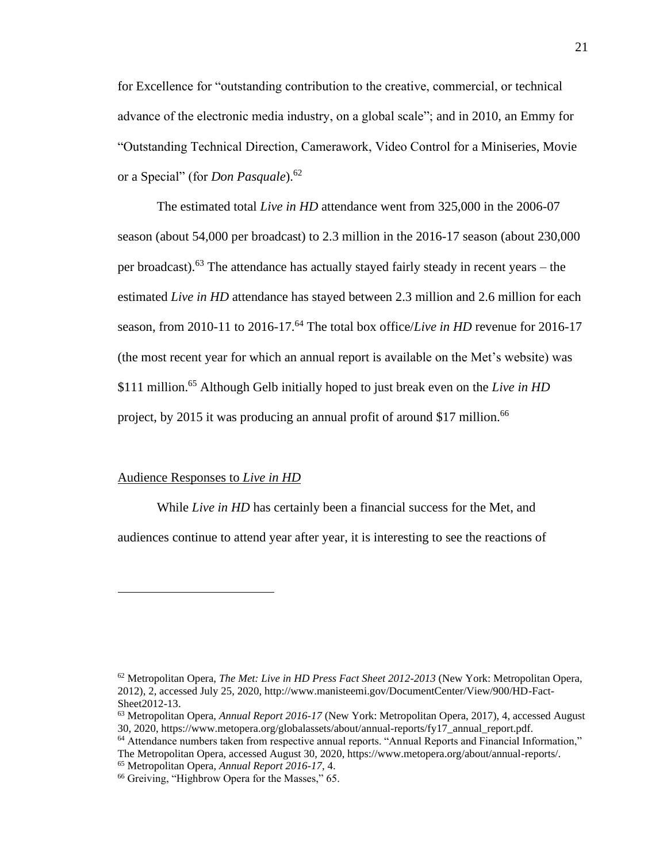for Excellence for "outstanding contribution to the creative, commercial, or technical advance of the electronic media industry, on a global scale"; and in 2010, an Emmy for "Outstanding Technical Direction, Camerawork, Video Control for a Miniseries, Movie or a Special" (for *Don Pasquale*).<sup>62</sup>

The estimated total *Live in HD* attendance went from 325,000 in the 2006-07 season (about 54,000 per broadcast) to 2.3 million in the 2016-17 season (about 230,000 per broadcast).<sup>63</sup> The attendance has actually stayed fairly steady in recent years – the estimated *Live in HD* attendance has stayed between 2.3 million and 2.6 million for each season, from 2010-11 to 2016-17.<sup>64</sup> The total box office/*Live in HD* revenue for 2016-17 (the most recent year for which an annual report is available on the Met's website) was \$111 million.<sup>65</sup> Although Gelb initially hoped to just break even on the *Live in HD* project, by 2015 it was producing an annual profit of around \$17 million.<sup>66</sup>

#### Audience Responses to *Live in HD*

While *Live in HD* has certainly been a financial success for the Met, and audiences continue to attend year after year, it is interesting to see the reactions of

<sup>62</sup> Metropolitan Opera, *The Met: Live in HD Press Fact Sheet 2012-2013* (New York: Metropolitan Opera, 2012), 2, accessed July 25, 2020, http://www.manisteemi.gov/DocumentCenter/View/900/HD-Fact-Sheet2012-13.

<sup>63</sup> Metropolitan Opera, *Annual Report 2016-17* (New York: Metropolitan Opera, 2017), 4, accessed August 30, 2020, https://www.metopera.org/globalassets/about/annual-reports/fy17\_annual\_report.pdf.

<sup>64</sup> Attendance numbers taken from respective annual reports. "Annual Reports and Financial Information," The Metropolitan Opera, accessed August 30, 2020, https://www.metopera.org/about/annual-reports/.

<sup>65</sup> Metropolitan Opera, *Annual Report 2016-17,* 4.

<sup>&</sup>lt;sup>66</sup> Greiving, "Highbrow Opera for the Masses," 65.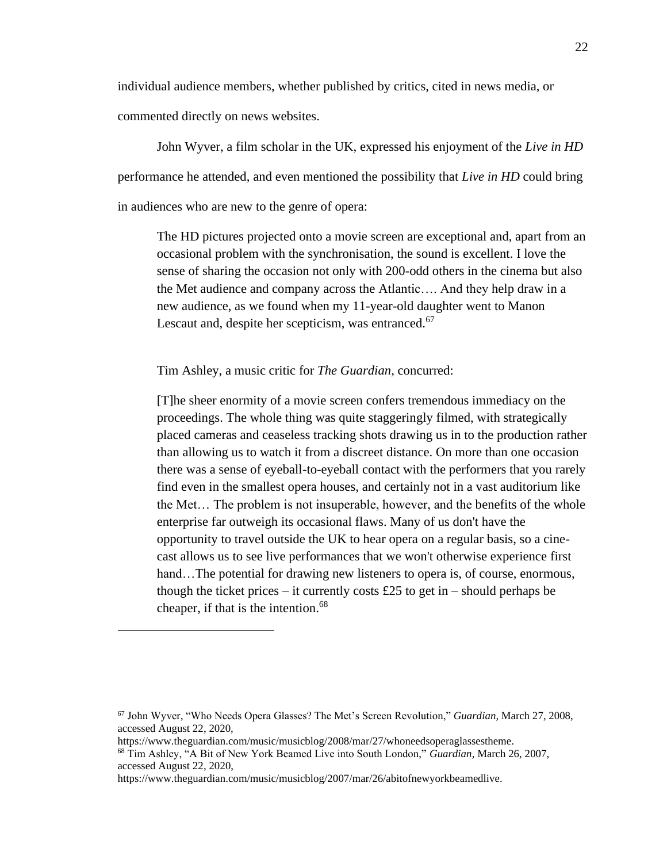individual audience members, whether published by critics, cited in news media, or commented directly on news websites.

John Wyver, a film scholar in the UK, expressed his enjoyment of the *Live in HD* performance he attended, and even mentioned the possibility that *Live in HD* could bring in audiences who are new to the genre of opera:

The HD pictures projected onto a movie screen are exceptional and, apart from an occasional problem with the synchronisation, the sound is excellent. I love the sense of sharing the occasion not only with 200-odd others in the cinema but also the Met audience and company across the Atlantic…. And they help draw in a new audience, as we found when my 11-year-old daughter went to Manon Lescaut and, despite her scepticism, was entranced.<sup>67</sup>

Tim Ashley, a music critic for *The Guardian,* concurred:

[T]he sheer enormity of a movie screen confers tremendous immediacy on the proceedings. The whole thing was quite staggeringly filmed, with strategically placed cameras and ceaseless tracking shots drawing us in to the production rather than allowing us to watch it from a discreet distance. On more than one occasion there was a sense of eyeball-to-eyeball contact with the performers that you rarely find even in the smallest opera houses, and certainly not in a vast auditorium like the Met… The problem is not insuperable, however, and the benefits of the whole enterprise far outweigh its occasional flaws. Many of us don't have the opportunity to travel outside the UK to hear opera on a regular basis, so a cinecast allows us to see live performances that we won't otherwise experience first hand...The potential for drawing new listeners to opera is, of course, enormous, though the ticket prices – it currently costs £25 to get in – should perhaps be cheaper, if that is the intention.<sup>68</sup>

<sup>67</sup> John Wyver, "Who Needs Opera Glasses? The Met's Screen Revolution," *Guardian,* March 27, 2008, accessed August 22, 2020,

https://www.theguardian.com/music/musicblog/2008/mar/27/whoneedsoperaglassestheme.

<sup>68</sup> Tim Ashley, "A Bit of New York Beamed Live into South London," *Guardian,* March 26, 2007, accessed August 22, 2020,

https://www.theguardian.com/music/musicblog/2007/mar/26/abitofnewyorkbeamedlive.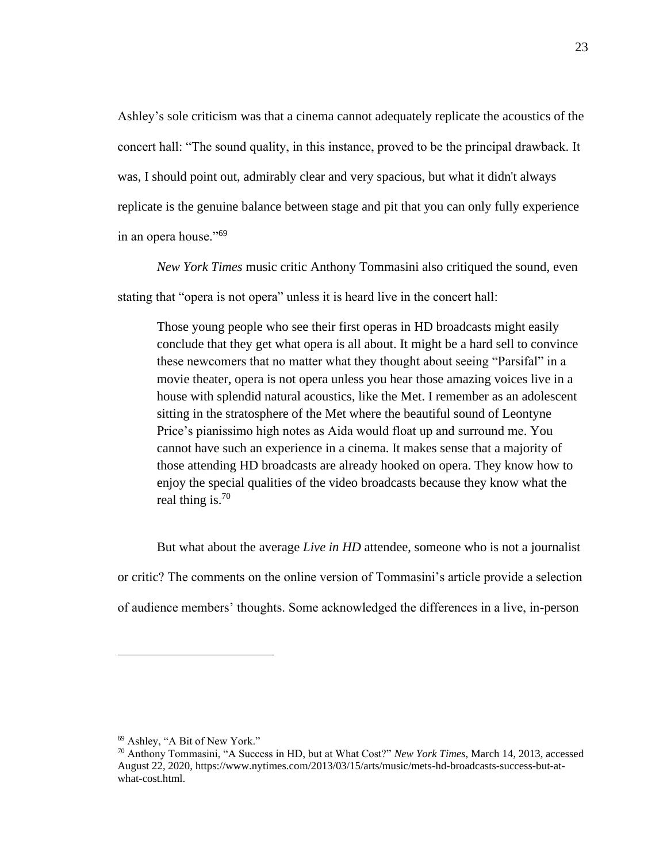Ashley's sole criticism was that a cinema cannot adequately replicate the acoustics of the concert hall: "The sound quality, in this instance, proved to be the principal drawback. It was, I should point out, admirably clear and very spacious, but what it didn't always replicate is the genuine balance between stage and pit that you can only fully experience in an opera house."<sup>69</sup>

*New York Times* music critic Anthony Tommasini also critiqued the sound, even stating that "opera is not opera" unless it is heard live in the concert hall:

Those young people who see their first operas in HD broadcasts might easily conclude that they get what opera is all about. It might be a hard sell to convince these newcomers that no matter what they thought about seeing "Parsifal" in a movie theater, opera is not opera unless you hear those amazing voices live in a house with splendid natural acoustics, like the Met. I remember as an adolescent sitting in the stratosphere of the Met where the beautiful sound of Leontyne Price's pianissimo high notes as Aida would float up and surround me. You cannot have such an experience in a cinema. It makes sense that a majority of those attending HD broadcasts are already hooked on opera. They know how to enjoy the special qualities of the video broadcasts because they know what the real thing is.<sup>70</sup>

But what about the average *Live in HD* attendee, someone who is not a journalist or critic? The comments on the online version of Tommasini's article provide a selection of audience members' thoughts. Some acknowledged the differences in a live, in-person

<sup>69</sup> Ashley, "A Bit of New York."

<sup>70</sup> Anthony Tommasini, "A Success in HD, but at What Cost?" *New York Times,* March 14, 2013, accessed August 22, 2020, https://www.nytimes.com/2013/03/15/arts/music/mets-hd-broadcasts-success-but-atwhat-cost.html.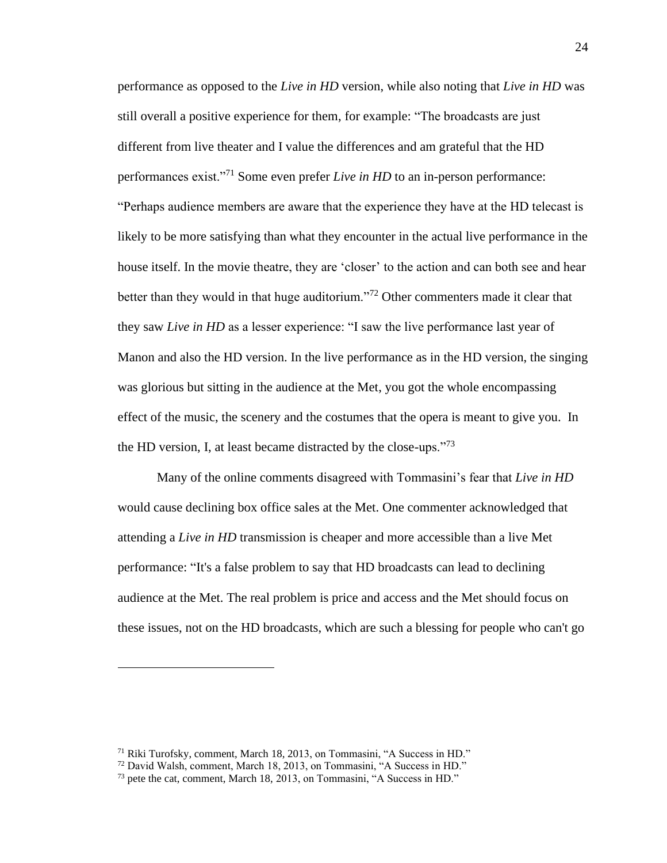performance as opposed to the *Live in HD* version, while also noting that *Live in HD* was still overall a positive experience for them, for example: "The broadcasts are just different from live theater and I value the differences and am grateful that the HD performances exist."<sup>71</sup> Some even prefer *Live in HD* to an in-person performance: "Perhaps audience members are aware that the experience they have at the HD telecast is likely to be more satisfying than what they encounter in the actual live performance in the house itself. In the movie theatre, they are 'closer' to the action and can both see and hear better than they would in that huge auditorium."<sup>72</sup> Other commenters made it clear that they saw *Live in HD* as a lesser experience: "I saw the live performance last year of Manon and also the HD version. In the live performance as in the HD version, the singing was glorious but sitting in the audience at the Met, you got the whole encompassing effect of the music, the scenery and the costumes that the opera is meant to give you. In the HD version, I, at least became distracted by the close-ups."<sup>73</sup>

Many of the online comments disagreed with Tommasini's fear that *Live in HD* would cause declining box office sales at the Met. One commenter acknowledged that attending a *Live in HD* transmission is cheaper and more accessible than a live Met performance: "It's a false problem to say that HD broadcasts can lead to declining audience at the Met. The real problem is price and access and the Met should focus on these issues, not on the HD broadcasts, which are such a blessing for people who can't go

<sup>71</sup> Riki Turofsky, comment, March 18, 2013, on Tommasini, "A Success in HD."

<sup>72</sup> David Walsh, comment, March 18, 2013, on Tommasini, "A Success in HD."

<sup>&</sup>lt;sup>73</sup> pete the cat, comment, March 18, 2013, on Tommasini, "A Success in HD."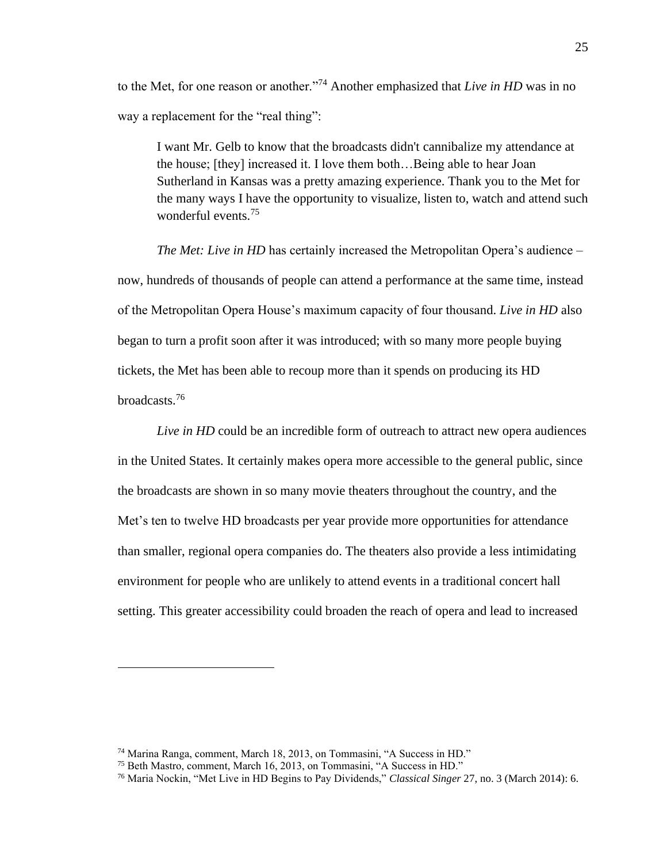to the Met, for one reason or another."<sup>74</sup> Another emphasized that *Live in HD* was in no way a replacement for the "real thing":

I want Mr. Gelb to know that the broadcasts didn't cannibalize my attendance at the house; [they] increased it. I love them both…Being able to hear Joan Sutherland in Kansas was a pretty amazing experience. Thank you to the Met for the many ways I have the opportunity to visualize, listen to, watch and attend such wonderful events.<sup>75</sup>

*The Met: Live in HD* has certainly increased the Metropolitan Opera's audience – now, hundreds of thousands of people can attend a performance at the same time, instead of the Metropolitan Opera House's maximum capacity of four thousand. *Live in HD* also began to turn a profit soon after it was introduced; with so many more people buying tickets, the Met has been able to recoup more than it spends on producing its HD broadcasts.<sup>76</sup>

*Live in HD* could be an incredible form of outreach to attract new opera audiences in the United States. It certainly makes opera more accessible to the general public, since the broadcasts are shown in so many movie theaters throughout the country, and the Met's ten to twelve HD broadcasts per year provide more opportunities for attendance than smaller, regional opera companies do. The theaters also provide a less intimidating environment for people who are unlikely to attend events in a traditional concert hall setting. This greater accessibility could broaden the reach of opera and lead to increased

<sup>74</sup> Marina Ranga, comment, March 18, 2013, on Tommasini, "A Success in HD."

<sup>75</sup> Beth Mastro, comment, March 16, 2013, on Tommasini, "A Success in HD."

<sup>76</sup> Maria Nockin, "Met Live in HD Begins to Pay Dividends," *Classical Singer* 27, no. 3 (March 2014): 6.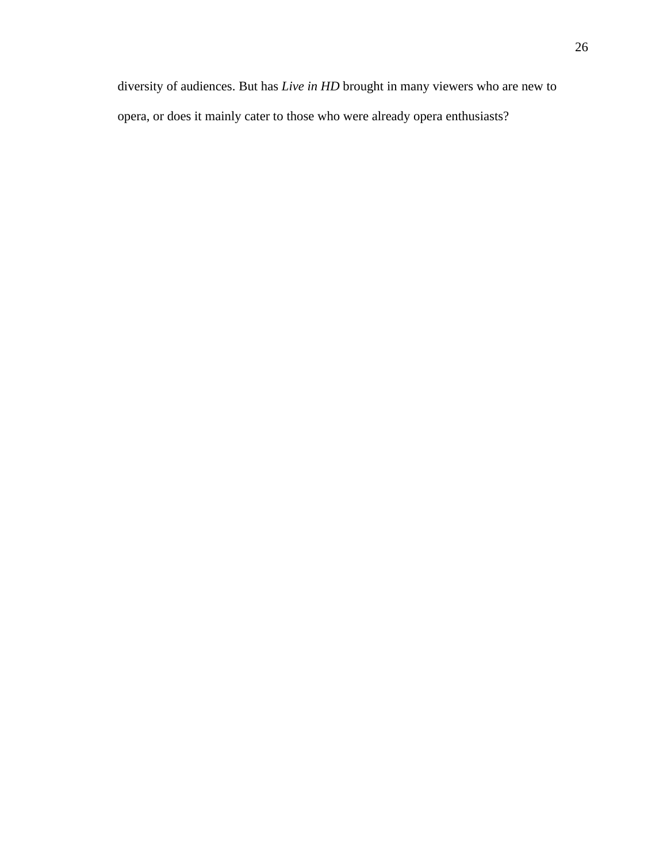diversity of audiences. But has *Live in HD* brought in many viewers who are new to opera, or does it mainly cater to those who were already opera enthusiasts?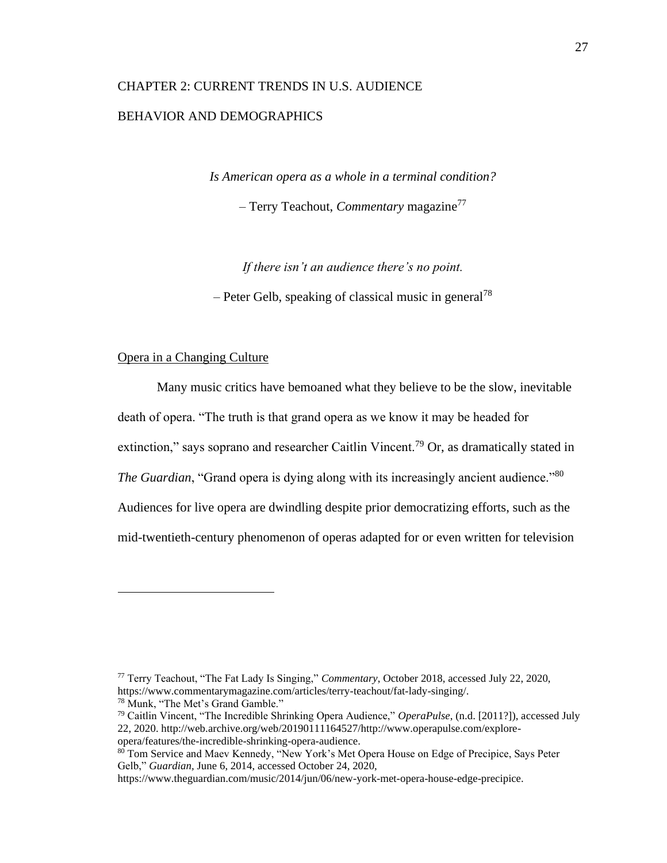## <span id="page-34-0"></span>CHAPTER 2: CURRENT TRENDS IN U.S. AUDIENCE BEHAVIOR AND DEMOGRAPHICS

*Is American opera as a whole in a terminal condition?*

– Terry Teachout, *Commentary* magazine<sup>77</sup>

*If there isn't an audience there's no point.*

– Peter Gelb, speaking of classical music in general<sup>78</sup>

#### Opera in a Changing Culture

Many music critics have bemoaned what they believe to be the slow, inevitable death of opera. "The truth is that grand opera as we know it may be headed for extinction," says soprano and researcher Caitlin Vincent.<sup>79</sup> Or, as dramatically stated in *The Guardian*, "Grand opera is dying along with its increasingly ancient audience."<sup>80</sup> Audiences for live opera are dwindling despite prior democratizing efforts, such as the mid-twentieth-century phenomenon of operas adapted for or even written for television

<sup>77</sup> Terry Teachout, "The Fat Lady Is Singing," *Commentary*, October 2018, accessed July 22, 2020, https://www.commentarymagazine.com/articles/terry-teachout/fat-lady-singing/.

<sup>78</sup> Munk, "The Met's Grand Gamble."

<sup>79</sup> Caitlin Vincent, "The Incredible Shrinking Opera Audience," *OperaPulse*, (n.d. [2011?]), accessed July 22, 2020. http://web.archive.org/web/20190111164527/http://www.operapulse.com/exploreopera/features/the-incredible-shrinking-opera-audience.

<sup>80</sup> Tom Service and Maev Kennedy, "New York's Met Opera House on Edge of Precipice, Says Peter Gelb," *Guardian,* June 6, 2014, accessed October 24, 2020,

https://www.theguardian.com/music/2014/jun/06/new-york-met-opera-house-edge-precipice.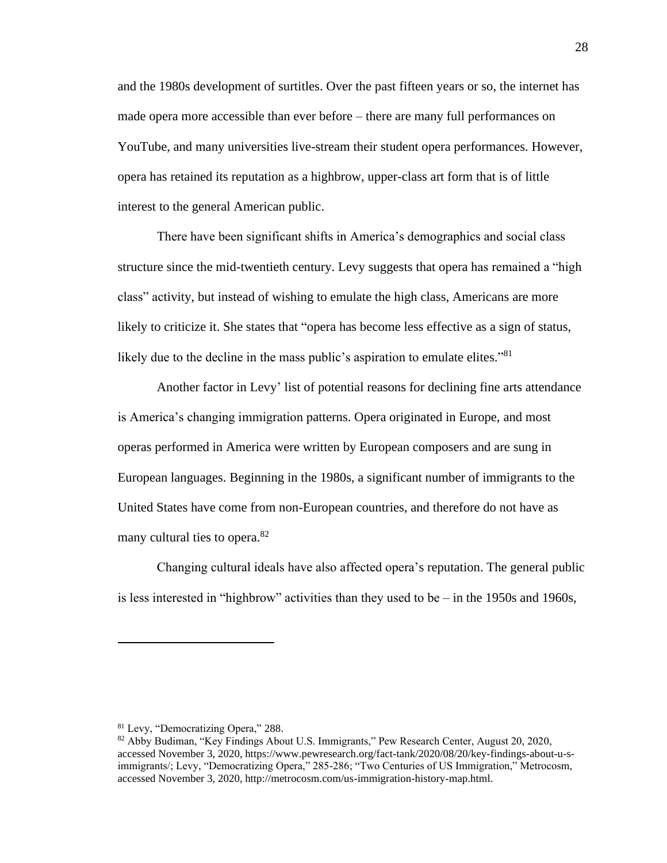and the 1980s development of surtitles. Over the past fifteen years or so, the internet has made opera more accessible than ever before – there are many full performances on YouTube, and many universities live-stream their student opera performances. However, opera has retained its reputation as a highbrow, upper-class art form that is of little interest to the general American public.

There have been significant shifts in America's demographics and social class structure since the mid-twentieth century. Levy suggests that opera has remained a "high class" activity, but instead of wishing to emulate the high class, Americans are more likely to criticize it. She states that "opera has become less effective as a sign of status, likely due to the decline in the mass public's aspiration to emulate elites."<sup>81</sup>

Another factor in Levy' list of potential reasons for declining fine arts attendance is America's changing immigration patterns. Opera originated in Europe, and most operas performed in America were written by European composers and are sung in European languages. Beginning in the 1980s, a significant number of immigrants to the United States have come from non-European countries, and therefore do not have as many cultural ties to opera.<sup>82</sup>

Changing cultural ideals have also affected opera's reputation. The general public is less interested in "highbrow" activities than they used to be – in the 1950s and 1960s,

<sup>81</sup> Levy, "Democratizing Opera," 288.

<sup>82</sup> Abby Budiman, "Key Findings About U.S. Immigrants," Pew Research Center, August 20, 2020, accessed November 3, 2020, https://www.pewresearch.org/fact-tank/2020/08/20/key-findings-about-u-simmigrants/; Levy, "Democratizing Opera," 285-286; "Two Centuries of US Immigration," Metrocosm, accessed November 3, 2020, http://metrocosm.com/us-immigration-history-map.html.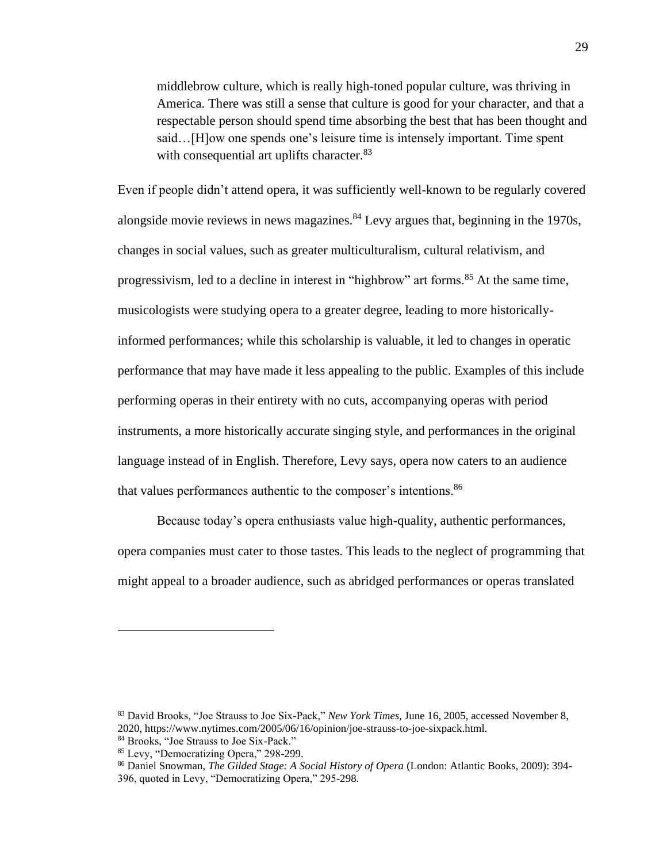middlebrow culture, which is really high-toned popular culture, was thriving in America. There was still a sense that culture is good for your character, and that a respectable person should spend time absorbing the best that has been thought and said…[H]ow one spends one's leisure time is intensely important. Time spent with consequential art uplifts character.<sup>83</sup>

Even if people didn't attend opera, it was sufficiently well-known to be regularly covered alongside movie reviews in news magazines. <sup>84</sup> Levy argues that, beginning in the 1970s, changes in social values, such as greater multiculturalism, cultural relativism, and progressivism, led to a decline in interest in "highbrow" art forms.<sup>85</sup> At the same time, musicologists were studying opera to a greater degree, leading to more historicallyinformed performances; while this scholarship is valuable, it led to changes in operatic performance that may have made it less appealing to the public. Examples of this include performing operas in their entirety with no cuts, accompanying operas with period instruments, a more historically accurate singing style, and performances in the original language instead of in English. Therefore, Levy says, opera now caters to an audience that values performances authentic to the composer's intentions.<sup>86</sup>

Because today's opera enthusiasts value high-quality, authentic performances, opera companies must cater to those tastes. This leads to the neglect of programming that might appeal to a broader audience, such as abridged performances or operas translated

<sup>83</sup> David Brooks, "Joe Strauss to Joe Six-Pack," *New York Times,* June 16, 2005, accessed November 8, 2020, https://www.nytimes.com/2005/06/16/opinion/joe-strauss-to-joe-sixpack.html.

<sup>84</sup> Brooks, "Joe Strauss to Joe Six-Pack."

<sup>85</sup> Levy, "Democratizing Opera," 298-299.

<sup>86</sup> Daniel Snowman, *The Gilded Stage: A Social History of Opera* (London: Atlantic Books, 2009): 394- 396, quoted in Levy, "Democratizing Opera," 295-298.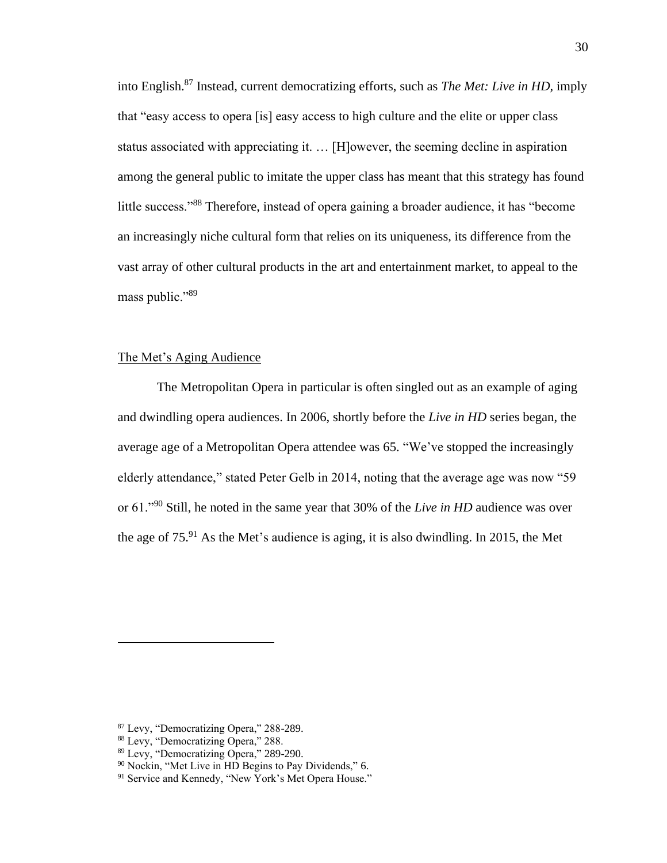into English.<sup>87</sup> Instead, current democratizing efforts, such as *The Met: Live in HD,* imply that "easy access to opera [is] easy access to high culture and the elite or upper class status associated with appreciating it. … [H]owever, the seeming decline in aspiration among the general public to imitate the upper class has meant that this strategy has found little success."<sup>88</sup> Therefore, instead of opera gaining a broader audience, it has "become an increasingly niche cultural form that relies on its uniqueness, its difference from the vast array of other cultural products in the art and entertainment market, to appeal to the mass public."<sup>89</sup>

# The Met's Aging Audience

The Metropolitan Opera in particular is often singled out as an example of aging and dwindling opera audiences. In 2006, shortly before the *Live in HD* series began, the average age of a Metropolitan Opera attendee was 65. "We've stopped the increasingly elderly attendance," stated Peter Gelb in 2014, noting that the average age was now "59 or 61."<sup>90</sup> Still, he noted in the same year that 30% of the *Live in HD* audience was over the age of  $75<sup>91</sup>$  As the Met's audience is aging, it is also dwindling. In 2015, the Met

<sup>87</sup> Levy, "Democratizing Opera," 288-289.

<sup>88</sup> Levy, "Democratizing Opera," 288.

<sup>89</sup> Levy, "Democratizing Opera," 289-290.

<sup>90</sup> Nockin, "Met Live in HD Begins to Pay Dividends," 6.

<sup>&</sup>lt;sup>91</sup> Service and Kennedy, "New York's Met Opera House."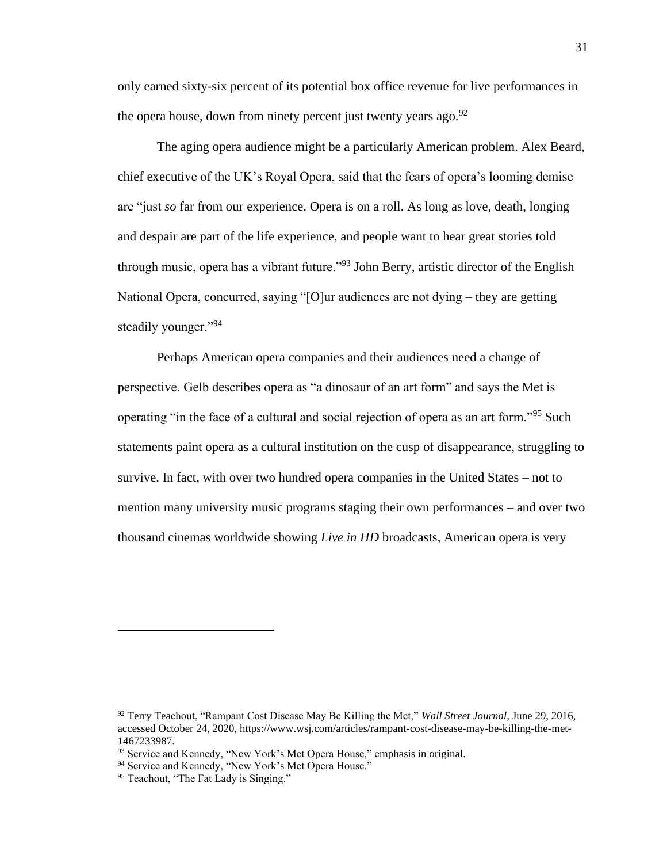only earned sixty-six percent of its potential box office revenue for live performances in the opera house, down from ninety percent just twenty years ago.  $92$ 

The aging opera audience might be a particularly American problem. Alex Beard, chief executive of the UK's Royal Opera, said that the fears of opera's looming demise are "just *so* far from our experience. Opera is on a roll. As long as love, death, longing and despair are part of the life experience, and people want to hear great stories told through music, opera has a vibrant future.<sup>"93</sup> John Berry, artistic director of the English National Opera, concurred, saying "[O]ur audiences are not dying – they are getting steadily younger."<sup>94</sup>

Perhaps American opera companies and their audiences need a change of perspective. Gelb describes opera as "a dinosaur of an art form" and says the Met is operating "in the face of a cultural and social rejection of opera as an art form."<sup>95</sup> Such statements paint opera as a cultural institution on the cusp of disappearance, struggling to survive. In fact, with over two hundred opera companies in the United States – not to mention many university music programs staging their own performances – and over two thousand cinemas worldwide showing *Live in HD* broadcasts, American opera is very

<sup>92</sup> Terry Teachout, "Rampant Cost Disease May Be Killing the Met," *Wall Street Journal,* June 29, 2016, accessed October 24, 2020, https://www.wsj.com/articles/rampant-cost-disease-may-be-killing-the-met-1467233987.

<sup>93</sup> Service and Kennedy, "New York's Met Opera House," emphasis in original.

<sup>&</sup>lt;sup>94</sup> Service and Kennedy, "New York's Met Opera House."

<sup>&</sup>lt;sup>95</sup> Teachout, "The Fat Lady is Singing."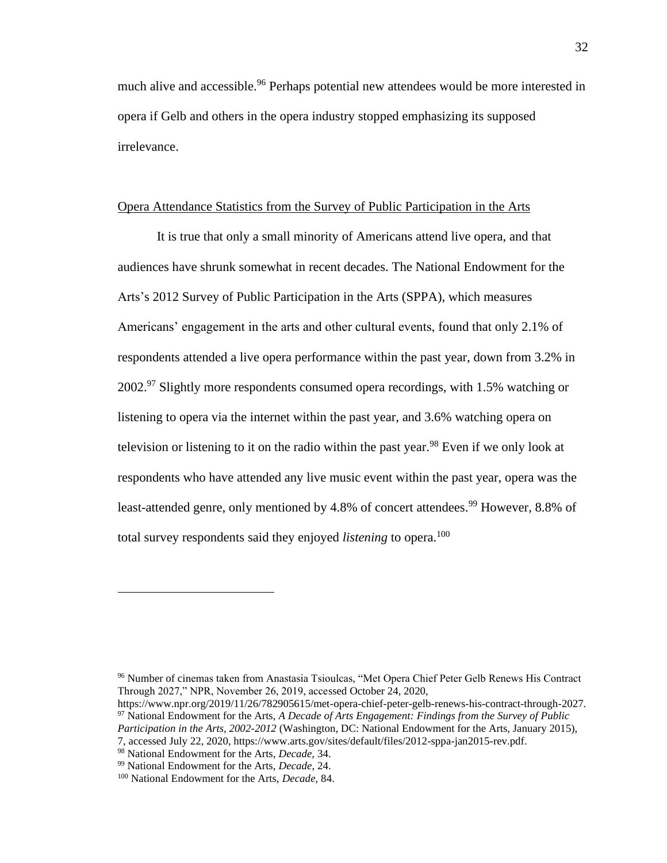much alive and accessible.<sup>96</sup> Perhaps potential new attendees would be more interested in opera if Gelb and others in the opera industry stopped emphasizing its supposed irrelevance.

## Opera Attendance Statistics from the Survey of Public Participation in the Arts

It is true that only a small minority of Americans attend live opera, and that audiences have shrunk somewhat in recent decades. The National Endowment for the Arts's 2012 Survey of Public Participation in the Arts (SPPA), which measures Americans' engagement in the arts and other cultural events, found that only 2.1% of respondents attended a live opera performance within the past year, down from 3.2% in  $2002.^{97}$  Slightly more respondents consumed opera recordings, with 1.5% watching or listening to opera via the internet within the past year, and 3.6% watching opera on television or listening to it on the radio within the past year.<sup>98</sup> Even if we only look at respondents who have attended any live music event within the past year, opera was the least-attended genre, only mentioned by 4.8% of concert attendees.<sup>99</sup> However, 8.8% of total survey respondents said they enjoyed *listening* to opera.<sup>100</sup>

<sup>96</sup> Number of cinemas taken from Anastasia Tsioulcas, "Met Opera Chief Peter Gelb Renews His Contract Through 2027," NPR, November 26, 2019, accessed October 24, 2020,

https://www.npr.org/2019/11/26/782905615/met-opera-chief-peter-gelb-renews-his-contract-through-2027. <sup>97</sup> National Endowment for the Arts, *A Decade of Arts Engagement: Findings from the Survey of Public Participation in the Arts, 2002-2012* (Washington, DC: National Endowment for the Arts, January 2015),

<sup>7,</sup> accessed July 22, 2020, https://www.arts.gov/sites/default/files/2012-sppa-jan2015-rev.pdf.

<sup>98</sup> National Endowment for the Arts, *Decade,* 34.

<sup>99</sup> National Endowment for the Arts, *Decade*, 24.

<sup>100</sup> National Endowment for the Arts, *Decade*, 84.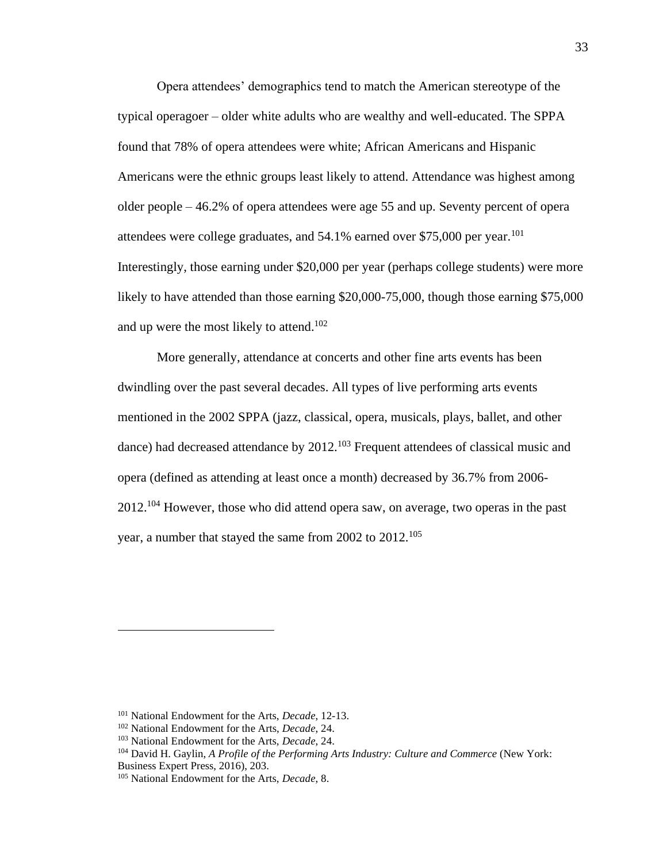Opera attendees' demographics tend to match the American stereotype of the typical operagoer – older white adults who are wealthy and well-educated. The SPPA found that 78% of opera attendees were white; African Americans and Hispanic Americans were the ethnic groups least likely to attend. Attendance was highest among older people – 46.2% of opera attendees were age 55 and up. Seventy percent of opera attendees were college graduates, and  $54.1\%$  earned over \$75,000 per year.<sup>101</sup> Interestingly, those earning under \$20,000 per year (perhaps college students) were more likely to have attended than those earning \$20,000-75,000, though those earning \$75,000 and up were the most likely to attend.<sup>102</sup>

More generally, attendance at concerts and other fine arts events has been dwindling over the past several decades. All types of live performing arts events mentioned in the 2002 SPPA (jazz, classical, opera, musicals, plays, ballet, and other dance) had decreased attendance by 2012.<sup>103</sup> Frequent attendees of classical music and opera (defined as attending at least once a month) decreased by 36.7% from 2006-  $2012$ <sup> $104$ </sup> However, those who did attend opera saw, on average, two operas in the past year, a number that stayed the same from 2002 to 2012.<sup>105</sup>

<sup>101</sup> National Endowment for the Arts, *Decade*, 12-13.

<sup>102</sup> National Endowment for the Arts, *Decade*, 24.

<sup>103</sup> National Endowment for the Arts, *Decade*, 24.

<sup>104</sup> David H. Gaylin, *A Profile of the Performing Arts Industry: Culture and Commerce* (New York: Business Expert Press, 2016), 203.

<sup>105</sup> National Endowment for the Arts, *Decade*, 8.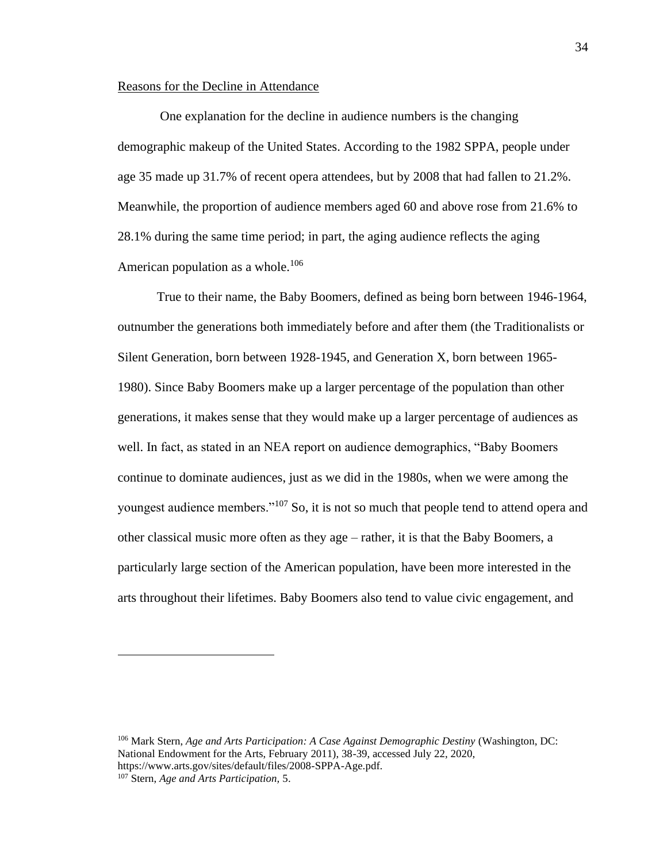### Reasons for the Decline in Attendance

One explanation for the decline in audience numbers is the changing demographic makeup of the United States. According to the 1982 SPPA, people under age 35 made up 31.7% of recent opera attendees, but by 2008 that had fallen to 21.2%. Meanwhile, the proportion of audience members aged 60 and above rose from 21.6% to 28.1% during the same time period; in part, the aging audience reflects the aging American population as a whole.<sup>106</sup>

True to their name, the Baby Boomers, defined as being born between 1946-1964, outnumber the generations both immediately before and after them (the Traditionalists or Silent Generation, born between 1928-1945, and Generation X, born between 1965- 1980). Since Baby Boomers make up a larger percentage of the population than other generations, it makes sense that they would make up a larger percentage of audiences as well. In fact, as stated in an NEA report on audience demographics, "Baby Boomers continue to dominate audiences, just as we did in the 1980s, when we were among the youngest audience members."<sup>107</sup> So, it is not so much that people tend to attend opera and other classical music more often as they age – rather, it is that the Baby Boomers, a particularly large section of the American population, have been more interested in the arts throughout their lifetimes. Baby Boomers also tend to value civic engagement, and

<sup>106</sup> Mark Stern, *Age and Arts Participation: A Case Against Demographic Destiny* (Washington, DC: National Endowment for the Arts, February 2011), 38-39, accessed July 22, 2020, https://www.arts.gov/sites/default/files/2008-SPPA-Age.pdf. <sup>107</sup> Stern, *Age and Arts Participation,* 5.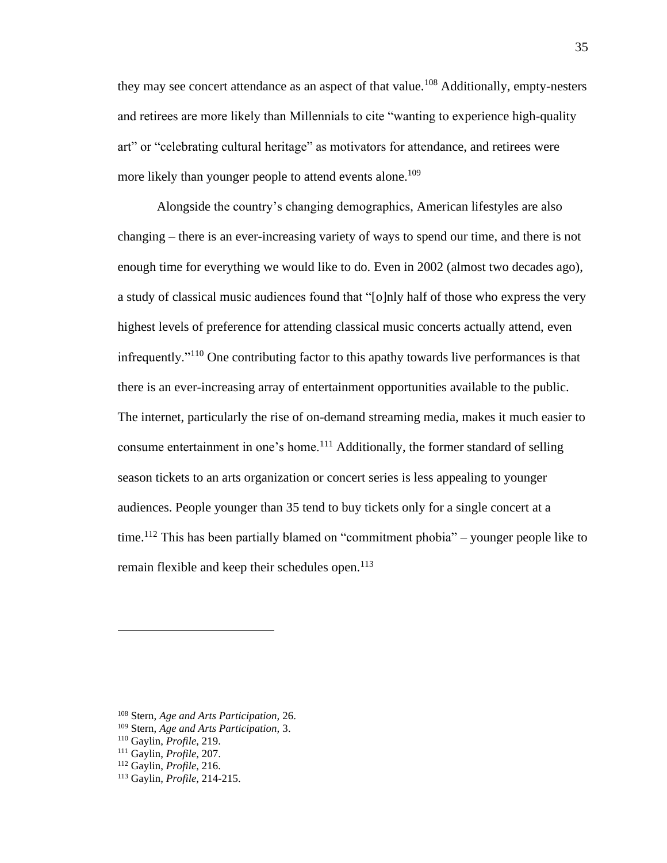they may see concert attendance as an aspect of that value.<sup>108</sup> Additionally, empty-nesters and retirees are more likely than Millennials to cite "wanting to experience high-quality art" or "celebrating cultural heritage" as motivators for attendance, and retirees were more likely than younger people to attend events alone.<sup>109</sup>

Alongside the country's changing demographics, American lifestyles are also changing – there is an ever-increasing variety of ways to spend our time, and there is not enough time for everything we would like to do. Even in 2002 (almost two decades ago), a study of classical music audiences found that "[o]nly half of those who express the very highest levels of preference for attending classical music concerts actually attend, even infrequently."<sup>110</sup> One contributing factor to this apathy towards live performances is that there is an ever-increasing array of entertainment opportunities available to the public. The internet, particularly the rise of on-demand streaming media, makes it much easier to consume entertainment in one's home.<sup>111</sup> Additionally, the former standard of selling season tickets to an arts organization or concert series is less appealing to younger audiences. People younger than 35 tend to buy tickets only for a single concert at a time.<sup>112</sup> This has been partially blamed on "commitment phobia" – younger people like to remain flexible and keep their schedules open.<sup>113</sup>

<sup>108</sup> Stern, *Age and Arts Participation,* 26.

<sup>109</sup> Stern, *Age and Arts Participation,* 3.

<sup>110</sup> Gaylin, *Profile*, 219.

<sup>111</sup> Gaylin, *Profile*, 207.

<sup>112</sup> Gaylin, *Profile*, 216.

<sup>113</sup> Gaylin, *Profile*, 214-215.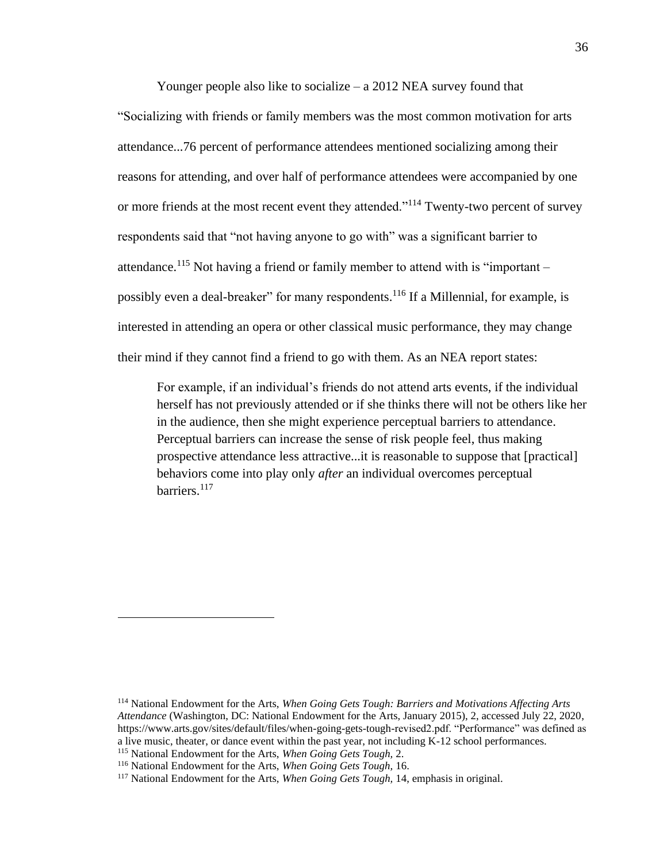Younger people also like to socialize – a 2012 NEA survey found that "Socializing with friends or family members was the most common motivation for arts attendance...76 percent of performance attendees mentioned socializing among their reasons for attending, and over half of performance attendees were accompanied by one or more friends at the most recent event they attended."<sup>114</sup> Twenty-two percent of survey respondents said that "not having anyone to go with" was a significant barrier to attendance.<sup>115</sup> Not having a friend or family member to attend with is "important – possibly even a deal-breaker" for many respondents.<sup>116</sup> If a Millennial, for example, is interested in attending an opera or other classical music performance, they may change their mind if they cannot find a friend to go with them. As an NEA report states:

For example, if an individual's friends do not attend arts events, if the individual herself has not previously attended or if she thinks there will not be others like her in the audience, then she might experience perceptual barriers to attendance. Perceptual barriers can increase the sense of risk people feel, thus making prospective attendance less attractive...it is reasonable to suppose that [practical] behaviors come into play only *after* an individual overcomes perceptual barriers.<sup>117</sup>

<sup>114</sup> National Endowment for the Arts, *When Going Gets Tough: Barriers and Motivations Affecting Arts Attendance* (Washington, DC: National Endowment for the Arts, January 2015), 2, accessed July 22, 2020, https://www.arts.gov/sites/default/files/when-going-gets-tough-revised2.pdf. "Performance" was defined as a live music, theater, or dance event within the past year, not including K-12 school performances. <sup>115</sup> National Endowment for the Arts, *When Going Gets Tough,* 2.

<sup>116</sup> National Endowment for the Arts, *When Going Gets Tough,* 16.

<sup>117</sup> National Endowment for the Arts, *When Going Gets Tough,* 14, emphasis in original.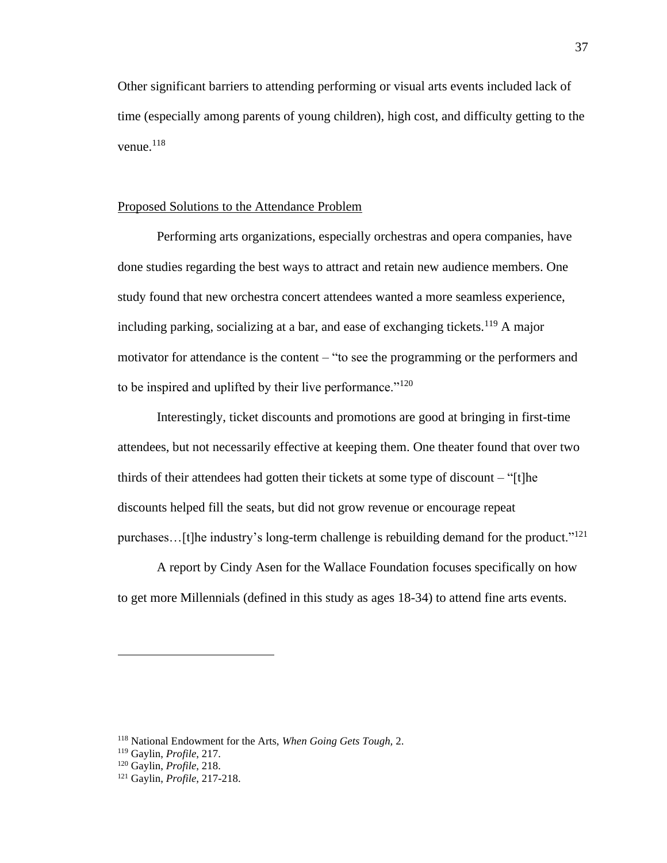Other significant barriers to attending performing or visual arts events included lack of time (especially among parents of young children), high cost, and difficulty getting to the venue. $118$ 

# Proposed Solutions to the Attendance Problem

Performing arts organizations, especially orchestras and opera companies, have done studies regarding the best ways to attract and retain new audience members. One study found that new orchestra concert attendees wanted a more seamless experience, including parking, socializing at a bar, and ease of exchanging tickets.<sup>119</sup> A major motivator for attendance is the content – "to see the programming or the performers and to be inspired and uplifted by their live performance."<sup>120</sup>

Interestingly, ticket discounts and promotions are good at bringing in first-time attendees, but not necessarily effective at keeping them. One theater found that over two thirds of their attendees had gotten their tickets at some type of discount – "[t]he discounts helped fill the seats, but did not grow revenue or encourage repeat purchases...[t]he industry's long-term challenge is rebuilding demand for the product."<sup>121</sup>

A report by Cindy Asen for the Wallace Foundation focuses specifically on how to get more Millennials (defined in this study as ages 18-34) to attend fine arts events.

<sup>118</sup> National Endowment for the Arts, *When Going Gets Tough,* 2.

<sup>119</sup> Gaylin, *Profile*, 217.

<sup>120</sup> Gaylin, *Profile*, 218.

<sup>121</sup> Gaylin, *Profile*, 217-218.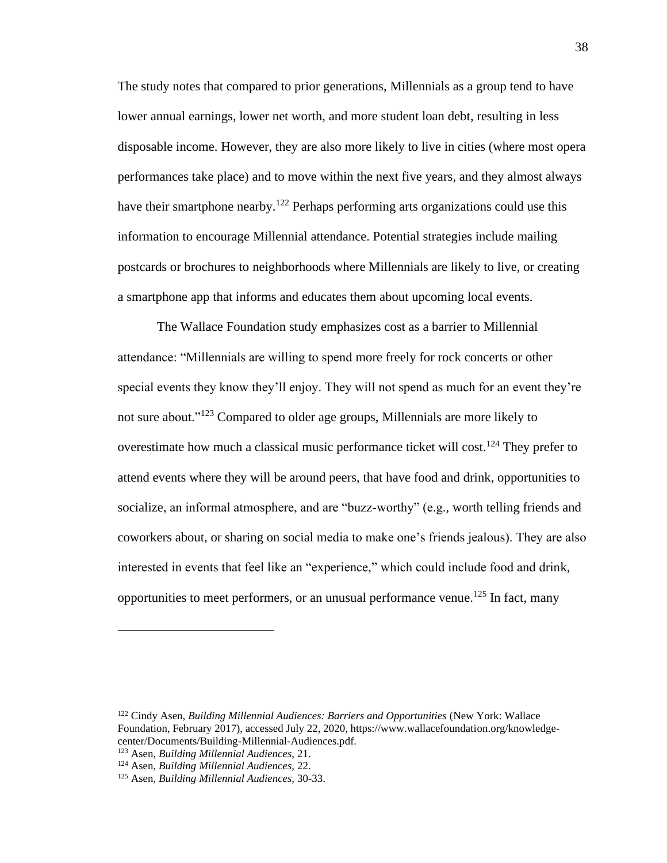The study notes that compared to prior generations, Millennials as a group tend to have lower annual earnings, lower net worth, and more student loan debt, resulting in less disposable income. However, they are also more likely to live in cities (where most opera performances take place) and to move within the next five years, and they almost always have their smartphone nearby.<sup>122</sup> Perhaps performing arts organizations could use this information to encourage Millennial attendance. Potential strategies include mailing postcards or brochures to neighborhoods where Millennials are likely to live, or creating a smartphone app that informs and educates them about upcoming local events.

The Wallace Foundation study emphasizes cost as a barrier to Millennial attendance: "Millennials are willing to spend more freely for rock concerts or other special events they know they'll enjoy. They will not spend as much for an event they're not sure about."<sup>123</sup> Compared to older age groups, Millennials are more likely to overestimate how much a classical music performance ticket will cost.<sup>124</sup> They prefer to attend events where they will be around peers, that have food and drink, opportunities to socialize, an informal atmosphere, and are "buzz-worthy" (e.g., worth telling friends and coworkers about, or sharing on social media to make one's friends jealous). They are also interested in events that feel like an "experience," which could include food and drink, opportunities to meet performers, or an unusual performance venue.<sup>125</sup> In fact, many

<sup>122</sup> Cindy Asen, *Building Millennial Audiences: Barriers and Opportunities* (New York: Wallace Foundation, February 2017), accessed July 22, 2020, https://www.wallacefoundation.org/knowledgecenter/Documents/Building-Millennial-Audiences.pdf.

<sup>123</sup> Asen, *Building Millennial Audiences,* 21.

<sup>124</sup> Asen, *Building Millennial Audiences,* 22.

<sup>125</sup> Asen, *Building Millennial Audiences,* 30-33.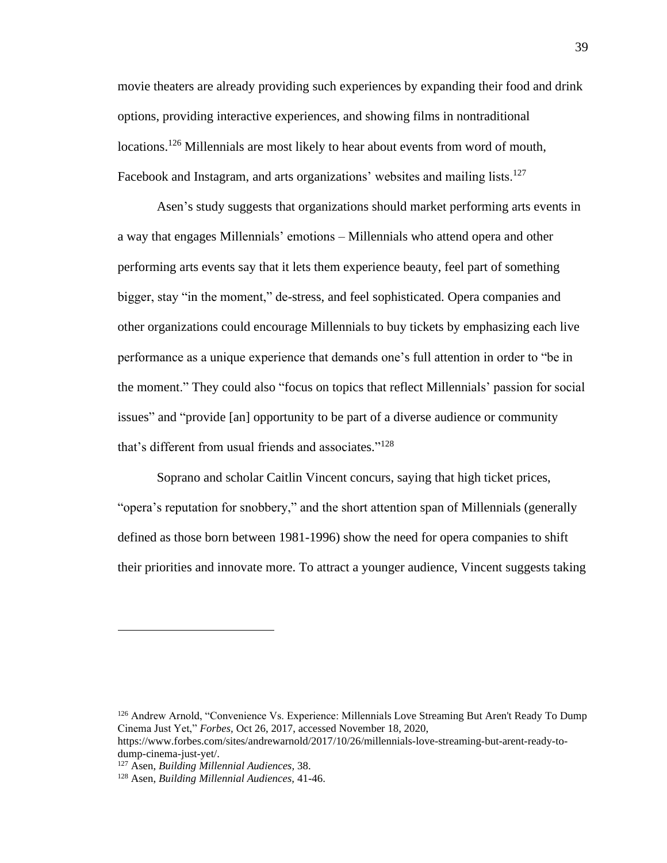movie theaters are already providing such experiences by expanding their food and drink options, providing interactive experiences, and showing films in nontraditional locations.<sup>126</sup> Millennials are most likely to hear about events from word of mouth, Facebook and Instagram, and arts organizations' websites and mailing lists.<sup>127</sup>

Asen's study suggests that organizations should market performing arts events in a way that engages Millennials' emotions – Millennials who attend opera and other performing arts events say that it lets them experience beauty, feel part of something bigger, stay "in the moment," de-stress, and feel sophisticated. Opera companies and other organizations could encourage Millennials to buy tickets by emphasizing each live performance as a unique experience that demands one's full attention in order to "be in the moment." They could also "focus on topics that reflect Millennials' passion for social issues" and "provide [an] opportunity to be part of a diverse audience or community that's different from usual friends and associates." 128

Soprano and scholar Caitlin Vincent concurs, saying that high ticket prices, "opera's reputation for snobbery," and the short attention span of Millennials (generally defined as those born between 1981-1996) show the need for opera companies to shift their priorities and innovate more. To attract a younger audience, Vincent suggests taking

<sup>126</sup> Andrew Arnold, "Convenience Vs. Experience: Millennials Love Streaming But Aren't Ready To Dump Cinema Just Yet," *Forbes,* Oct 26, 2017, accessed November 18, 2020,

https://www.forbes.com/sites/andrewarnold/2017/10/26/millennials-love-streaming-but-arent-ready-todump-cinema-just-yet/.

<sup>127</sup> Asen, *Building Millennial Audiences,* 38.

<sup>128</sup> Asen, *Building Millennial Audiences,* 41-46.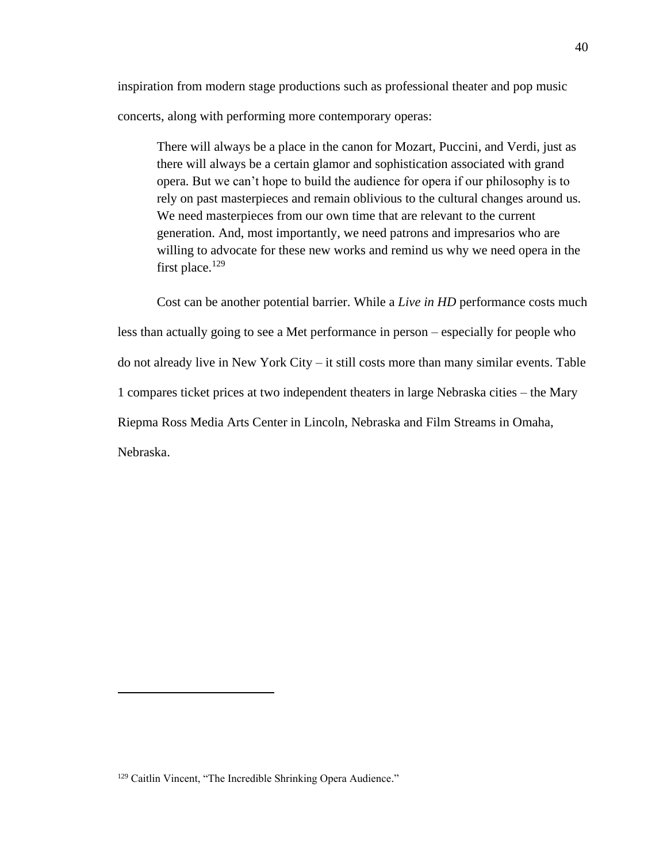inspiration from modern stage productions such as professional theater and pop music concerts, along with performing more contemporary operas:

There will always be a place in the canon for Mozart, Puccini, and Verdi, just as there will always be a certain glamor and sophistication associated with grand opera. But we can't hope to build the audience for opera if our philosophy is to rely on past masterpieces and remain oblivious to the cultural changes around us. We need masterpieces from our own time that are relevant to the current generation. And, most importantly, we need patrons and impresarios who are willing to advocate for these new works and remind us why we need opera in the first place.<sup>129</sup>

Cost can be another potential barrier. While a *Live in HD* performance costs much less than actually going to see a Met performance in person – especially for people who do not already live in New York City – it still costs more than many similar events. Table 1 compares ticket prices at two independent theaters in large Nebraska cities – the Mary Riepma Ross Media Arts Center in Lincoln, Nebraska and Film Streams in Omaha, Nebraska.

<sup>&</sup>lt;sup>129</sup> Caitlin Vincent, "The Incredible Shrinking Opera Audience."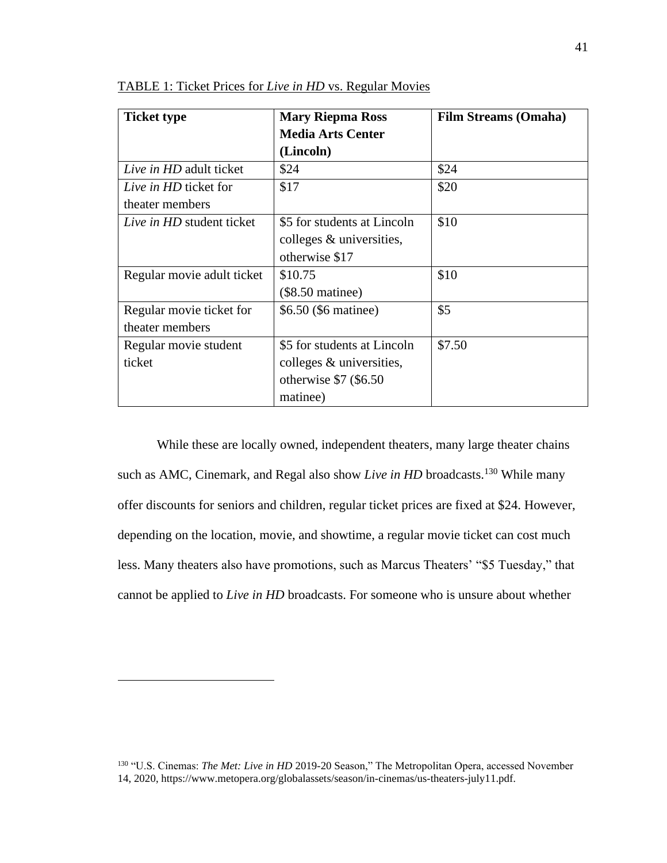| <b>Ticket type</b>         | <b>Mary Riepma Ross</b>     | <b>Film Streams (Omaha)</b> |
|----------------------------|-----------------------------|-----------------------------|
|                            | <b>Media Arts Center</b>    |                             |
|                            | (Lincoln)                   |                             |
| Live in HD adult ticket    | \$24                        | \$24                        |
| Live in HD ticket for      | \$17                        | \$20                        |
| theater members            |                             |                             |
| Live in HD student ticket  | \$5 for students at Lincoln | \$10                        |
|                            | colleges $&$ universities,  |                             |
|                            | otherwise \$17              |                             |
| Regular movie adult ticket | \$10.75                     | \$10                        |
|                            | $(\$8.50$ matinee)          |                             |
| Regular movie ticket for   | \$6.50 (\$6 matinee)        | \$5                         |
| theater members            |                             |                             |
| Regular movie student      | \$5 for students at Lincoln | \$7.50                      |
| ticket                     | colleges $\&$ universities, |                             |
|                            | otherwise $$7 ($6.50$       |                             |
|                            | matinee)                    |                             |

TABLE 1: Ticket Prices for *Live in HD* vs. Regular Movies

While these are locally owned, independent theaters, many large theater chains such as AMC, Cinemark, and Regal also show *Live in HD* broadcasts.<sup>130</sup> While many offer discounts for seniors and children, regular ticket prices are fixed at \$24. However, depending on the location, movie, and showtime, a regular movie ticket can cost much less. Many theaters also have promotions, such as Marcus Theaters' "\$5 Tuesday," that cannot be applied to *Live in HD* broadcasts. For someone who is unsure about whether

<sup>&</sup>lt;sup>130</sup> "U.S. Cinemas: *The Met: Live in HD* 2019-20 Season," The Metropolitan Opera, accessed November 14, 2020, https://www.metopera.org/globalassets/season/in-cinemas/us-theaters-july11.pdf.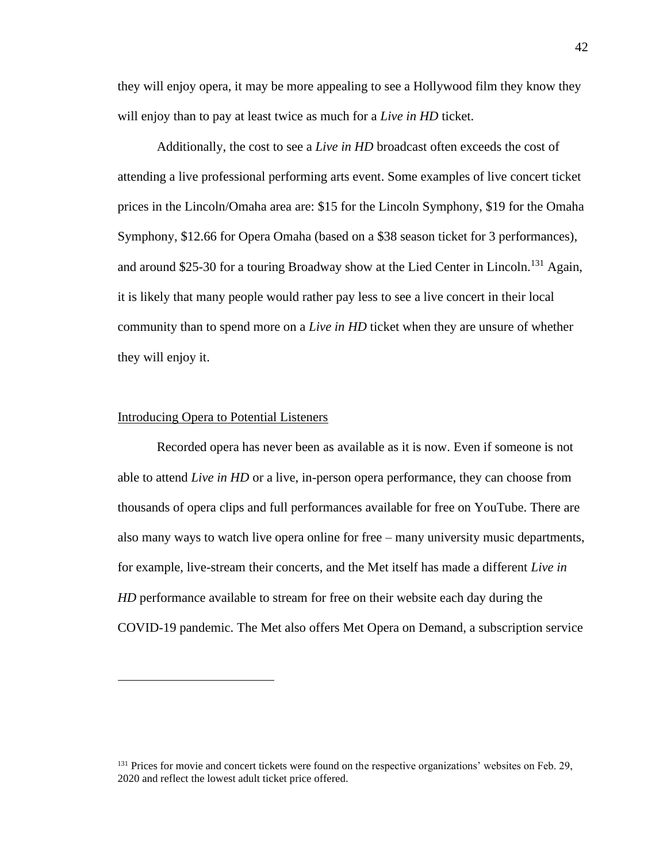they will enjoy opera, it may be more appealing to see a Hollywood film they know they will enjoy than to pay at least twice as much for a *Live in HD* ticket.

Additionally, the cost to see a *Live in HD* broadcast often exceeds the cost of attending a live professional performing arts event. Some examples of live concert ticket prices in the Lincoln/Omaha area are: \$15 for the Lincoln Symphony, \$19 for the Omaha Symphony, \$12.66 for Opera Omaha (based on a \$38 season ticket for 3 performances), and around \$25-30 for a touring Broadway show at the Lied Center in Lincoln.<sup>131</sup> Again, it is likely that many people would rather pay less to see a live concert in their local community than to spend more on a *Live in HD* ticket when they are unsure of whether they will enjoy it.

#### Introducing Opera to Potential Listeners

Recorded opera has never been as available as it is now. Even if someone is not able to attend *Live in HD* or a live, in-person opera performance, they can choose from thousands of opera clips and full performances available for free on YouTube. There are also many ways to watch live opera online for free – many university music departments, for example, live-stream their concerts, and the Met itself has made a different *Live in HD* performance available to stream for free on their website each day during the COVID-19 pandemic. The Met also offers Met Opera on Demand, a subscription service

<sup>&</sup>lt;sup>131</sup> Prices for movie and concert tickets were found on the respective organizations' websites on Feb. 29, 2020 and reflect the lowest adult ticket price offered.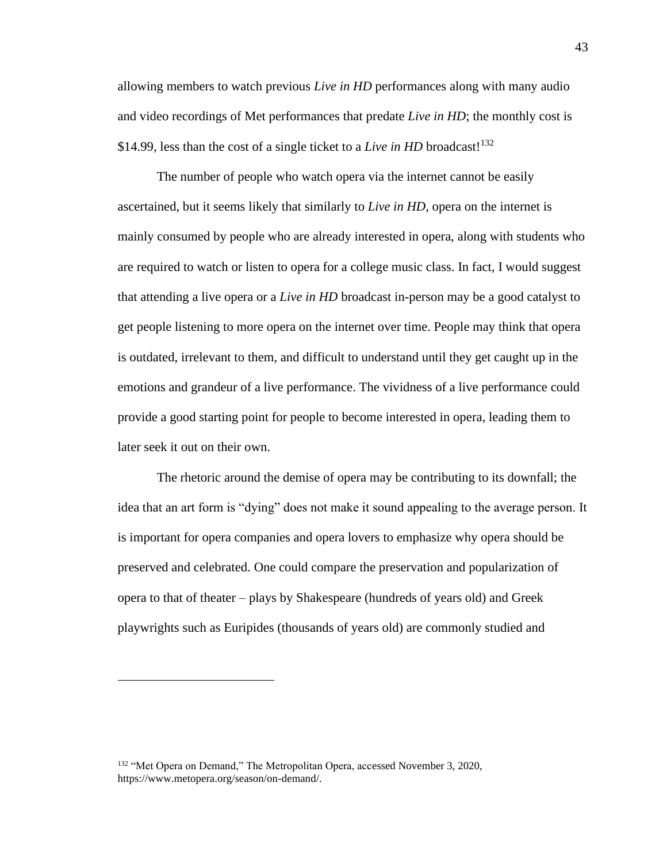allowing members to watch previous *Live in HD* performances along with many audio and video recordings of Met performances that predate *Live in HD*; the monthly cost is \$14.99, less than the cost of a single ticket to a *Live in HD* broadcast!<sup>132</sup>

The number of people who watch opera via the internet cannot be easily ascertained, but it seems likely that similarly to *Live in HD,* opera on the internet is mainly consumed by people who are already interested in opera, along with students who are required to watch or listen to opera for a college music class. In fact, I would suggest that attending a live opera or a *Live in HD* broadcast in-person may be a good catalyst to get people listening to more opera on the internet over time. People may think that opera is outdated, irrelevant to them, and difficult to understand until they get caught up in the emotions and grandeur of a live performance. The vividness of a live performance could provide a good starting point for people to become interested in opera, leading them to later seek it out on their own.

The rhetoric around the demise of opera may be contributing to its downfall; the idea that an art form is "dying" does not make it sound appealing to the average person. It is important for opera companies and opera lovers to emphasize why opera should be preserved and celebrated. One could compare the preservation and popularization of opera to that of theater – plays by Shakespeare (hundreds of years old) and Greek playwrights such as Euripides (thousands of years old) are commonly studied and

<sup>&</sup>lt;sup>132</sup> "Met Opera on Demand," The Metropolitan Opera, accessed November 3, 2020, https://www.metopera.org/season/on-demand/.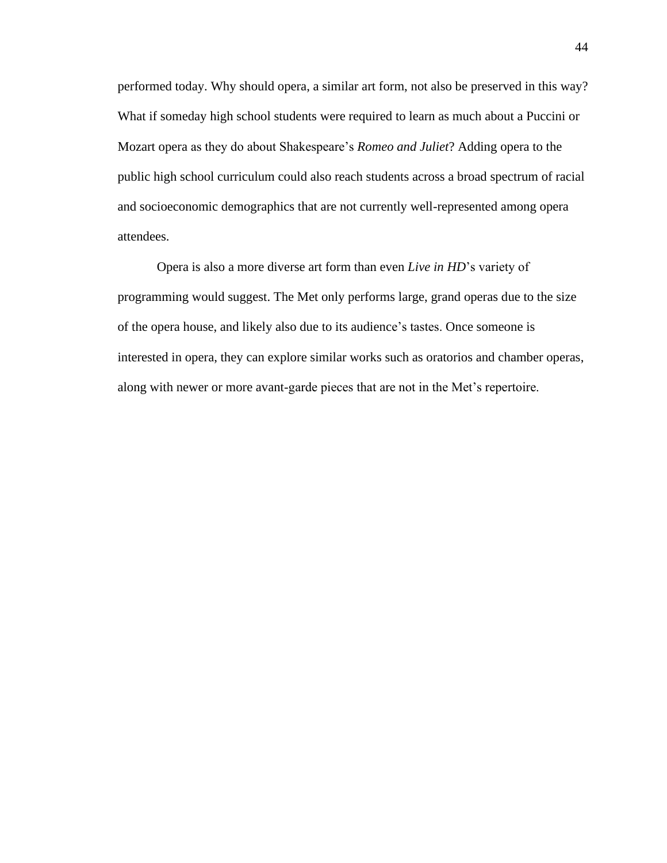performed today. Why should opera, a similar art form, not also be preserved in this way? What if someday high school students were required to learn as much about a Puccini or Mozart opera as they do about Shakespeare's *Romeo and Juliet*? Adding opera to the public high school curriculum could also reach students across a broad spectrum of racial and socioeconomic demographics that are not currently well-represented among opera attendees.

Opera is also a more diverse art form than even *Live in HD*'s variety of programming would suggest. The Met only performs large, grand operas due to the size of the opera house, and likely also due to its audience's tastes. Once someone is interested in opera, they can explore similar works such as oratorios and chamber operas, along with newer or more avant-garde pieces that are not in the Met's repertoire.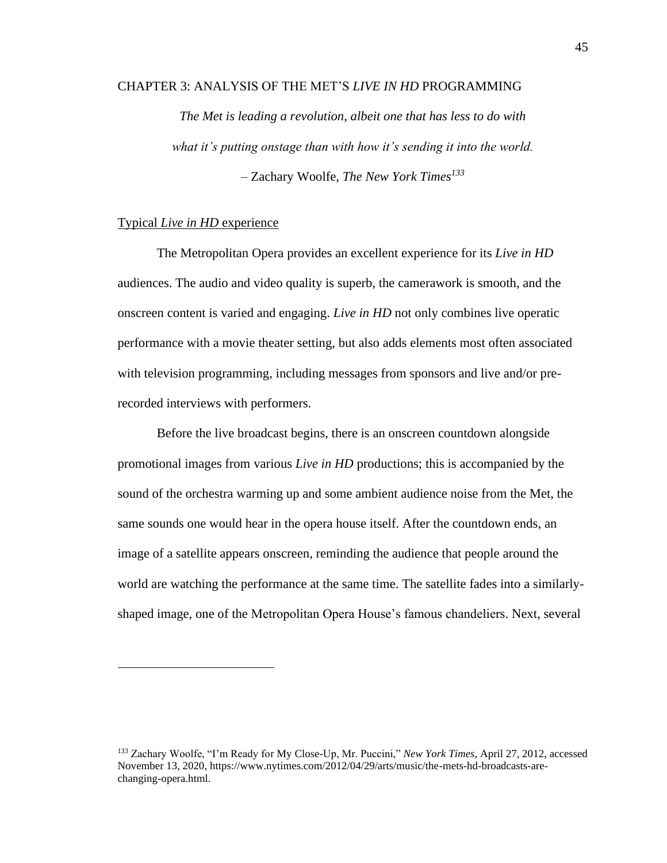# CHAPTER 3: ANALYSIS OF THE MET'S *LIVE IN HD* PROGRAMMING

*The Met is leading a revolution, albeit one that has less to do with what it's putting onstage than with how it's sending it into the world.* – Zachary Woolfe, *The New York Times<sup>133</sup>*

# Typical *Live in HD* experience

The Metropolitan Opera provides an excellent experience for its *Live in HD* audiences. The audio and video quality is superb, the camerawork is smooth, and the onscreen content is varied and engaging. *Live in HD* not only combines live operatic performance with a movie theater setting, but also adds elements most often associated with television programming, including messages from sponsors and live and/or prerecorded interviews with performers.

Before the live broadcast begins, there is an onscreen countdown alongside promotional images from various *Live in HD* productions; this is accompanied by the sound of the orchestra warming up and some ambient audience noise from the Met, the same sounds one would hear in the opera house itself. After the countdown ends, an image of a satellite appears onscreen, reminding the audience that people around the world are watching the performance at the same time. The satellite fades into a similarlyshaped image, one of the Metropolitan Opera House's famous chandeliers. Next, several

<sup>133</sup> Zachary Woolfe, "I'm Ready for My Close-Up, Mr. Puccini," *New York Times,* April 27, 2012, accessed November 13, 2020, https://www.nytimes.com/2012/04/29/arts/music/the-mets-hd-broadcasts-arechanging-opera.html.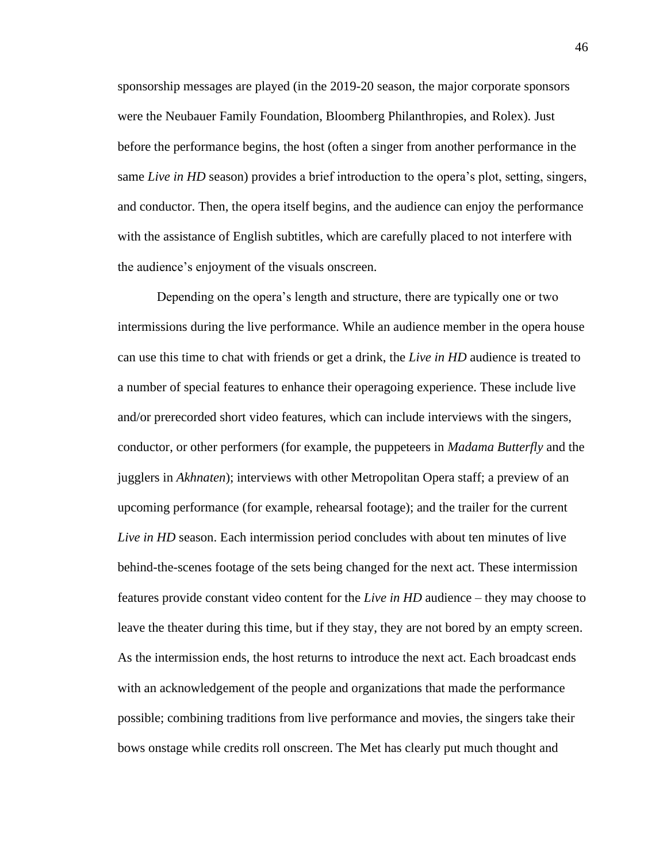sponsorship messages are played (in the 2019-20 season, the major corporate sponsors were the Neubauer Family Foundation, Bloomberg Philanthropies, and Rolex). Just before the performance begins, the host (often a singer from another performance in the same *Live in HD* season) provides a brief introduction to the opera's plot, setting, singers, and conductor. Then, the opera itself begins, and the audience can enjoy the performance with the assistance of English subtitles, which are carefully placed to not interfere with the audience's enjoyment of the visuals onscreen.

Depending on the opera's length and structure, there are typically one or two intermissions during the live performance. While an audience member in the opera house can use this time to chat with friends or get a drink, the *Live in HD* audience is treated to a number of special features to enhance their operagoing experience. These include live and/or prerecorded short video features, which can include interviews with the singers, conductor, or other performers (for example, the puppeteers in *Madama Butterfly* and the jugglers in *Akhnaten*); interviews with other Metropolitan Opera staff; a preview of an upcoming performance (for example, rehearsal footage); and the trailer for the current *Live in HD* season. Each intermission period concludes with about ten minutes of live behind-the-scenes footage of the sets being changed for the next act. These intermission features provide constant video content for the *Live in HD* audience – they may choose to leave the theater during this time, but if they stay, they are not bored by an empty screen. As the intermission ends, the host returns to introduce the next act. Each broadcast ends with an acknowledgement of the people and organizations that made the performance possible; combining traditions from live performance and movies, the singers take their bows onstage while credits roll onscreen. The Met has clearly put much thought and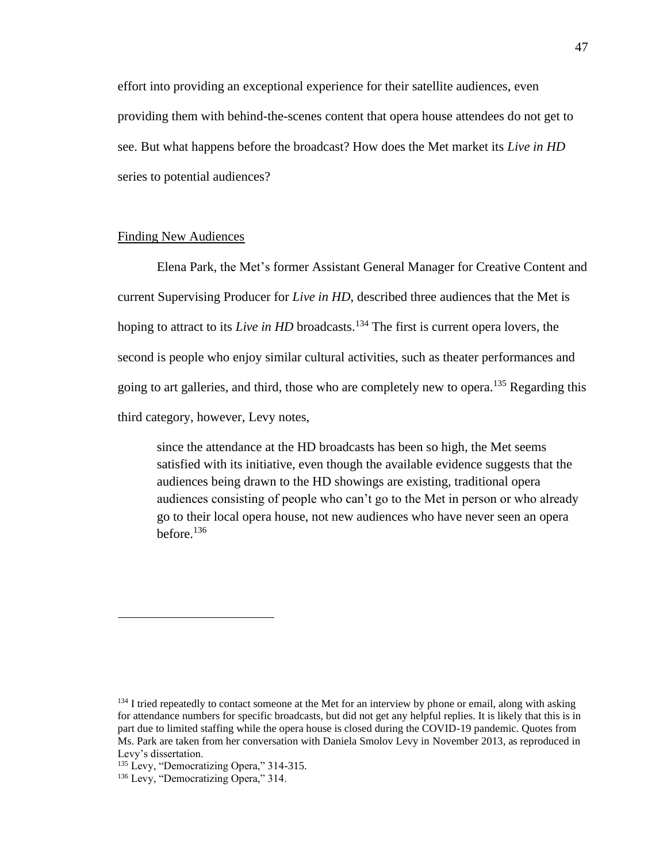effort into providing an exceptional experience for their satellite audiences, even providing them with behind-the-scenes content that opera house attendees do not get to see. But what happens before the broadcast? How does the Met market its *Live in HD* series to potential audiences?

# Finding New Audiences

Elena Park, the Met's former Assistant General Manager for Creative Content and current Supervising Producer for *Live in HD*, described three audiences that the Met is hoping to attract to its *Live in HD* broadcasts.<sup>134</sup> The first is current opera lovers, the second is people who enjoy similar cultural activities, such as theater performances and going to art galleries, and third, those who are completely new to opera.<sup>135</sup> Regarding this third category, however, Levy notes,

since the attendance at the HD broadcasts has been so high, the Met seems satisfied with its initiative, even though the available evidence suggests that the audiences being drawn to the HD showings are existing, traditional opera audiences consisting of people who can't go to the Met in person or who already go to their local opera house, not new audiences who have never seen an opera before.<sup>136</sup>

<sup>&</sup>lt;sup>134</sup> I tried repeatedly to contact someone at the Met for an interview by phone or email, along with asking for attendance numbers for specific broadcasts, but did not get any helpful replies. It is likely that this is in part due to limited staffing while the opera house is closed during the COVID-19 pandemic. Quotes from Ms. Park are taken from her conversation with Daniela Smolov Levy in November 2013, as reproduced in Levy's dissertation.

<sup>&</sup>lt;sup>135</sup> Levy, "Democratizing Opera," 314-315.

<sup>&</sup>lt;sup>136</sup> Levy, "Democratizing Opera," 314.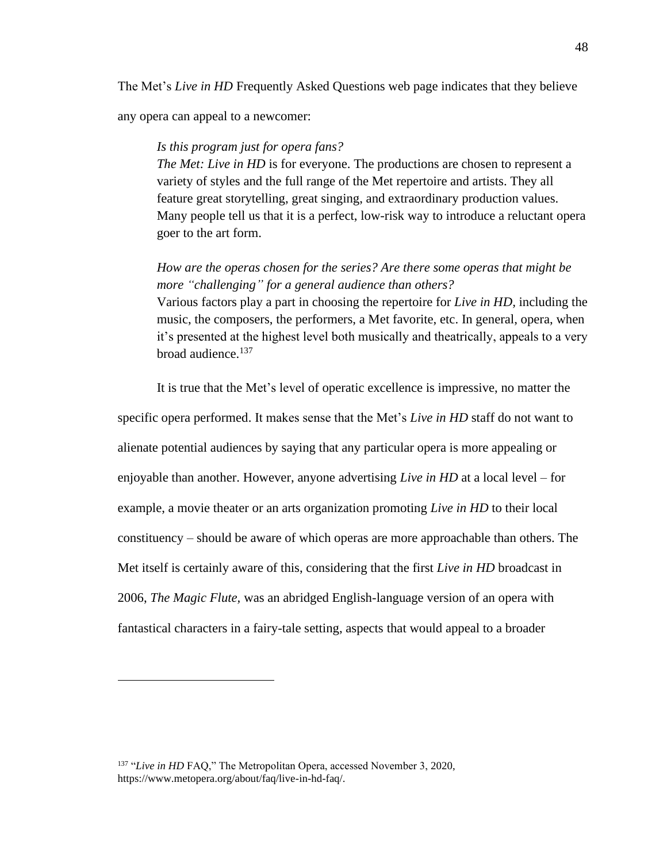The Met's *Live in HD* Frequently Asked Questions web page indicates that they believe

any opera can appeal to a newcomer:

### *Is this program just for opera fans?*

*The Met: Live in HD* is for everyone. The productions are chosen to represent a variety of styles and the full range of the Met repertoire and artists. They all feature great storytelling, great singing, and extraordinary production values. Many people tell us that it is a perfect, low-risk way to introduce a reluctant opera goer to the art form.

*How are the operas chosen for the series? Are there some operas that might be more "challenging" for a general audience than others?* Various factors play a part in choosing the repertoire for *Live in HD,* including the music, the composers, the performers, a Met favorite, etc. In general, opera, when it's presented at the highest level both musically and theatrically, appeals to a very broad audience.<sup>137</sup>

It is true that the Met's level of operatic excellence is impressive, no matter the specific opera performed. It makes sense that the Met's *Live in HD* staff do not want to alienate potential audiences by saying that any particular opera is more appealing or enjoyable than another. However, anyone advertising *Live in HD* at a local level – for example, a movie theater or an arts organization promoting *Live in HD* to their local constituency – should be aware of which operas are more approachable than others. The Met itself is certainly aware of this, considering that the first *Live in HD* broadcast in 2006, *The Magic Flute,* was an abridged English-language version of an opera with fantastical characters in a fairy-tale setting, aspects that would appeal to a broader

<sup>&</sup>lt;sup>137</sup> "Live in HD FAQ," The Metropolitan Opera, accessed November 3, 2020, https://www.metopera.org/about/faq/live-in-hd-faq/.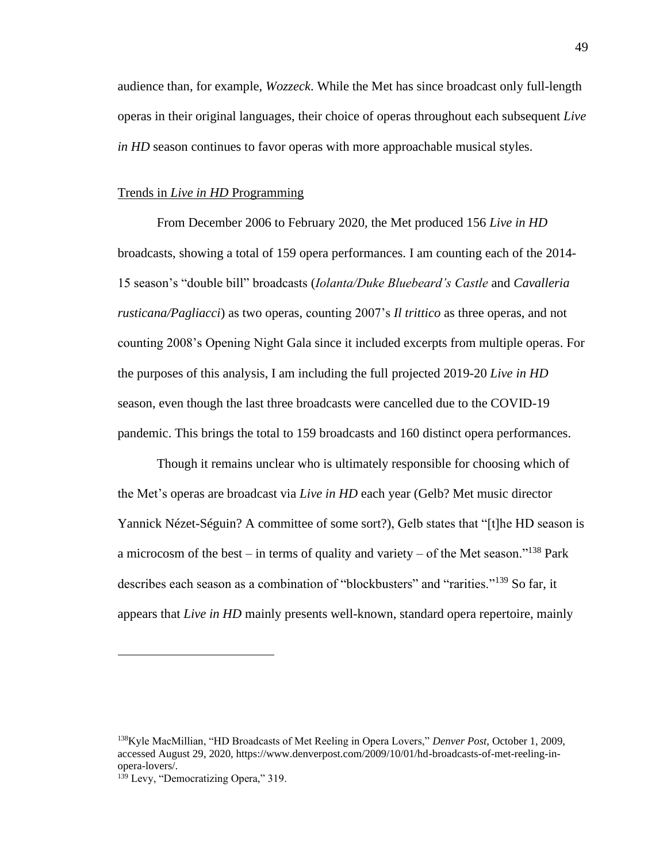audience than, for example, *Wozzeck*. While the Met has since broadcast only full-length operas in their original languages, their choice of operas throughout each subsequent *Live in HD* season continues to favor operas with more approachable musical styles.

## Trends in *Live in HD* Programming

From December 2006 to February 2020, the Met produced 156 *Live in HD* broadcasts, showing a total of 159 opera performances. I am counting each of the 2014- 15 season's "double bill" broadcasts (*Iolanta/Duke Bluebeard's Castle* and *Cavalleria rusticana/Pagliacci*) as two operas, counting 2007's *Il trittico* as three operas, and not counting 2008's Opening Night Gala since it included excerpts from multiple operas. For the purposes of this analysis, I am including the full projected 2019-20 *Live in HD* season, even though the last three broadcasts were cancelled due to the COVID-19 pandemic. This brings the total to 159 broadcasts and 160 distinct opera performances.

Though it remains unclear who is ultimately responsible for choosing which of the Met's operas are broadcast via *Live in HD* each year (Gelb? Met music director Yannick Nézet-Séguin? A committee of some sort?), Gelb states that "[t]he HD season is a microcosm of the best – in terms of quality and variety – of the Met season."<sup>138</sup> Park describes each season as a combination of "blockbusters" and "rarities."<sup>139</sup> So far, it appears that *Live in HD* mainly presents well-known, standard opera repertoire, mainly

<sup>138</sup>Kyle MacMillian, "HD Broadcasts of Met Reeling in Opera Lovers," *Denver Post*, October 1, 2009, accessed August 29, 2020, https://www.denverpost.com/2009/10/01/hd-broadcasts-of-met-reeling-inopera-lovers/.

<sup>&</sup>lt;sup>139</sup> Levy, "Democratizing Opera," 319.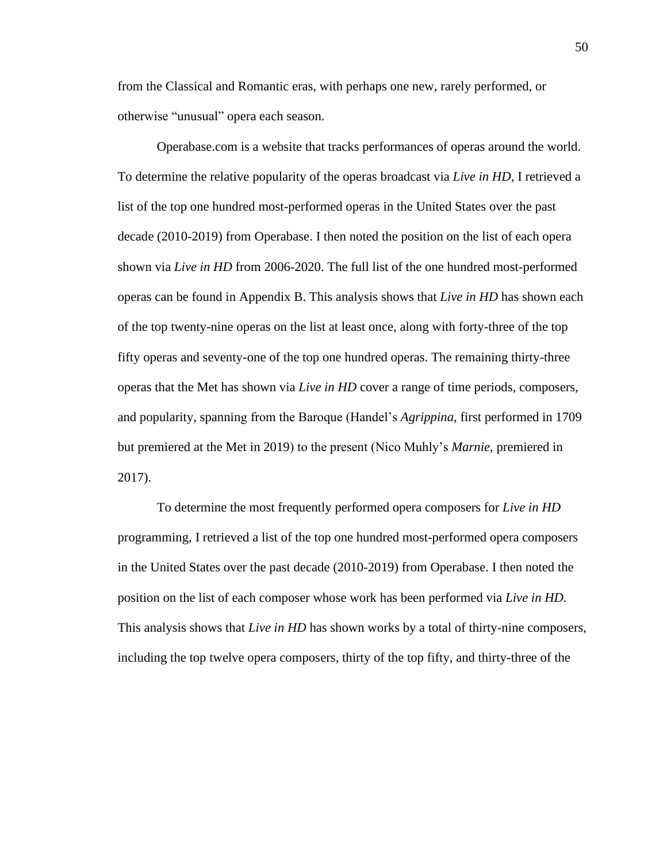from the Classical and Romantic eras, with perhaps one new, rarely performed, or otherwise "unusual" opera each season.

Operabase.com is a website that tracks performances of operas around the world. To determine the relative popularity of the operas broadcast via *Live in HD,* I retrieved a list of the top one hundred most-performed operas in the United States over the past decade (2010-2019) from Operabase. I then noted the position on the list of each opera shown via *Live in HD* from 2006-2020. The full list of the one hundred most-performed operas can be found in Appendix B. This analysis shows that *Live in HD* has shown each of the top twenty-nine operas on the list at least once, along with forty-three of the top fifty operas and seventy-one of the top one hundred operas. The remaining thirty-three operas that the Met has shown via *Live in HD* cover a range of time periods, composers, and popularity, spanning from the Baroque (Handel's *Agrippina*, first performed in 1709 but premiered at the Met in 2019) to the present (Nico Muhly's *Marnie*, premiered in 2017).

To determine the most frequently performed opera composers for *Live in HD* programming, I retrieved a list of the top one hundred most-performed opera composers in the United States over the past decade (2010-2019) from Operabase. I then noted the position on the list of each composer whose work has been performed via *Live in HD.* This analysis shows that *Live in HD* has shown works by a total of thirty-nine composers, including the top twelve opera composers, thirty of the top fifty, and thirty-three of the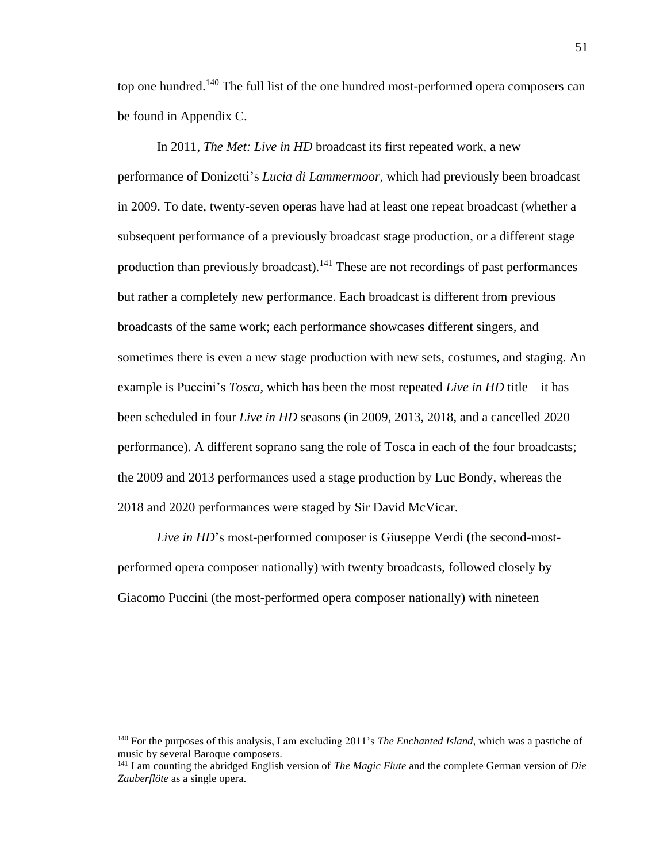top one hundred.<sup>140</sup> The full list of the one hundred most-performed opera composers can be found in Appendix C.

In 2011, *The Met: Live in HD* broadcast its first repeated work, a new performance of Donizetti's *Lucia di Lammermoor,* which had previously been broadcast in 2009. To date, twenty-seven operas have had at least one repeat broadcast (whether a subsequent performance of a previously broadcast stage production, or a different stage production than previously broadcast).<sup>141</sup> These are not recordings of past performances but rather a completely new performance. Each broadcast is different from previous broadcasts of the same work; each performance showcases different singers, and sometimes there is even a new stage production with new sets, costumes, and staging. An example is Puccini's *Tosca,* which has been the most repeated *Live in HD* title – it has been scheduled in four *Live in HD* seasons (in 2009, 2013, 2018, and a cancelled 2020 performance). A different soprano sang the role of Tosca in each of the four broadcasts; the 2009 and 2013 performances used a stage production by Luc Bondy, whereas the 2018 and 2020 performances were staged by Sir David McVicar.

*Live in HD*'s most-performed composer is Giuseppe Verdi (the second-mostperformed opera composer nationally) with twenty broadcasts, followed closely by Giacomo Puccini (the most-performed opera composer nationally) with nineteen

<sup>140</sup> For the purposes of this analysis, I am excluding 2011's *The Enchanted Island,* which was a pastiche of music by several Baroque composers.

<sup>141</sup> I am counting the abridged English version of *The Magic Flute* and the complete German version of *Die Zauberflöte* as a single opera.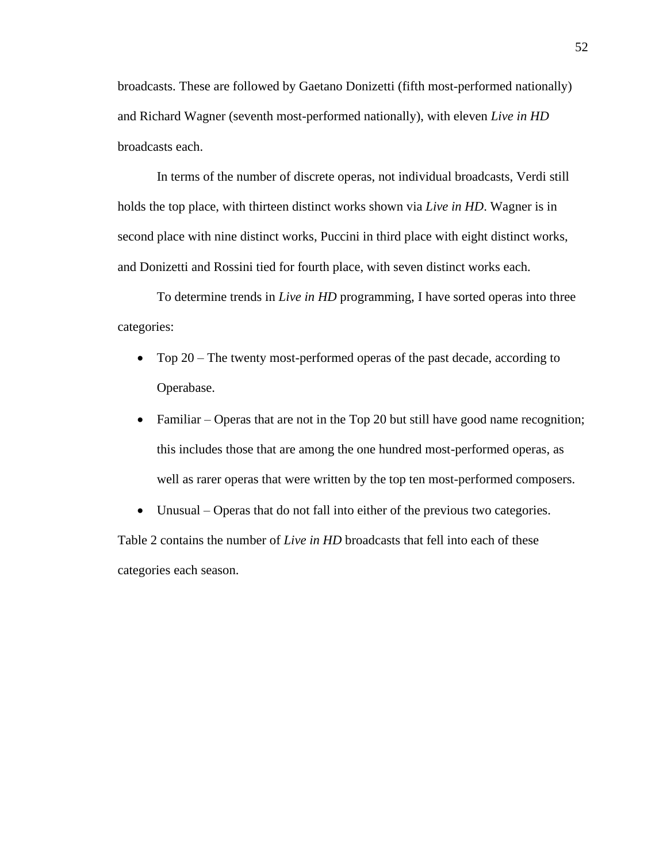broadcasts. These are followed by Gaetano Donizetti (fifth most-performed nationally) and Richard Wagner (seventh most-performed nationally), with eleven *Live in HD* broadcasts each.

In terms of the number of discrete operas, not individual broadcasts, Verdi still holds the top place, with thirteen distinct works shown via *Live in HD*. Wagner is in second place with nine distinct works, Puccini in third place with eight distinct works, and Donizetti and Rossini tied for fourth place, with seven distinct works each.

To determine trends in *Live in HD* programming, I have sorted operas into three categories:

- Top 20 The twenty most-performed operas of the past decade, according to Operabase.
- Familiar Operas that are not in the Top 20 but still have good name recognition; this includes those that are among the one hundred most-performed operas, as well as rarer operas that were written by the top ten most-performed composers.
- Unusual Operas that do not fall into either of the previous two categories. Table 2 contains the number of *Live in HD* broadcasts that fell into each of these categories each season.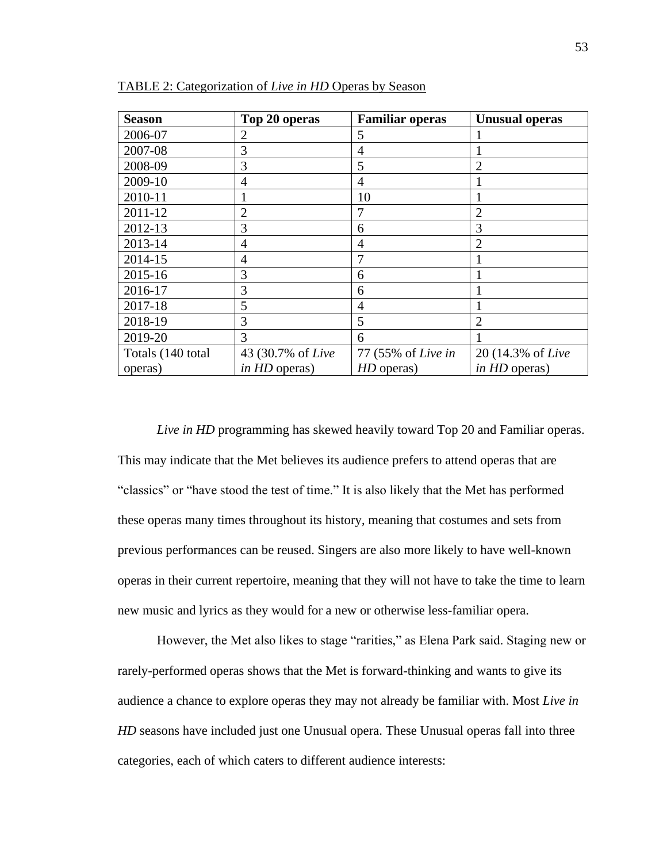| <b>Season</b>     | Top 20 operas        | <b>Familiar operas</b> | <b>Unusual operas</b> |
|-------------------|----------------------|------------------------|-----------------------|
| 2006-07           | 2                    | 5                      |                       |
| 2007-08           | 3                    | 4                      | 1                     |
| 2008-09           | 3                    | 5                      | $\overline{2}$        |
| 2009-10           | 4                    | $\overline{4}$         |                       |
| 2010-11           |                      | 10                     |                       |
| 2011-12           | $\overline{2}$       | 7                      | $\overline{2}$        |
| 2012-13           | 3                    | 6                      | 3                     |
| 2013-14           | 4                    | 4                      | $\overline{2}$        |
| 2014-15           | $\overline{4}$       | 7                      |                       |
| 2015-16           | 3                    | 6                      |                       |
| 2016-17           | 3                    | 6                      |                       |
| 2017-18           | 5                    | 4                      |                       |
| 2018-19           | 3                    | 5                      | $\overline{2}$        |
| 2019-20           | 3                    | 6                      |                       |
| Totals (140 total | 43 (30.7% of Live    | 77 (55% of Live in     | 20 (14.3% of Live     |
| operas)           | <i>in HD</i> operas) | HD operas)             | in HD operas)         |

TABLE 2: Categorization of *Live in HD* Operas by Season

*Live in HD* programming has skewed heavily toward Top 20 and Familiar operas. This may indicate that the Met believes its audience prefers to attend operas that are "classics" or "have stood the test of time." It is also likely that the Met has performed these operas many times throughout its history, meaning that costumes and sets from previous performances can be reused. Singers are also more likely to have well-known operas in their current repertoire, meaning that they will not have to take the time to learn new music and lyrics as they would for a new or otherwise less-familiar opera.

However, the Met also likes to stage "rarities," as Elena Park said. Staging new or rarely-performed operas shows that the Met is forward-thinking and wants to give its audience a chance to explore operas they may not already be familiar with. Most *Live in HD* seasons have included just one Unusual opera. These Unusual operas fall into three categories, each of which caters to different audience interests: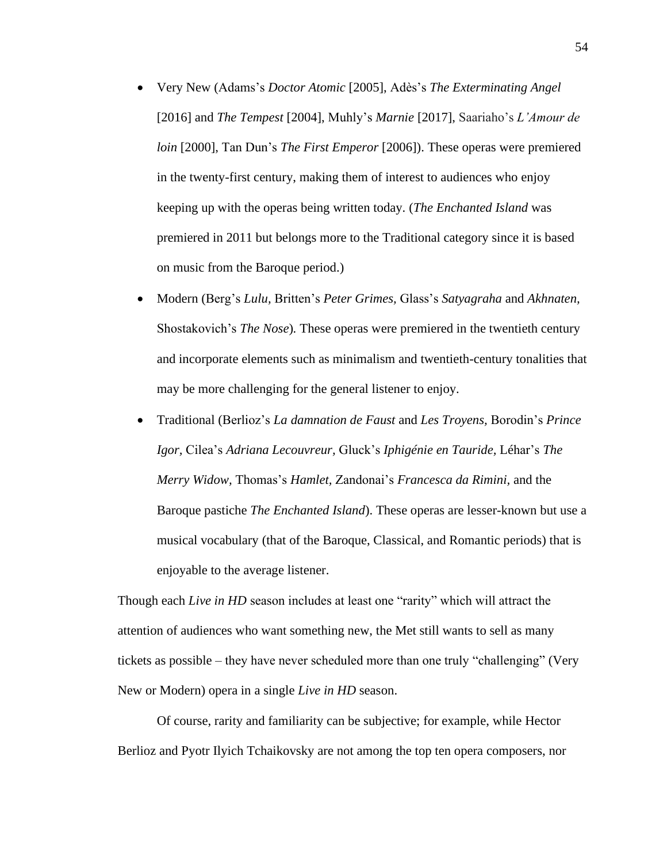- Very New (Adams's *Doctor Atomic* [2005], Adès's *The Exterminating Angel* [2016] and *The Tempest* [2004], Muhly's *Marnie* [2017], Saariaho's *L'Amour de loin* [2000], Tan Dun's *The First Emperor* [2006]). These operas were premiered in the twenty-first century, making them of interest to audiences who enjoy keeping up with the operas being written today. (*The Enchanted Island* was premiered in 2011 but belongs more to the Traditional category since it is based on music from the Baroque period.)
- Modern (Berg's *Lulu,* Britten's *Peter Grimes,* Glass's *Satyagraha* and *Akhnaten,*  Shostakovich's *The Nose*)*.* These operas were premiered in the twentieth century and incorporate elements such as minimalism and twentieth-century tonalities that may be more challenging for the general listener to enjoy.
- Traditional (Berlioz's *La damnation de Faust* and *Les Troyens,* Borodin's *Prince Igor,* Cilea's *Adriana Lecouvreur,* Gluck's *Iphigénie en Tauride,* Léhar's *The Merry Widow,* Thomas's *Hamlet,* Zandonai's *Francesca da Rimini,* and the Baroque pastiche *The Enchanted Island*). These operas are lesser-known but use a musical vocabulary (that of the Baroque, Classical, and Romantic periods) that is enjoyable to the average listener.

Though each *Live in HD* season includes at least one "rarity" which will attract the attention of audiences who want something new, the Met still wants to sell as many tickets as possible – they have never scheduled more than one truly "challenging" (Very New or Modern) opera in a single *Live in HD* season.

Of course, rarity and familiarity can be subjective; for example, while Hector Berlioz and Pyotr Ilyich Tchaikovsky are not among the top ten opera composers, nor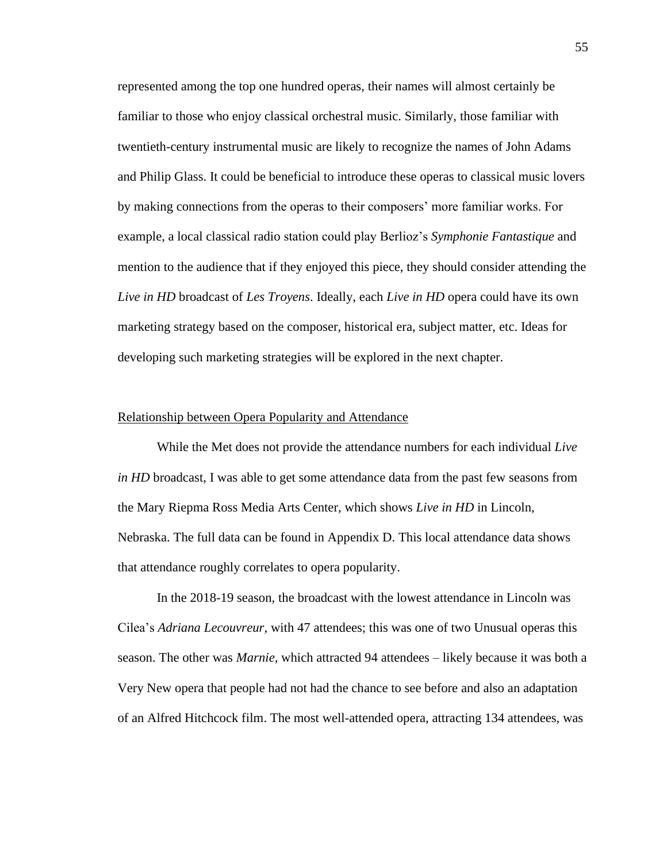represented among the top one hundred operas, their names will almost certainly be familiar to those who enjoy classical orchestral music. Similarly, those familiar with twentieth-century instrumental music are likely to recognize the names of John Adams and Philip Glass. It could be beneficial to introduce these operas to classical music lovers by making connections from the operas to their composers' more familiar works. For example, a local classical radio station could play Berlioz's *Symphonie Fantastique* and mention to the audience that if they enjoyed this piece, they should consider attending the *Live in HD* broadcast of *Les Troyens*. Ideally, each *Live in HD* opera could have its own marketing strategy based on the composer, historical era, subject matter, etc. Ideas for developing such marketing strategies will be explored in the next chapter.

#### Relationship between Opera Popularity and Attendance

While the Met does not provide the attendance numbers for each individual *Live in HD* broadcast, I was able to get some attendance data from the past few seasons from the Mary Riepma Ross Media Arts Center, which shows *Live in HD* in Lincoln, Nebraska. The full data can be found in Appendix D. This local attendance data shows that attendance roughly correlates to opera popularity.

In the 2018-19 season, the broadcast with the lowest attendance in Lincoln was Cilea's *Adriana Lecouvreur,* with 47 attendees; this was one of two Unusual operas this season. The other was *Marnie,* which attracted 94 attendees – likely because it was both a Very New opera that people had not had the chance to see before and also an adaptation of an Alfred Hitchcock film. The most well-attended opera, attracting 134 attendees, was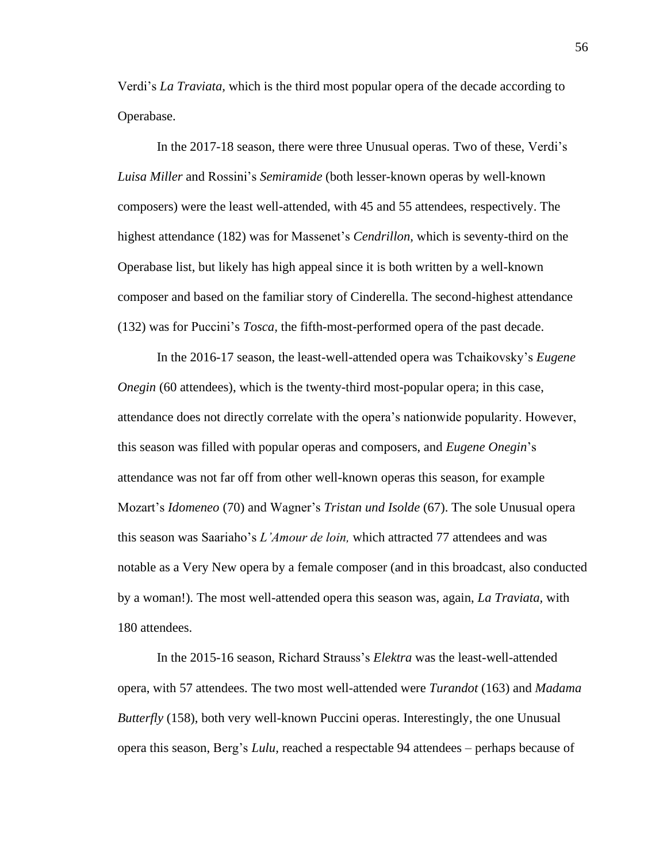Verdi's *La Traviata,* which is the third most popular opera of the decade according to Operabase.

In the 2017-18 season, there were three Unusual operas. Two of these, Verdi's *Luisa Miller* and Rossini's *Semiramide* (both lesser-known operas by well-known composers) were the least well-attended, with 45 and 55 attendees, respectively. The highest attendance (182) was for Massenet's *Cendrillon,* which is seventy-third on the Operabase list, but likely has high appeal since it is both written by a well-known composer and based on the familiar story of Cinderella. The second-highest attendance (132) was for Puccini's *Tosca,* the fifth-most-performed opera of the past decade.

In the 2016-17 season, the least-well-attended opera was Tchaikovsky's *Eugene Onegin* (60 attendees), which is the twenty-third most-popular opera; in this case, attendance does not directly correlate with the opera's nationwide popularity. However, this season was filled with popular operas and composers, and *Eugene Onegin*'s attendance was not far off from other well-known operas this season, for example Mozart's *Idomeneo* (70) and Wagner's *Tristan und Isolde* (67). The sole Unusual opera this season was Saariaho's *L'Amour de loin,* which attracted 77 attendees and was notable as a Very New opera by a female composer (and in this broadcast, also conducted by a woman!). The most well-attended opera this season was, again, *La Traviata,* with 180 attendees.

In the 2015-16 season, Richard Strauss's *Elektra* was the least-well-attended opera, with 57 attendees. The two most well-attended were *Turandot* (163) and *Madama Butterfly* (158), both very well-known Puccini operas. Interestingly, the one Unusual opera this season, Berg's *Lulu,* reached a respectable 94 attendees – perhaps because of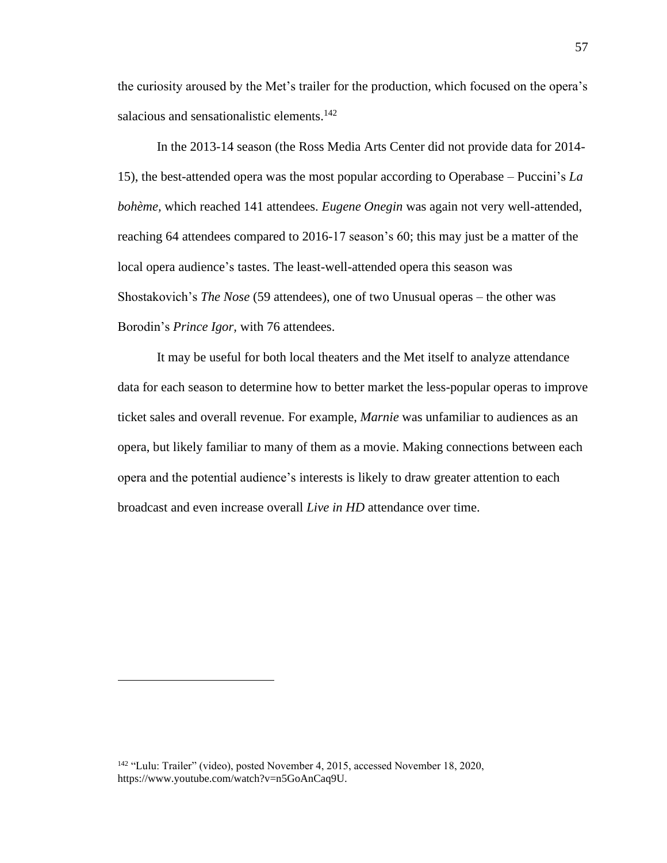the curiosity aroused by the Met's trailer for the production, which focused on the opera's salacious and sensationalistic elements.<sup>142</sup>

In the 2013-14 season (the Ross Media Arts Center did not provide data for 2014- 15), the best-attended opera was the most popular according to Operabase – Puccini's *La bohème,* which reached 141 attendees. *Eugene Onegin* was again not very well-attended, reaching 64 attendees compared to 2016-17 season's 60; this may just be a matter of the local opera audience's tastes. The least-well-attended opera this season was Shostakovich's *The Nose* (59 attendees), one of two Unusual operas – the other was Borodin's *Prince Igor,* with 76 attendees.

It may be useful for both local theaters and the Met itself to analyze attendance data for each season to determine how to better market the less-popular operas to improve ticket sales and overall revenue. For example, *Marnie* was unfamiliar to audiences as an opera, but likely familiar to many of them as a movie. Making connections between each opera and the potential audience's interests is likely to draw greater attention to each broadcast and even increase overall *Live in HD* attendance over time.

<sup>142</sup> "Lulu: Trailer" (video), posted November 4, 2015, accessed November 18, 2020, https://www.youtube.com/watch?v=n5GoAnCaq9U.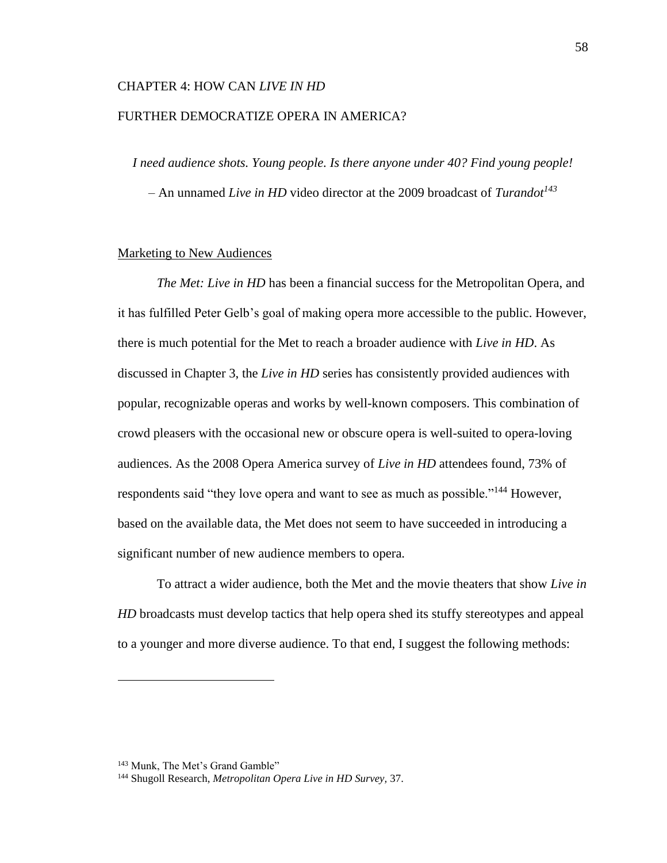## CHAPTER 4: HOW CAN *LIVE IN HD*

# FURTHER DEMOCRATIZE OPERA IN AMERICA?

*I need audience shots. Young people. Is there anyone under 40? Find young people!*

– An unnamed *Live in HD* video director at the 2009 broadcast of *Turandot<sup>143</sup>*

### Marketing to New Audiences

*The Met: Live in HD* has been a financial success for the Metropolitan Opera, and it has fulfilled Peter Gelb's goal of making opera more accessible to the public. However, there is much potential for the Met to reach a broader audience with *Live in HD*. As discussed in Chapter 3, the *Live in HD* series has consistently provided audiences with popular, recognizable operas and works by well-known composers. This combination of crowd pleasers with the occasional new or obscure opera is well-suited to opera-loving audiences. As the 2008 Opera America survey of *Live in HD* attendees found, 73% of respondents said "they love opera and want to see as much as possible."<sup>144</sup> However, based on the available data, the Met does not seem to have succeeded in introducing a significant number of new audience members to opera.

To attract a wider audience, both the Met and the movie theaters that show *Live in HD* broadcasts must develop tactics that help opera shed its stuffy stereotypes and appeal to a younger and more diverse audience. To that end, I suggest the following methods:

<sup>&</sup>lt;sup>143</sup> Munk, The Met's Grand Gamble"

<sup>144</sup> Shugoll Research, *Metropolitan Opera Live in HD Survey,* 37.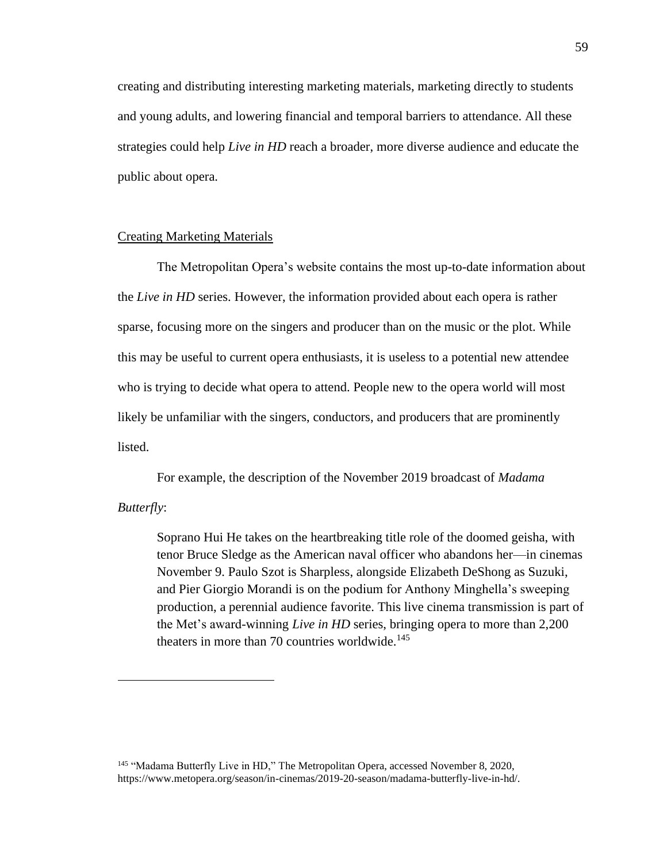creating and distributing interesting marketing materials, marketing directly to students and young adults, and lowering financial and temporal barriers to attendance. All these strategies could help *Live in HD* reach a broader, more diverse audience and educate the public about opera.

# Creating Marketing Materials

The Metropolitan Opera's website contains the most up-to-date information about the *Live in HD* series. However, the information provided about each opera is rather sparse, focusing more on the singers and producer than on the music or the plot. While this may be useful to current opera enthusiasts, it is useless to a potential new attendee who is trying to decide what opera to attend. People new to the opera world will most likely be unfamiliar with the singers, conductors, and producers that are prominently listed.

For example, the description of the November 2019 broadcast of *Madama* 

## *Butterfly*:

Soprano Hui He takes on the heartbreaking title role of the doomed geisha, with tenor Bruce Sledge as the American naval officer who abandons her—in cinemas November 9. Paulo Szot is Sharpless, alongside Elizabeth DeShong as Suzuki, and Pier Giorgio Morandi is on the podium for Anthony Minghella's sweeping production, a perennial audience favorite. This live cinema transmission is part of the Met's award-winning *Live in HD* series, bringing opera to more than 2,200 theaters in more than 70 countries worldwide. $145$ 

<sup>&</sup>lt;sup>145</sup> "Madama Butterfly Live in HD," The Metropolitan Opera, accessed November 8, 2020, https://www.metopera.org/season/in-cinemas/2019-20-season/madama-butterfly-live-in-hd/.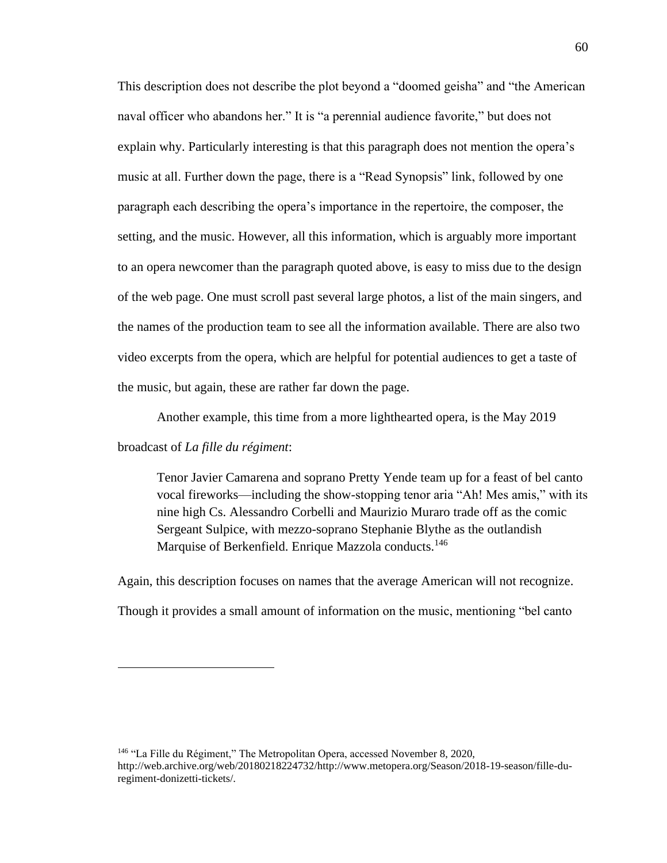This description does not describe the plot beyond a "doomed geisha" and "the American naval officer who abandons her." It is "a perennial audience favorite," but does not explain why. Particularly interesting is that this paragraph does not mention the opera's music at all. Further down the page, there is a "Read Synopsis" link, followed by one paragraph each describing the opera's importance in the repertoire, the composer, the setting, and the music. However, all this information, which is arguably more important to an opera newcomer than the paragraph quoted above, is easy to miss due to the design of the web page. One must scroll past several large photos, a list of the main singers, and the names of the production team to see all the information available. There are also two video excerpts from the opera, which are helpful for potential audiences to get a taste of the music, but again, these are rather far down the page.

Another example, this time from a more lighthearted opera, is the May 2019

### broadcast of *La fille du régiment*:

Tenor Javier Camarena and soprano Pretty Yende team up for a feast of bel canto vocal fireworks—including the show-stopping tenor aria "Ah! Mes amis," with its nine high Cs. Alessandro Corbelli and Maurizio Muraro trade off as the comic Sergeant Sulpice, with mezzo-soprano Stephanie Blythe as the outlandish Marquise of Berkenfield. Enrique Mazzola conducts.<sup>146</sup>

Again, this description focuses on names that the average American will not recognize. Though it provides a small amount of information on the music, mentioning "bel canto

<sup>146</sup> "La Fille du Régiment," The Metropolitan Opera, accessed November 8, 2020, http://web.archive.org/web/20180218224732/http://www.metopera.org/Season/2018-19-season/fille-duregiment-donizetti-tickets/.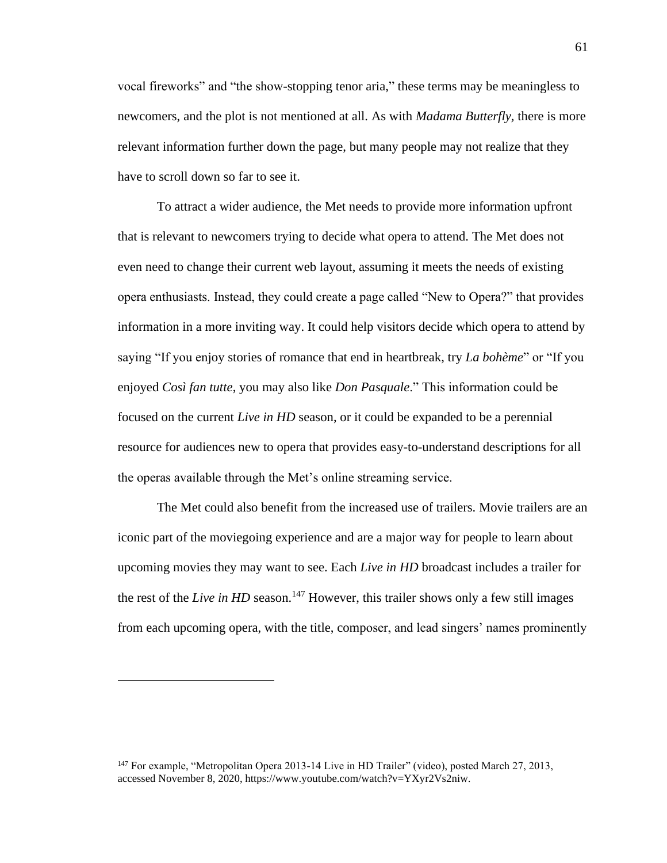vocal fireworks" and "the show-stopping tenor aria," these terms may be meaningless to newcomers, and the plot is not mentioned at all. As with *Madama Butterfly,* there is more relevant information further down the page, but many people may not realize that they have to scroll down so far to see it.

To attract a wider audience, the Met needs to provide more information upfront that is relevant to newcomers trying to decide what opera to attend. The Met does not even need to change their current web layout, assuming it meets the needs of existing opera enthusiasts. Instead, they could create a page called "New to Opera?" that provides information in a more inviting way. It could help visitors decide which opera to attend by saying "If you enjoy stories of romance that end in heartbreak, try *La bohème*" or "If you enjoyed *Così fan tutte*, you may also like *Don Pasquale*." This information could be focused on the current *Live in HD* season, or it could be expanded to be a perennial resource for audiences new to opera that provides easy-to-understand descriptions for all the operas available through the Met's online streaming service.

The Met could also benefit from the increased use of trailers. Movie trailers are an iconic part of the moviegoing experience and are a major way for people to learn about upcoming movies they may want to see. Each *Live in HD* broadcast includes a trailer for the rest of the *Live in HD* season.<sup>147</sup> However, this trailer shows only a few still images from each upcoming opera, with the title, composer, and lead singers' names prominently

<sup>&</sup>lt;sup>147</sup> For example, "Metropolitan Opera 2013-14 Live in HD Trailer" (video), posted March 27, 2013, accessed November 8, 2020, https://www.youtube.com/watch?v=YXyr2Vs2niw.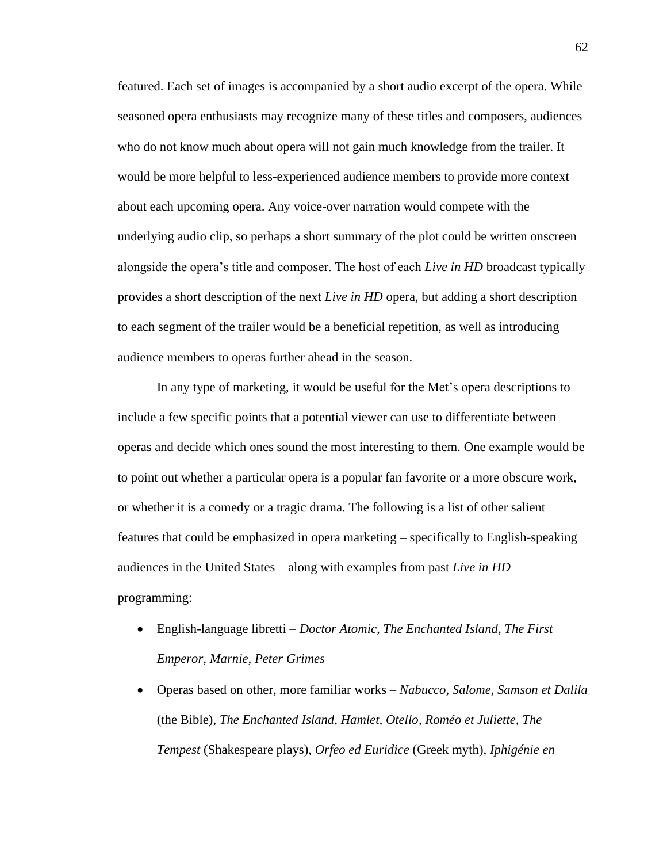featured. Each set of images is accompanied by a short audio excerpt of the opera. While seasoned opera enthusiasts may recognize many of these titles and composers, audiences who do not know much about opera will not gain much knowledge from the trailer. It would be more helpful to less-experienced audience members to provide more context about each upcoming opera. Any voice-over narration would compete with the underlying audio clip, so perhaps a short summary of the plot could be written onscreen alongside the opera's title and composer. The host of each *Live in HD* broadcast typically provides a short description of the next *Live in HD* opera, but adding a short description to each segment of the trailer would be a beneficial repetition, as well as introducing audience members to operas further ahead in the season.

In any type of marketing, it would be useful for the Met's opera descriptions to include a few specific points that a potential viewer can use to differentiate between operas and decide which ones sound the most interesting to them. One example would be to point out whether a particular opera is a popular fan favorite or a more obscure work, or whether it is a comedy or a tragic drama. The following is a list of other salient features that could be emphasized in opera marketing – specifically to English-speaking audiences in the United States – along with examples from past *Live in HD* programming:

- English-language libretti *Doctor Atomic, The Enchanted Island, The First Emperor, Marnie, Peter Grimes*
- Operas based on other, more familiar works *Nabucco, Salome, Samson et Dalila* (the Bible), *The Enchanted Island, Hamlet, Otello, Roméo et Juliette, The Tempest* (Shakespeare plays), *Orfeo ed Euridice* (Greek myth), *Iphigénie en*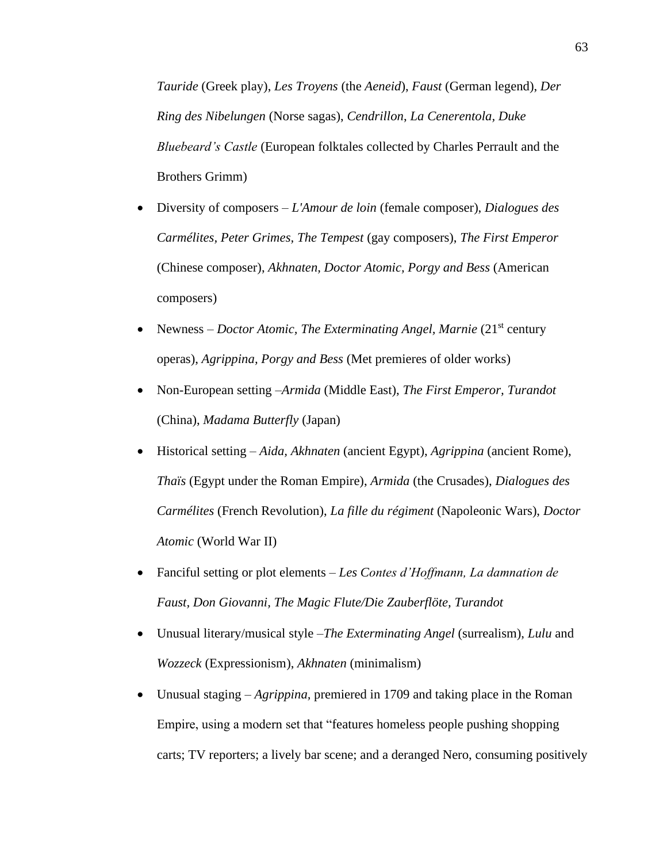*Tauride* (Greek play), *Les Troyens* (the *Aeneid*), *Faust* (German legend), *Der Ring des Nibelungen* (Norse sagas), *Cendrillon*, *La Cenerentola, Duke Bluebeard's Castle* (European folktales collected by Charles Perrault and the Brothers Grimm)

- Diversity of composers *L'Amour de loin* (female composer), *Dialogues des Carmélites, Peter Grimes, The Tempest* (gay composers), *The First Emperor* (Chinese composer), *Akhnaten, Doctor Atomic, Porgy and Bess* (American composers)
- Newness *Doctor Atomic, The Exterminating Angel, Marnie* (21<sup>st</sup> century operas), *Agrippina, Porgy and Bess* (Met premieres of older works)
- Non-European setting –*Armida* (Middle East), *The First Emperor, Turandot* (China), *Madama Butterfly* (Japan)
- Historical setting *Aida, Akhnaten* (ancient Egypt), *Agrippina* (ancient Rome), *Thaïs* (Egypt under the Roman Empire), *Armida* (the Crusades), *Dialogues des Carmélites* (French Revolution), *La fille du régiment* (Napoleonic Wars), *Doctor Atomic* (World War II)
- Fanciful setting or plot elements *Les Contes d'Hoffmann, La damnation de Faust, Don Giovanni, The Magic Flute/Die Zauberflöte, Turandot*
- Unusual literary/musical style –*The Exterminating Angel* (surrealism), *Lulu* and *Wozzeck* (Expressionism), *Akhnaten* (minimalism)
- Unusual staging *Agrippina,* premiered in 1709 and taking place in the Roman Empire, using a modern set that "features homeless people pushing shopping carts; TV reporters; a lively bar scene; and a deranged Nero, consuming positively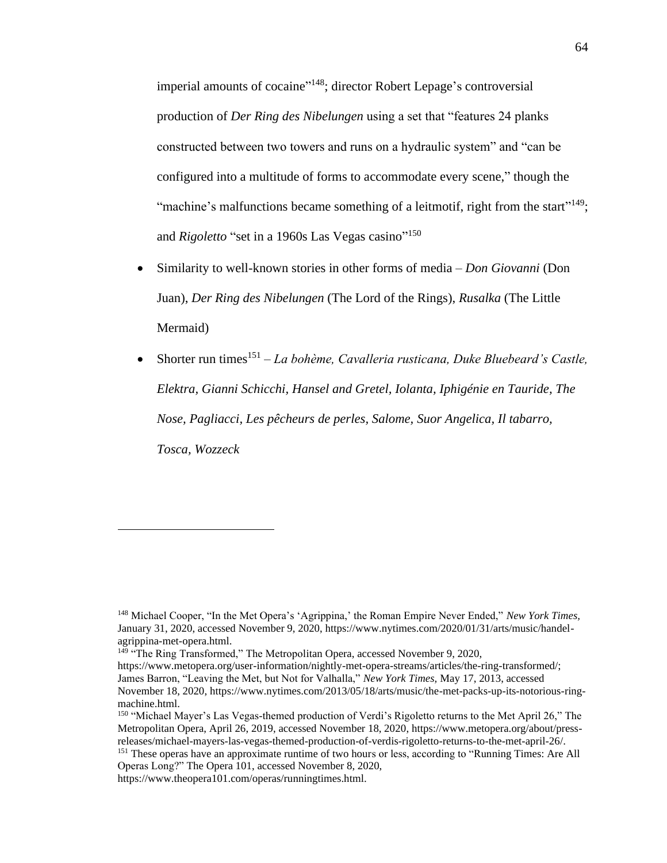imperial amounts of cocaine"<sup>148</sup>; director Robert Lepage's controversial production of *Der Ring des Nibelungen* using a set that "features 24 planks constructed between two towers and runs on a hydraulic system" and "can be configured into a multitude of forms to accommodate every scene," though the "machine's malfunctions became something of a leitmotif, right from the start"<sup>149</sup>; and *Rigoletto* "set in a 1960s Las Vegas casino"<sup>150</sup>

- Similarity to well-known stories in other forms of media *Don Giovanni* (Don Juan), *Der Ring des Nibelungen* (The Lord of the Rings), *Rusalka* (The Little Mermaid)
- Shorter run times<sup>151</sup> *La bohème, Cavalleria rusticana, Duke Bluebeard's Castle, Elektra, Gianni Schicchi, Hansel and Gretel, Iolanta, Iphigénie en Tauride, The Nose, Pagliacci, Les pêcheurs de perles, Salome, Suor Angelica, Il tabarro, Tosca, Wozzeck*

<sup>148</sup> Michael Cooper, "In the Met Opera's 'Agrippina,' the Roman Empire Never Ended," *New York Times,*  January 31, 2020, accessed November 9, 2020, https://www.nytimes.com/2020/01/31/arts/music/handelagrippina-met-opera.html.

<sup>&</sup>lt;sup>149</sup> "The Ring Transformed," The Metropolitan Opera, accessed November 9, 2020,

https://www.metopera.org/user-information/nightly-met-opera-streams/articles/the-ring-transformed/; James Barron, "Leaving the Met, but Not for Valhalla," *New York Times,* May 17, 2013, accessed November 18, 2020, https://www.nytimes.com/2013/05/18/arts/music/the-met-packs-up-its-notorious-ringmachine.html.

<sup>&</sup>lt;sup>150</sup> "Michael Mayer's Las Vegas-themed production of Verdi's Rigoletto returns to the Met April 26," The Metropolitan Opera, April 26, 2019, accessed November 18, 2020, https://www.metopera.org/about/pressreleases/michael-mayers-las-vegas-themed-production-of-verdis-rigoletto-returns-to-the-met-april-26/.

<sup>&</sup>lt;sup>151</sup> These operas have an approximate runtime of two hours or less, according to "Running Times: Are All Operas Long?" The Opera 101, accessed November 8, 2020,

https://www.theopera101.com/operas/runningtimes.html.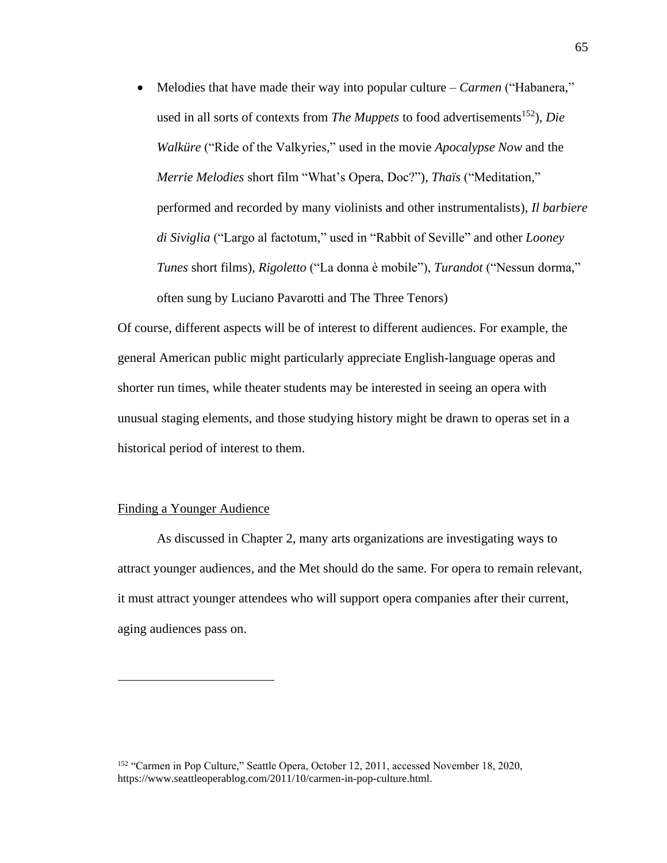• Melodies that have made their way into popular culture – *Carmen* ("Habanera," used in all sorts of contexts from *The Muppets* to food advertisements<sup>152</sup>), *Die Walküre* ("Ride of the Valkyries," used in the movie *Apocalypse Now* and the *Merrie Melodies* short film "What's Opera, Doc?"), *Thaïs* ("Meditation," performed and recorded by many violinists and other instrumentalists), *Il barbiere di Siviglia* ("Largo al factotum," used in "Rabbit of Seville" and other *Looney Tunes* short films), *Rigoletto* ("La donna è mobile"), *Turandot* ("Nessun dorma," often sung by Luciano Pavarotti and The Three Tenors)

Of course, different aspects will be of interest to different audiences. For example, the general American public might particularly appreciate English-language operas and shorter run times, while theater students may be interested in seeing an opera with unusual staging elements, and those studying history might be drawn to operas set in a historical period of interest to them.

#### Finding a Younger Audience

As discussed in Chapter 2, many arts organizations are investigating ways to attract younger audiences, and the Met should do the same. For opera to remain relevant, it must attract younger attendees who will support opera companies after their current, aging audiences pass on.

<sup>&</sup>lt;sup>152</sup> "Carmen in Pop Culture," Seattle Opera, October 12, 2011, accessed November 18, 2020, https://www.seattleoperablog.com/2011/10/carmen-in-pop-culture.html.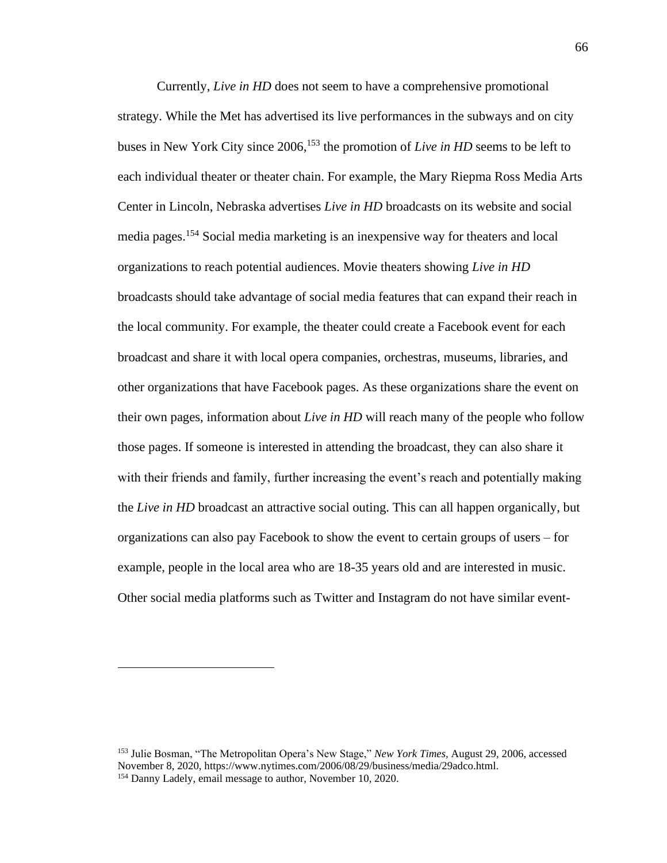Currently, *Live in HD* does not seem to have a comprehensive promotional strategy. While the Met has advertised its live performances in the subways and on city buses in New York City since 2006,<sup>153</sup> the promotion of *Live in HD* seems to be left to each individual theater or theater chain. For example, the Mary Riepma Ross Media Arts Center in Lincoln, Nebraska advertises *Live in HD* broadcasts on its website and social media pages.<sup>154</sup> Social media marketing is an inexpensive way for theaters and local organizations to reach potential audiences. Movie theaters showing *Live in HD* broadcasts should take advantage of social media features that can expand their reach in the local community. For example, the theater could create a Facebook event for each broadcast and share it with local opera companies, orchestras, museums, libraries, and other organizations that have Facebook pages. As these organizations share the event on their own pages, information about *Live in HD* will reach many of the people who follow those pages. If someone is interested in attending the broadcast, they can also share it with their friends and family, further increasing the event's reach and potentially making the *Live in HD* broadcast an attractive social outing. This can all happen organically, but organizations can also pay Facebook to show the event to certain groups of users – for example, people in the local area who are 18-35 years old and are interested in music. Other social media platforms such as Twitter and Instagram do not have similar event-

<sup>153</sup> Julie Bosman, "The Metropolitan Opera's New Stage," *New York Times,* August 29, 2006, accessed November 8, 2020, https://www.nytimes.com/2006/08/29/business/media/29adco.html. <sup>154</sup> Danny Ladely, email message to author, November 10, 2020.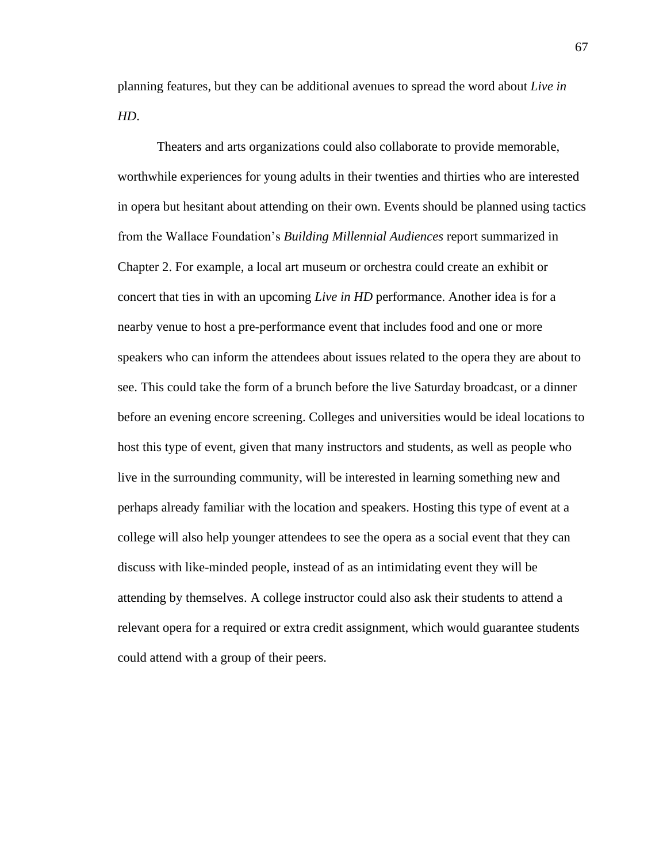planning features, but they can be additional avenues to spread the word about *Live in HD*.

Theaters and arts organizations could also collaborate to provide memorable, worthwhile experiences for young adults in their twenties and thirties who are interested in opera but hesitant about attending on their own. Events should be planned using tactics from the Wallace Foundation's *Building Millennial Audiences* report summarized in Chapter 2. For example, a local art museum or orchestra could create an exhibit or concert that ties in with an upcoming *Live in HD* performance. Another idea is for a nearby venue to host a pre-performance event that includes food and one or more speakers who can inform the attendees about issues related to the opera they are about to see. This could take the form of a brunch before the live Saturday broadcast, or a dinner before an evening encore screening. Colleges and universities would be ideal locations to host this type of event, given that many instructors and students, as well as people who live in the surrounding community, will be interested in learning something new and perhaps already familiar with the location and speakers. Hosting this type of event at a college will also help younger attendees to see the opera as a social event that they can discuss with like-minded people, instead of as an intimidating event they will be attending by themselves. A college instructor could also ask their students to attend a relevant opera for a required or extra credit assignment, which would guarantee students could attend with a group of their peers.

67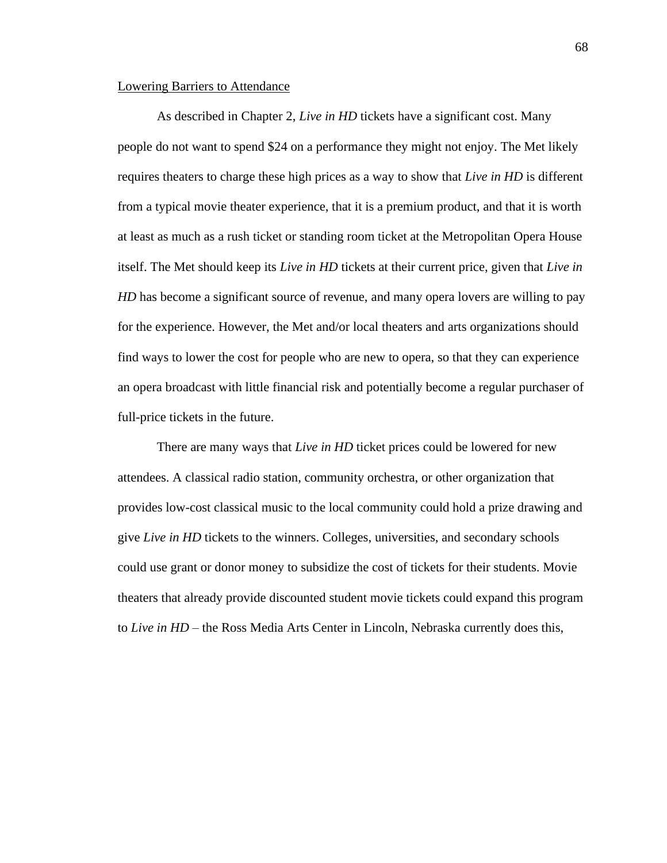#### Lowering Barriers to Attendance

As described in Chapter 2, *Live in HD* tickets have a significant cost. Many people do not want to spend \$24 on a performance they might not enjoy. The Met likely requires theaters to charge these high prices as a way to show that *Live in HD* is different from a typical movie theater experience, that it is a premium product, and that it is worth at least as much as a rush ticket or standing room ticket at the Metropolitan Opera House itself. The Met should keep its *Live in HD* tickets at their current price, given that *Live in HD* has become a significant source of revenue, and many opera lovers are willing to pay for the experience. However, the Met and/or local theaters and arts organizations should find ways to lower the cost for people who are new to opera, so that they can experience an opera broadcast with little financial risk and potentially become a regular purchaser of full-price tickets in the future.

There are many ways that *Live in HD* ticket prices could be lowered for new attendees. A classical radio station, community orchestra, or other organization that provides low-cost classical music to the local community could hold a prize drawing and give *Live in HD* tickets to the winners. Colleges, universities, and secondary schools could use grant or donor money to subsidize the cost of tickets for their students. Movie theaters that already provide discounted student movie tickets could expand this program to *Live in HD* – the Ross Media Arts Center in Lincoln, Nebraska currently does this,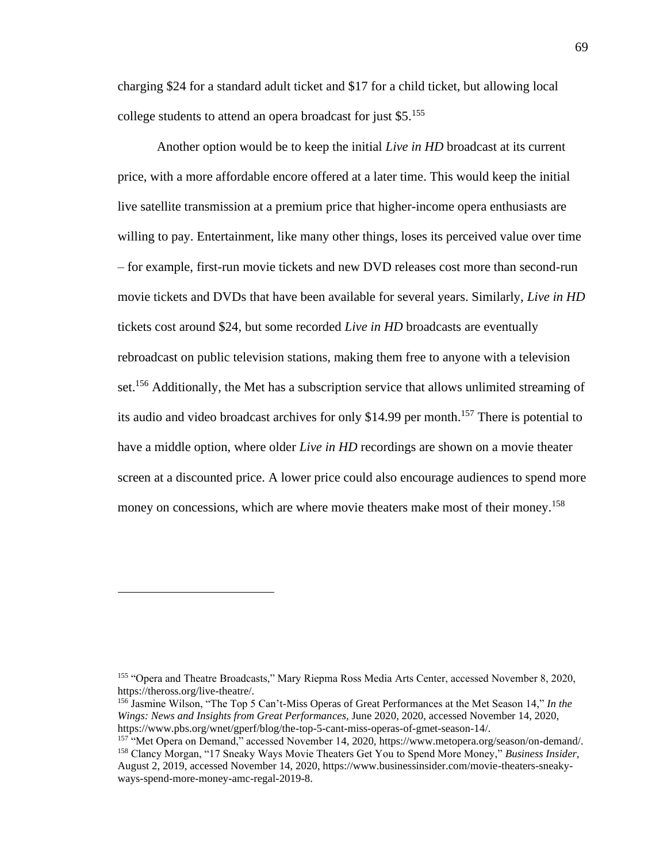charging \$24 for a standard adult ticket and \$17 for a child ticket, but allowing local college students to attend an opera broadcast for just \$5.<sup>155</sup>

Another option would be to keep the initial *Live in HD* broadcast at its current price, with a more affordable encore offered at a later time. This would keep the initial live satellite transmission at a premium price that higher-income opera enthusiasts are willing to pay. Entertainment, like many other things, loses its perceived value over time – for example, first-run movie tickets and new DVD releases cost more than second-run movie tickets and DVDs that have been available for several years. Similarly, *Live in HD* tickets cost around \$24, but some recorded *Live in HD* broadcasts are eventually rebroadcast on public television stations, making them free to anyone with a television set.<sup>156</sup> Additionally, the Met has a subscription service that allows unlimited streaming of its audio and video broadcast archives for only \$14.99 per month.<sup>157</sup> There is potential to have a middle option, where older *Live in HD* recordings are shown on a movie theater screen at a discounted price. A lower price could also encourage audiences to spend more money on concessions, which are where movie theaters make most of their money.<sup>158</sup>

<sup>155</sup> "Opera and Theatre Broadcasts," Mary Riepma Ross Media Arts Center, accessed November 8, 2020, https://theross.org/live-theatre/.

<sup>156</sup> Jasmine Wilson, "The Top 5 Can't-Miss Operas of Great Performances at the Met Season 14," *In the Wings: News and Insights from Great Performances,* June 2020, 2020, accessed November 14, 2020, https://www.pbs.org/wnet/gperf/blog/the-top-5-cant-miss-operas-of-gmet-season-14/.

<sup>157</sup> "Met Opera on Demand," accessed November 14, 2020, https://www.metopera.org/season/on-demand/. <sup>158</sup> Clancy Morgan, "17 Sneaky Ways Movie Theaters Get You to Spend More Money," *Business Insider,* August 2, 2019, accessed November 14, 2020, https://www.businessinsider.com/movie-theaters-sneakyways-spend-more-money-amc-regal-2019-8.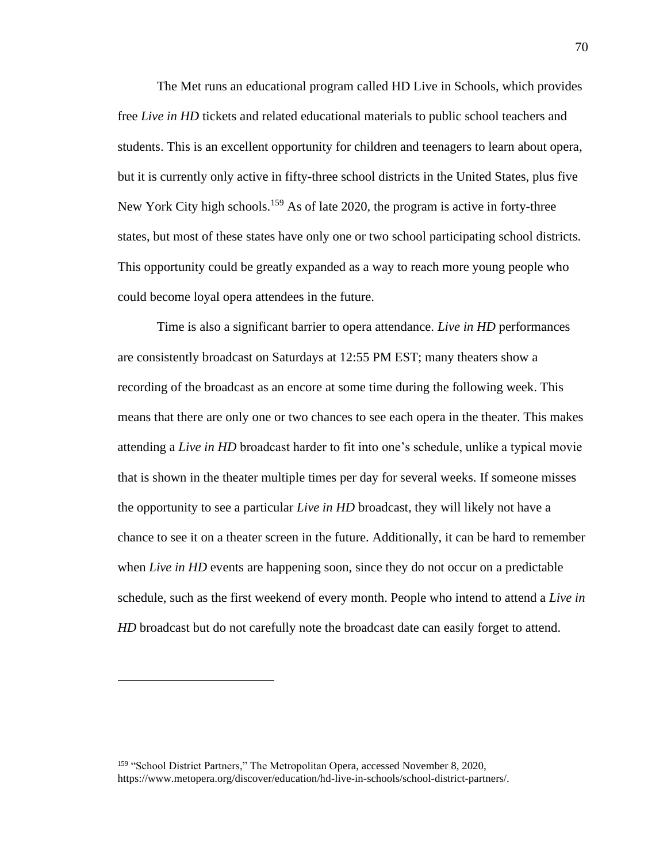The Met runs an educational program called HD Live in Schools, which provides free *Live in HD* tickets and related educational materials to public school teachers and students. This is an excellent opportunity for children and teenagers to learn about opera, but it is currently only active in fifty-three school districts in the United States, plus five New York City high schools.<sup>159</sup> As of late 2020, the program is active in forty-three states, but most of these states have only one or two school participating school districts. This opportunity could be greatly expanded as a way to reach more young people who could become loyal opera attendees in the future.

Time is also a significant barrier to opera attendance. *Live in HD* performances are consistently broadcast on Saturdays at 12:55 PM EST; many theaters show a recording of the broadcast as an encore at some time during the following week. This means that there are only one or two chances to see each opera in the theater. This makes attending a *Live in HD* broadcast harder to fit into one's schedule, unlike a typical movie that is shown in the theater multiple times per day for several weeks. If someone misses the opportunity to see a particular *Live in HD* broadcast, they will likely not have a chance to see it on a theater screen in the future. Additionally, it can be hard to remember when *Live in HD* events are happening soon, since they do not occur on a predictable schedule, such as the first weekend of every month. People who intend to attend a *Live in HD* broadcast but do not carefully note the broadcast date can easily forget to attend.

<sup>&</sup>lt;sup>159</sup> "School District Partners," The Metropolitan Opera, accessed November 8, 2020, https://www.metopera.org/discover/education/hd-live-in-schools/school-district-partners/.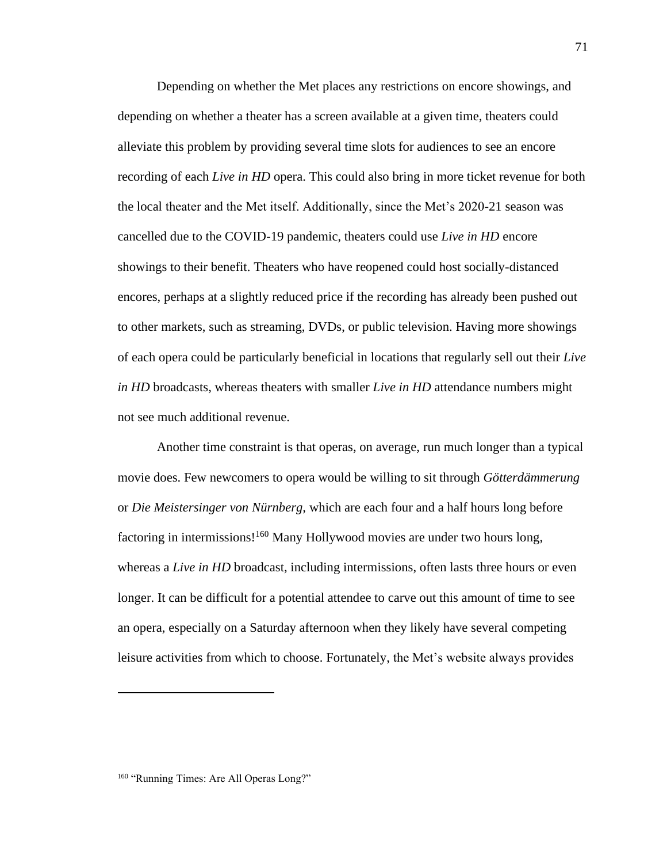Depending on whether the Met places any restrictions on encore showings, and depending on whether a theater has a screen available at a given time, theaters could alleviate this problem by providing several time slots for audiences to see an encore recording of each *Live in HD* opera. This could also bring in more ticket revenue for both the local theater and the Met itself. Additionally, since the Met's 2020-21 season was cancelled due to the COVID-19 pandemic, theaters could use *Live in HD* encore showings to their benefit. Theaters who have reopened could host socially-distanced encores, perhaps at a slightly reduced price if the recording has already been pushed out to other markets, such as streaming, DVDs, or public television. Having more showings of each opera could be particularly beneficial in locations that regularly sell out their *Live in HD* broadcasts, whereas theaters with smaller *Live in HD* attendance numbers might not see much additional revenue.

Another time constraint is that operas, on average, run much longer than a typical movie does. Few newcomers to opera would be willing to sit through *Götterdämmerung* or *Die Meistersinger von Nürnberg,* which are each four and a half hours long before factoring in intermissions!<sup>160</sup> Many Hollywood movies are under two hours long, whereas a *Live in HD* broadcast, including intermissions, often lasts three hours or even longer. It can be difficult for a potential attendee to carve out this amount of time to see an opera, especially on a Saturday afternoon when they likely have several competing leisure activities from which to choose. Fortunately, the Met's website always provides

<sup>&</sup>lt;sup>160</sup> "Running Times: Are All Operas Long?"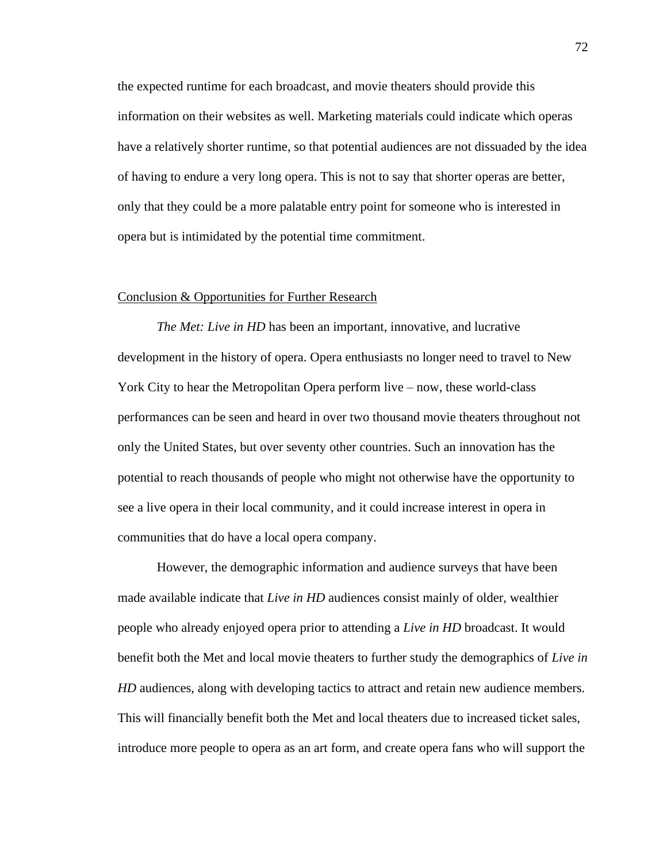the expected runtime for each broadcast, and movie theaters should provide this information on their websites as well. Marketing materials could indicate which operas have a relatively shorter runtime, so that potential audiences are not dissuaded by the idea of having to endure a very long opera. This is not to say that shorter operas are better, only that they could be a more palatable entry point for someone who is interested in opera but is intimidated by the potential time commitment.

#### Conclusion & Opportunities for Further Research

*The Met: Live in HD* has been an important, innovative, and lucrative development in the history of opera. Opera enthusiasts no longer need to travel to New York City to hear the Metropolitan Opera perform live – now, these world-class performances can be seen and heard in over two thousand movie theaters throughout not only the United States, but over seventy other countries. Such an innovation has the potential to reach thousands of people who might not otherwise have the opportunity to see a live opera in their local community, and it could increase interest in opera in communities that do have a local opera company.

However, the demographic information and audience surveys that have been made available indicate that *Live in HD* audiences consist mainly of older, wealthier people who already enjoyed opera prior to attending a *Live in HD* broadcast. It would benefit both the Met and local movie theaters to further study the demographics of *Live in HD* audiences, along with developing tactics to attract and retain new audience members. This will financially benefit both the Met and local theaters due to increased ticket sales, introduce more people to opera as an art form, and create opera fans who will support the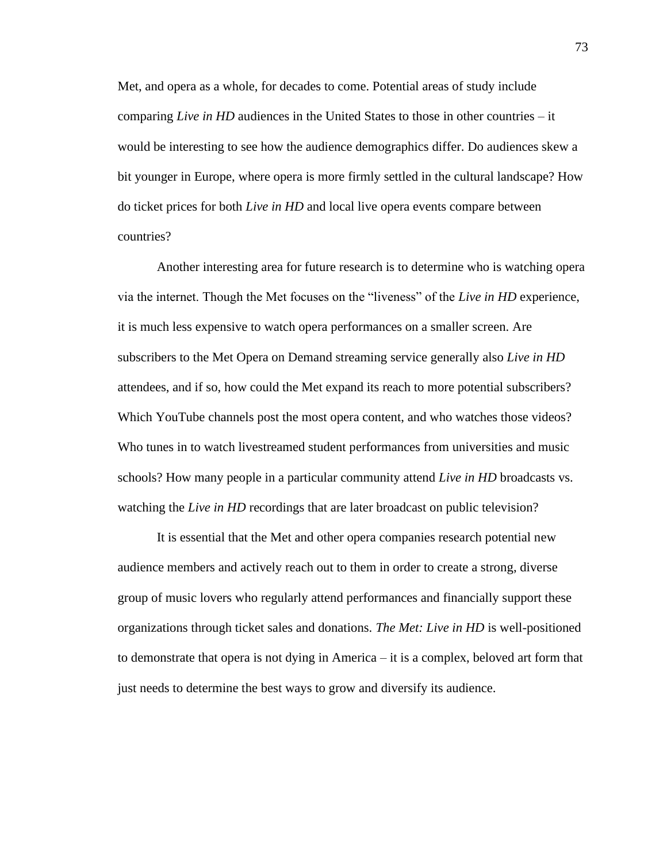Met, and opera as a whole, for decades to come. Potential areas of study include comparing *Live in HD* audiences in the United States to those in other countries – it would be interesting to see how the audience demographics differ. Do audiences skew a bit younger in Europe, where opera is more firmly settled in the cultural landscape? How do ticket prices for both *Live in HD* and local live opera events compare between countries?

Another interesting area for future research is to determine who is watching opera via the internet. Though the Met focuses on the "liveness" of the *Live in HD* experience, it is much less expensive to watch opera performances on a smaller screen. Are subscribers to the Met Opera on Demand streaming service generally also *Live in HD* attendees, and if so, how could the Met expand its reach to more potential subscribers? Which YouTube channels post the most opera content, and who watches those videos? Who tunes in to watch livestreamed student performances from universities and music schools? How many people in a particular community attend *Live in HD* broadcasts vs. watching the *Live in HD* recordings that are later broadcast on public television?

It is essential that the Met and other opera companies research potential new audience members and actively reach out to them in order to create a strong, diverse group of music lovers who regularly attend performances and financially support these organizations through ticket sales and donations. *The Met: Live in HD* is well-positioned to demonstrate that opera is not dying in America – it is a complex, beloved art form that just needs to determine the best ways to grow and diversify its audience.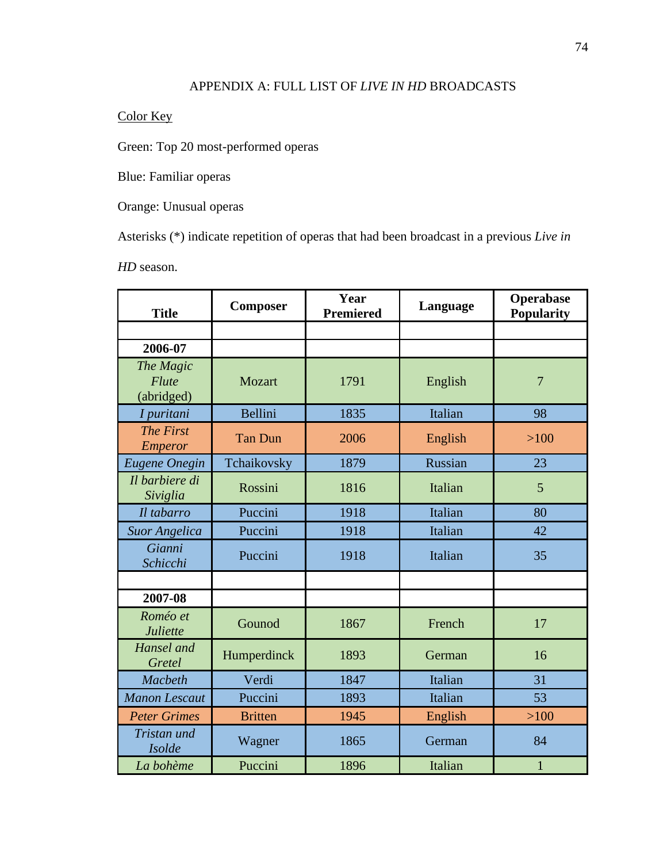### APPENDIX A: FULL LIST OF *LIVE IN HD* BROADCASTS

# Color Key

Green: Top 20 most-performed operas

Blue: Familiar operas

Orange: Unusual operas

Asterisks (\*) indicate repetition of operas that had been broadcast in a previous *Live in* 

*HD* season.

| <b>Title</b>                            | <b>Composer</b> | Year<br><b>Premiered</b> | Language | <b>Operabase</b><br>Popularity |
|-----------------------------------------|-----------------|--------------------------|----------|--------------------------------|
|                                         |                 |                          |          |                                |
| 2006-07                                 |                 |                          |          |                                |
| The Magic<br><b>Flute</b><br>(abridged) | Mozart          | 1791                     | English  | $\overline{7}$                 |
| I puritani                              | Bellini         | 1835                     | Italian  | 98                             |
| <b>The First</b><br><b>Emperor</b>      | <b>Tan Dun</b>  | 2006                     | English  | $>100$                         |
| Eugene Onegin                           | Tchaikovsky     | 1879                     | Russian  | 23                             |
| Il barbiere di<br>Siviglia              | Rossini         | 1816                     | Italian  | 5                              |
| Il tabarro                              | Puccini         | 1918                     | Italian  | 80                             |
| <b>Suor Angelica</b>                    | Puccini         | 1918                     | Italian  | 42                             |
| Gianni<br>Schicchi                      | Puccini         | 1918                     | Italian  | 35                             |
|                                         |                 |                          |          |                                |
| 2007-08                                 |                 |                          |          |                                |
| Roméo et<br>Juliette                    | Gounod          | 1867                     | French   | 17                             |
| Hansel and<br>Gretel                    | Humperdinck     | 1893                     | German   | 16                             |
| <b>Macbeth</b>                          | Verdi           | 1847                     | Italian  | 31                             |
| <b>Manon Lescaut</b>                    | Puccini         | 1893                     | Italian  | 53                             |
| <b>Peter Grimes</b>                     | <b>Britten</b>  | 1945                     | English  | $>100$                         |
| Tristan und<br><b>Isolde</b>            | Wagner          | 1865                     | German   | 84                             |
| La bohème                               | Puccini         | 1896                     | Italian  | $\mathbf{1}$                   |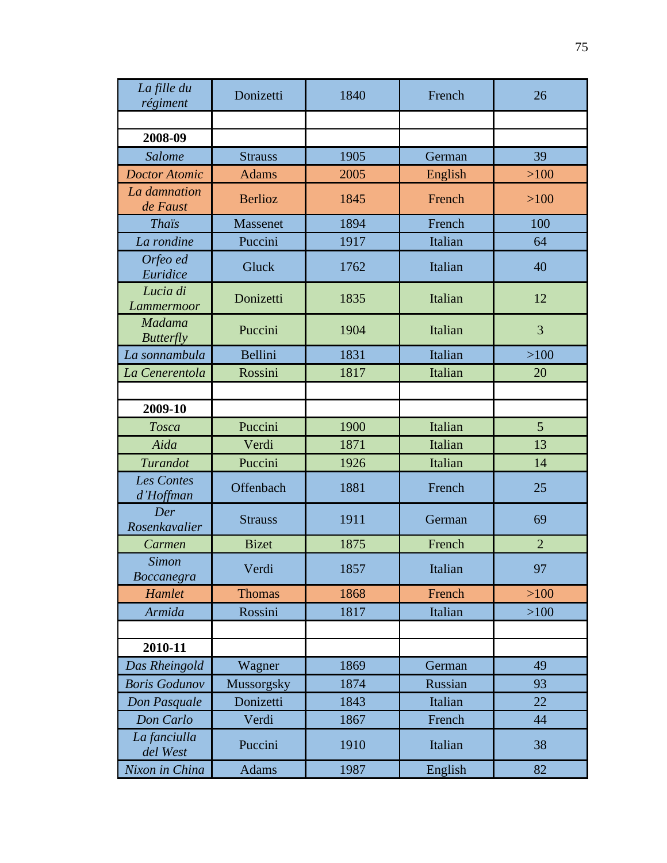| La fille du<br>régiment           | Donizetti       | 1840 | French  | 26             |
|-----------------------------------|-----------------|------|---------|----------------|
|                                   |                 |      |         |                |
| 2008-09                           |                 |      |         |                |
| Salome                            | <b>Strauss</b>  | 1905 | German  | 39             |
| <b>Doctor Atomic</b>              | <b>Adams</b>    | 2005 | English | >100           |
| La damnation<br>de Faust          | <b>Berlioz</b>  | 1845 | French  | >100           |
| <b>Thais</b>                      | <b>Massenet</b> | 1894 | French  | 100            |
| La rondine                        | Puccini         | 1917 | Italian | 64             |
| Orfeo ed<br>Euridice              | Gluck           | 1762 | Italian | 40             |
| Lucia di<br>Lammermoor            | Donizetti       | 1835 | Italian | 12             |
| Madama<br><b>Butterfly</b>        | Puccini         | 1904 | Italian | 3              |
| La sonnambula                     | Bellini         | 1831 | Italian | >100           |
| La Cenerentola                    | Rossini         | 1817 | Italian | 20             |
|                                   |                 |      |         |                |
| 2009-10                           |                 |      |         |                |
| Tosca                             | Puccini         | 1900 | Italian | 5              |
| Aida                              | Verdi           | 1871 | Italian | 13             |
| Turandot                          | Puccini         | 1926 | Italian | 14             |
| <b>Les Contes</b><br>d'Hoffman    | Offenbach       | 1881 | French  | 25             |
| Der<br>Rosenkavalier              | <b>Strauss</b>  | 1911 | German  | 69             |
| Carmen                            | <b>Bizet</b>    | 1875 | French  | $\overline{2}$ |
| <b>Simon</b><br><b>Boccanegra</b> | Verdi           | 1857 | Italian | 97             |
| Hamlet                            | <b>Thomas</b>   | 1868 | French  | $>100$         |
| Armida                            | Rossini         | 1817 | Italian | $>100$         |
|                                   |                 |      |         |                |
| 2010-11                           |                 |      |         |                |
| Das Rheingold                     | Wagner          | 1869 | German  | 49             |
| <b>Boris Godunov</b>              | Mussorgsky      | 1874 | Russian | 93             |
| Don Pasquale                      | Donizetti       | 1843 | Italian | 22             |
| Don Carlo                         | Verdi           | 1867 | French  | 44             |
| La fanciulla<br>del West          | Puccini         | 1910 | Italian | 38             |
| Nixon in China                    | <b>Adams</b>    | 1987 | English | 82             |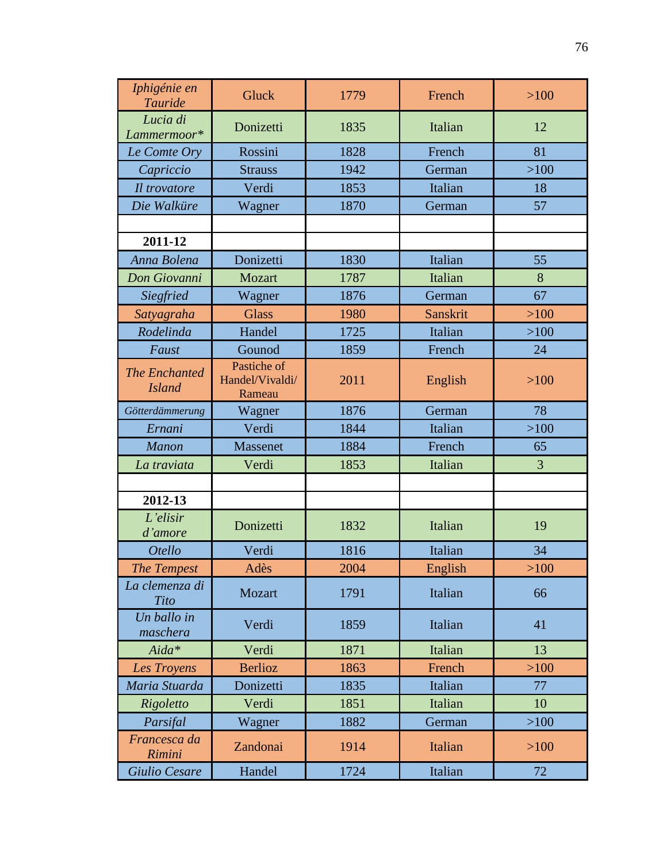| Iphigénie en<br>Tauride               | Gluck                                    | 1779 | French   | $>100$ |
|---------------------------------------|------------------------------------------|------|----------|--------|
| Lucia di<br>Lammermoor*               | Donizetti                                | 1835 | Italian  | 12     |
| Le Comte Ory                          | Rossini                                  | 1828 | French   | 81     |
| Capriccio                             | <b>Strauss</b>                           | 1942 | German   | $>100$ |
| Il trovatore                          | Verdi                                    | 1853 | Italian  | 18     |
| Die Walküre                           | Wagner                                   | 1870 | German   | 57     |
|                                       |                                          |      |          |        |
| 2011-12                               |                                          |      |          |        |
| Anna Bolena                           | Donizetti                                | 1830 | Italian  | 55     |
| Don Giovanni                          | Mozart                                   | 1787 | Italian  | 8      |
| Siegfried                             | Wagner                                   | 1876 | German   | 67     |
| Satyagraha                            | <b>Glass</b>                             | 1980 | Sanskrit | $>100$ |
| Rodelinda                             | Handel                                   | 1725 | Italian  | $>100$ |
| Faust                                 | Gounod                                   | 1859 | French   | 24     |
| <b>The Enchanted</b><br><b>Island</b> | Pastiche of<br>Handel/Vivaldi/<br>Rameau | 2011 | English  | $>100$ |
| Götterdämmerung                       | Wagner                                   | 1876 | German   | 78     |
| Ernani                                | Verdi                                    | 1844 | Italian  | $>100$ |
| <b>Manon</b>                          | Massenet                                 | 1884 | French   | 65     |
| La traviata                           | Verdi                                    | 1853 | Italian  | 3      |
|                                       |                                          |      |          |        |
| 2012-13                               |                                          |      |          |        |
| L'elisir<br>d'amore                   | Donizetti                                | 1832 | Italian  | 19     |
| <b>Otello</b>                         | Verdi                                    | 1816 | Italian  | 34     |
| <b>The Tempest</b>                    | Adès                                     | 2004 | English  | $>100$ |
| La clemenza di<br>Tito                | Mozart                                   | 1791 | Italian  | 66     |
| Un ballo in<br>maschera               | Verdi                                    | 1859 | Italian  | 41     |
| Aida*                                 | Verdi                                    | 1871 | Italian  | 13     |
| Les Troyens                           | <b>Berlioz</b>                           | 1863 | French   | $>100$ |
| Maria Stuarda                         | Donizetti                                | 1835 | Italian  | 77     |
| Rigoletto                             | Verdi                                    | 1851 | Italian  | 10     |
| Parsifal                              | Wagner                                   | 1882 | German   | $>100$ |
| Francesca da<br>Rimini                | Zandonai                                 | 1914 | Italian  | $>100$ |
| Giulio Cesare                         | Handel                                   | 1724 | Italian  | 72     |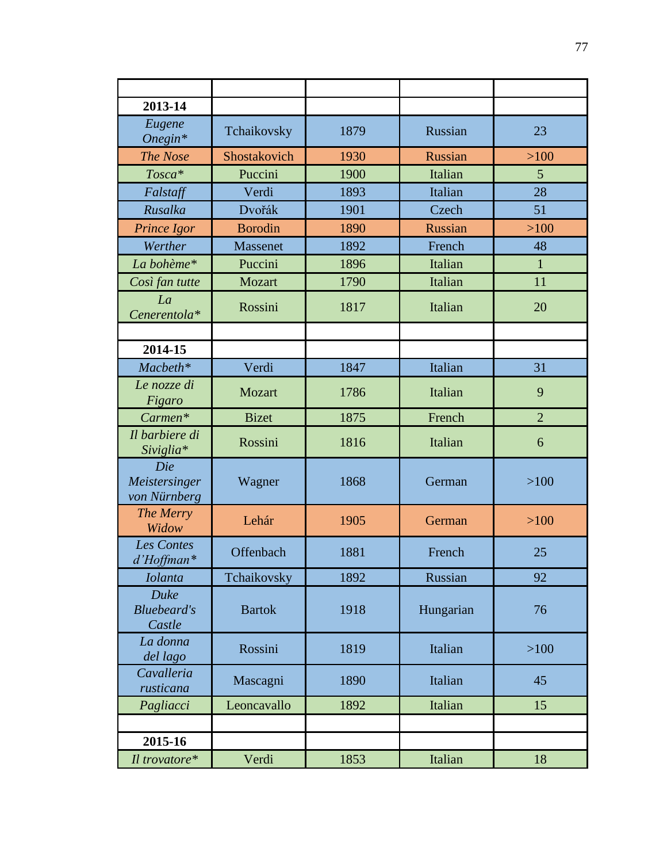| 2013-14                              |                |      |           |                |
|--------------------------------------|----------------|------|-----------|----------------|
| Eugene<br>$Onegin*$                  | Tchaikovsky    | 1879 | Russian   | 23             |
| The Nose                             | Shostakovich   | 1930 | Russian   | $>100$         |
| Tosca*                               | Puccini        | 1900 | Italian   | 5              |
| Falstaff                             | Verdi          | 1893 | Italian   | 28             |
| Rusalka                              | Dvořák         | 1901 | Czech     | 51             |
| Prince Igor                          | <b>Borodin</b> | 1890 | Russian   | $>100$         |
| Werther                              | Massenet       | 1892 | French    | 48             |
| La bohème*                           | Puccini        | 1896 | Italian   | $\mathbf{1}$   |
| Così fan tutte                       | Mozart         | 1790 | Italian   | 11             |
| La<br>Cenerentola*                   | Rossini        | 1817 | Italian   | 20             |
|                                      |                |      |           |                |
| 2014-15                              |                |      |           |                |
| Macbeth*                             | Verdi          | 1847 | Italian   | 31             |
| Le nozze di<br>Figaro                | <b>Mozart</b>  | 1786 | Italian   | 9              |
| Carmen*                              | <b>Bizet</b>   | 1875 | French    | $\overline{2}$ |
| Il barbiere di<br>Siviglia*          | Rossini        | 1816 | Italian   | 6              |
| Die<br>Meistersinger<br>von Nürnberg | Wagner         | 1868 | German    | >100           |
| The Merry<br>Widow                   | Lehár          | 1905 | German    | >100           |
| <b>Les Contes</b><br>d'Hoffman*      | Offenbach      | 1881 | French    | 25             |
| <b>Iolanta</b>                       | Tchaikovsky    | 1892 | Russian   | 92             |
| Duke<br><b>Bluebeard's</b><br>Castle | <b>Bartok</b>  | 1918 | Hungarian | 76             |
| La donna<br>del lago                 | Rossini        | 1819 | Italian   | >100           |
| Cavalleria<br>rusticana              | Mascagni       | 1890 | Italian   | 45             |
| Pagliacci                            | Leoncavallo    | 1892 | Italian   | 15             |
|                                      |                |      |           |                |
| 2015-16                              |                |      |           |                |
| Il trovatore*                        | Verdi          | 1853 | Italian   | 18             |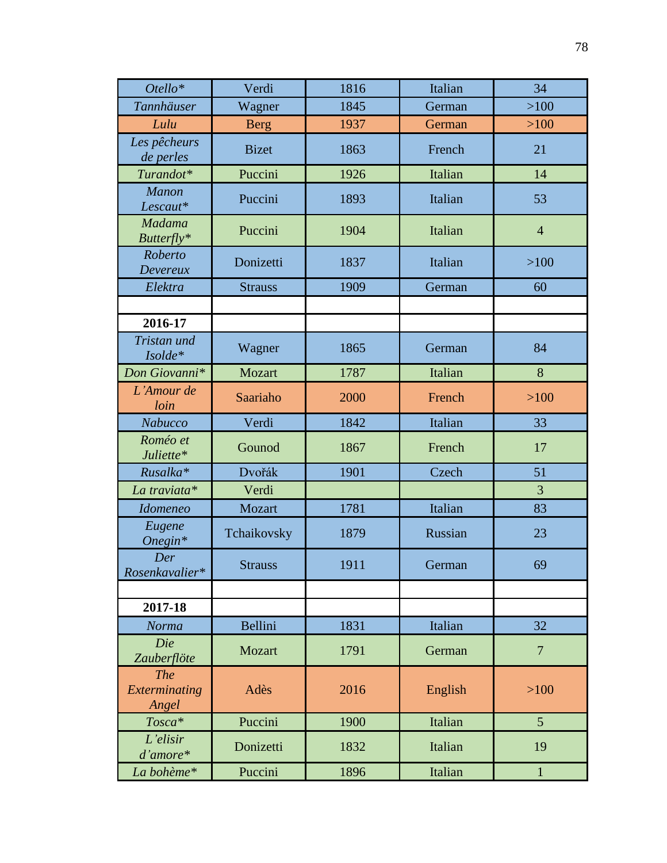| Otello*                              | Verdi          | 1816 | Italian | 34             |
|--------------------------------------|----------------|------|---------|----------------|
| <b>Tannhäuser</b>                    | Wagner         | 1845 | German  | $>100$         |
| Lulu                                 | <b>Berg</b>    | 1937 | German  | >100           |
| Les pêcheurs<br>de perles            | <b>Bizet</b>   | 1863 | French  | 21             |
| Turandot*                            | Puccini        | 1926 | Italian | 14             |
| <b>Manon</b><br>Lescaut*             | Puccini        | 1893 | Italian | 53             |
| <b>Madama</b><br>Butterfly*          | Puccini        | 1904 | Italian | $\overline{4}$ |
| Roberto<br>Devereux                  | Donizetti      | 1837 | Italian | >100           |
| Elektra                              | <b>Strauss</b> | 1909 | German  | 60             |
|                                      |                |      |         |                |
| 2016-17                              |                |      |         |                |
| Tristan und<br>Isolde*               | Wagner         | 1865 | German  | 84             |
| Don Giovanni*                        | Mozart         | 1787 | Italian | 8              |
| L'Amour de<br>loin                   | Saariaho       | 2000 | French  | >100           |
| Nabucco                              | Verdi          | 1842 | Italian | 33             |
| Roméo et<br>Juliette*                | Gounod         | 1867 | French  | 17             |
| Rusalka*                             | Dvořák         | 1901 | Czech   | 51             |
| La traviata*                         | Verdi          |      |         | 3              |
| <b>Idomeneo</b>                      | Mozart         | 1781 | Italian | 83             |
| Eugene<br>$Onegin*$                  | Tchaikovsky    | 1879 | Russian | 23             |
| Der<br>Rosenkavalier*                | <b>Strauss</b> | 1911 | German  | 69             |
|                                      |                |      |         |                |
| 2017-18                              |                |      |         |                |
| Norma                                | Bellini        | 1831 | Italian | 32             |
| Die<br>Zauberflöte                   | Mozart         | 1791 | German  | $\overline{7}$ |
| <b>The</b><br>Exterminating<br>Angel | Adès           | 2016 | English | >100           |
| Tosca*                               | Puccini        | 1900 | Italian | 5 <sup>5</sup> |
| L'elisir<br>$d'amore*$               | Donizetti      | 1832 | Italian | 19             |
| La bohème*                           | Puccini        | 1896 | Italian | $\mathbf{1}$   |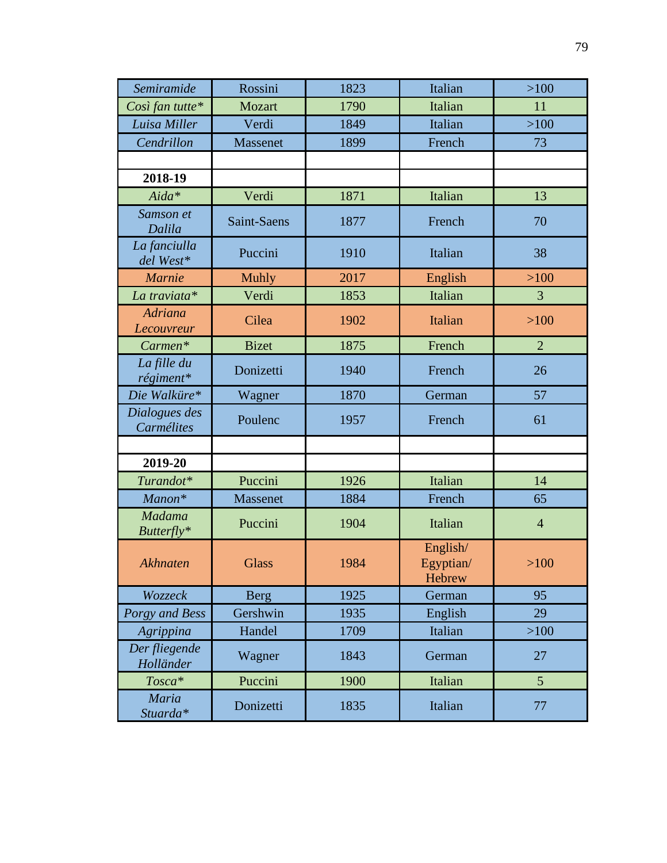| Semiramide                   | Rossini         | 1823 | Italian                         | $>100$         |
|------------------------------|-----------------|------|---------------------------------|----------------|
| Così fan tutte*              | Mozart          | 1790 | Italian                         | 11             |
| Luisa Miller                 | Verdi           | 1849 | Italian                         | $>100$         |
| Cendrillon                   | <b>Massenet</b> | 1899 | French                          | 73             |
|                              |                 |      |                                 |                |
| 2018-19                      |                 |      |                                 |                |
| Aida*                        | Verdi           | 1871 | Italian                         | 13             |
| Samson et<br>Dalila          | Saint-Saens     | 1877 | French                          | 70             |
| La fanciulla<br>del West*    | Puccini         | 1910 | Italian                         | 38             |
| <b>Marnie</b>                | <b>Muhly</b>    | 2017 | English                         | $>100$         |
| La traviata*                 | Verdi           | 1853 | Italian                         | 3              |
| <b>Adriana</b><br>Lecouvreur | Cilea           | 1902 | Italian                         | $>100$         |
| Carmen*                      | <b>Bizet</b>    | 1875 | French                          | $\overline{2}$ |
| La fille du<br>régiment*     | Donizetti       | 1940 | French                          | 26             |
| Die Walküre*                 | Wagner          | 1870 | German                          | 57             |
| Dialogues des<br>Carmélites  | Poulenc         | 1957 | French                          | 61             |
|                              |                 |      |                                 |                |
| 2019-20                      |                 |      |                                 |                |
| Turandot*                    | Puccini         | 1926 | Italian                         | 14             |
| Manon*                       | Massenet        | 1884 | French                          | 65             |
| <b>Madama</b><br>Butterfly*  | Puccini         | 1904 | Italian                         | $\overline{4}$ |
| Akhnaten                     | <b>Glass</b>    | 1984 | English/<br>Egyptian/<br>Hebrew | $>100$         |
| Wozzeck                      | <b>Berg</b>     | 1925 | German                          | 95             |
| Porgy and Bess               | Gershwin        | 1935 | English                         | 29             |
| Agrippina                    | Handel          | 1709 | Italian                         | $>100$         |
| Der fliegende<br>Holländer   | Wagner          | 1843 | German                          | 27             |
| Tosca*                       | Puccini         | 1900 | Italian                         | 5 <sup>5</sup> |
| Maria<br>Stuarda*            | Donizetti       | 1835 | Italian                         | 77             |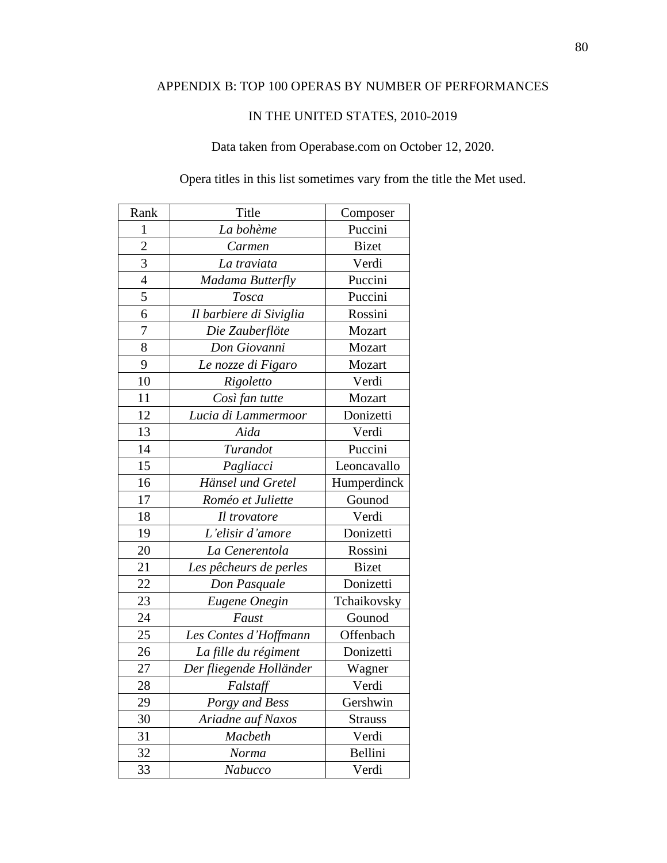# APPENDIX B: TOP 100 OPERAS BY NUMBER OF PERFORMANCES

### IN THE UNITED STATES, 2010-2019

# Data taken from Operabase.com on October 12, 2020.

Opera titles in this list sometimes vary from the title the Met used.

| Rank           | Title                   | Composer       |
|----------------|-------------------------|----------------|
| 1              | La bohème               | Puccini        |
| $\overline{2}$ | Carmen                  | <b>Bizet</b>   |
| 3              | La traviata             | Verdi          |
| $\overline{4}$ | Madama Butterfly        | Puccini        |
| 5              | Tosca                   | Puccini        |
| 6              | Il barbiere di Siviglia | Rossini        |
| 7              | Die Zauberflöte         | Mozart         |
| 8              | Don Giovanni            | Mozart         |
| 9              | Le nozze di Figaro      | Mozart         |
| 10             | Rigoletto               | Verdi          |
| 11             | Così fan tutte          | Mozart         |
| 12             | Lucia di Lammermoor     | Donizetti      |
| 13             | Aida                    | Verdi          |
| 14             | Turandot                | Puccini        |
| 15             | Pagliacci               | Leoncavallo    |
| 16             | Hänsel und Gretel       | Humperdinck    |
| 17             | Roméo et Juliette       | Gounod         |
| 18             | Il trovatore            | Verdi          |
| 19             | L'elisir d'amore        | Donizetti      |
| 20             | La Cenerentola          | Rossini        |
| 21             | Les pêcheurs de perles  | <b>Bizet</b>   |
| 22             | Don Pasquale            | Donizetti      |
| 23             | Eugene Onegin           | Tchaikovsky    |
| 24             | Faust                   | Gounod         |
| 25             | Les Contes d'Hoffmann   | Offenbach      |
| 26             | La fille du régiment    | Donizetti      |
| 27             | Der fliegende Holländer | Wagner         |
| 28             | Falstaff                | Verdi          |
| 29             | Porgy and Bess          | Gershwin       |
| 30             | Ariadne auf Naxos       | <b>Strauss</b> |
| 31             | Macbeth                 | Verdi          |
| 32             | Norma                   | Bellini        |
| 33             | Nabucco                 | Verdi          |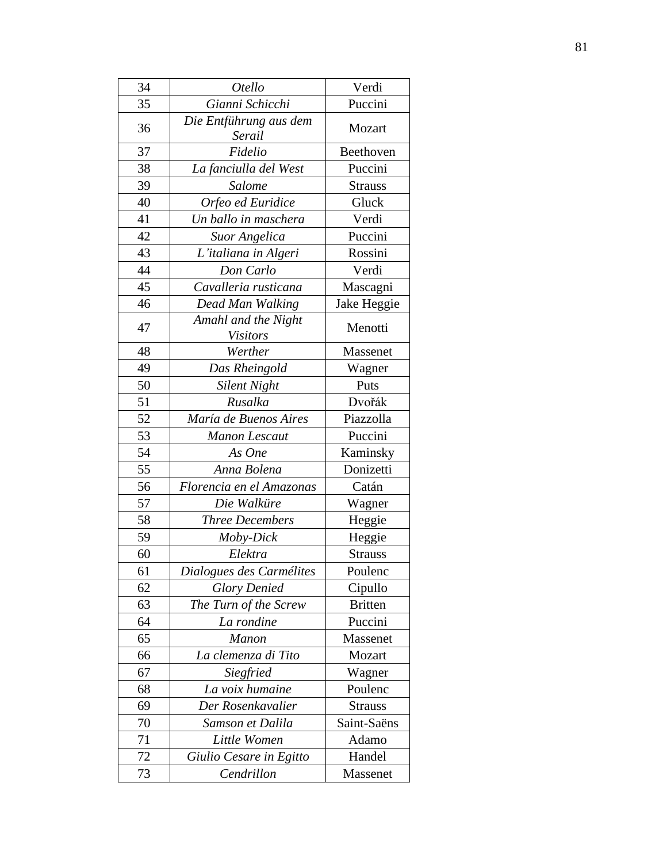| 34 | Otello                                 | Verdi          |
|----|----------------------------------------|----------------|
| 35 | Gianni Schicchi                        | Puccini        |
| 36 | Die Entführung aus dem<br>Serail       | Mozart         |
| 37 | Fidelio                                | Beethoven      |
| 38 | La fanciulla del West                  | Puccini        |
| 39 | Salome                                 | <b>Strauss</b> |
| 40 | Orfeo ed Euridice                      | Gluck          |
| 41 | Un ballo in maschera                   | Verdi          |
| 42 | Suor Angelica                          | Puccini        |
| 43 | L'italiana in Algeri                   | Rossini        |
| 44 | Don Carlo                              | Verdi          |
| 45 | Cavalleria rusticana                   | Mascagni       |
| 46 | Dead Man Walking                       | Jake Heggie    |
| 47 | Amahl and the Night<br><b>Visitors</b> | Menotti        |
| 48 | Werther                                | Massenet       |
| 49 | Das Rheingold                          | Wagner         |
| 50 | <b>Silent Night</b>                    | Puts           |
| 51 | Rusalka                                | Dvořák         |
| 52 | María de Buenos Aires                  | Piazzolla      |
| 53 | <b>Manon Lescaut</b>                   | Puccini        |
| 54 | As One                                 | Kaminsky       |
| 55 | Anna Bolena                            | Donizetti      |
| 56 | Florencia en el Amazonas               | Catán          |
| 57 | Die Walküre                            | Wagner         |
| 58 | <b>Three Decembers</b>                 | Heggie         |
| 59 | Moby-Dick                              | Heggie         |
| 60 | Elektra                                | <b>Strauss</b> |
| 61 | Dialogues des Carmélites               | Poulenc        |
| 62 | <b>Glory Denied</b>                    | Cipullo        |
| 63 | The Turn of the Screw                  | <b>Britten</b> |
| 64 | La rondine                             | Puccini        |
| 65 | <b>Manon</b>                           | Massenet       |
| 66 | La clemenza di Tito                    | Mozart         |
| 67 | Siegfried                              | Wagner         |
| 68 | La voix humaine                        | Poulenc        |
| 69 | Der Rosenkavalier                      | <b>Strauss</b> |
| 70 | Samson et Dalila                       | Saint-Saëns    |
| 71 | Little Women                           | Adamo          |
| 72 | Giulio Cesare in Egitto                | Handel         |
| 73 | Cendrillon                             | Massenet       |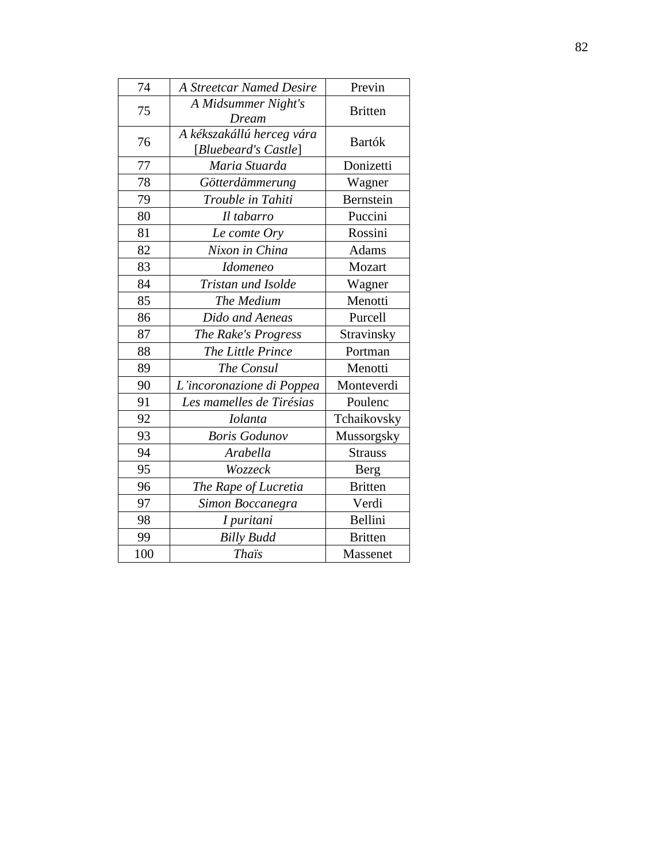| 74  | <b>A Streetcar Named Desire</b>                   | Previn         |
|-----|---------------------------------------------------|----------------|
| 75  | A Midsummer Night's<br>Dream                      | <b>Britten</b> |
| 76  | A kékszakállú herceg vára<br>[Bluebeard's Castle] | Bartók         |
| 77  | Maria Stuarda                                     | Donizetti      |
| 78  | Götterdämmerung                                   | Wagner         |
| 79  | Trouble in Tahiti                                 | Bernstein      |
| 80  | Il tabarro                                        | Puccini        |
| 81  | Le comte Ory                                      | Rossini        |
| 82  | Nixon in China                                    | <b>Adams</b>   |
| 83  | <i>Idomeneo</i>                                   | Mozart         |
| 84  | Tristan und Isolde                                | Wagner         |
| 85  | The Medium                                        | Menotti        |
| 86  | Dido and Aeneas                                   | Purcell        |
| 87  | The Rake's Progress                               | Stravinsky     |
| 88  | The Little Prince                                 | Portman        |
| 89  | The Consul                                        | Menotti        |
| 90  | L'incoronazione di Poppea                         | Monteverdi     |
| 91  | Les mamelles de Tirésias                          | Poulenc        |
| 92  | <b>Iolanta</b>                                    | Tchaikovsky    |
| 93  | <b>Boris Godunov</b>                              | Mussorgsky     |
| 94  | Arabella                                          | <b>Strauss</b> |
| 95  | Wozzeck                                           | Berg           |
| 96  | The Rape of Lucretia                              | <b>Britten</b> |
| 97  | Simon Boccanegra                                  | Verdi          |
| 98  | I puritani                                        | Bellini        |
| 99  | <b>Billy Budd</b>                                 | <b>Britten</b> |
| 100 | <b>Thais</b>                                      | Massenet       |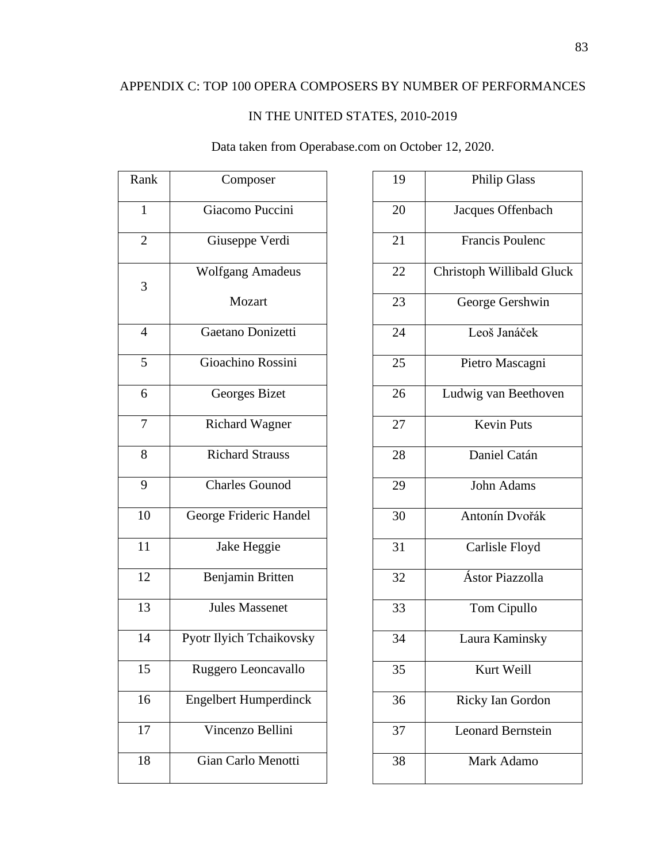# IN THE UNITED STATES, 2010-2019

# Data taken from Operabase.com on October 12, 2020.

| Rank           | Composer                     |
|----------------|------------------------------|
| $\mathbf{1}$   | Giacomo Puccini              |
| $\overline{c}$ | Giuseppe Verdi               |
| 3              | <b>Wolfgang Amadeus</b>      |
|                | Mozart                       |
| $\overline{4}$ | Gaetano Donizetti            |
| 5              | Gioachino Rossini            |
| 6              | Georges Bizet                |
| 7              | <b>Richard Wagner</b>        |
| 8              | <b>Richard Strauss</b>       |
| 9              | <b>Charles Gounod</b>        |
| 10             | George Frideric Handel       |
| 11             | Jake Heggie                  |
| 12             | Benjamin Britten             |
| 13             | <b>Jules Massenet</b>        |
| 14             | Pyotr Ilyich Tchaikovsky     |
| 15             | Ruggero Leoncavallo          |
| 16             | <b>Engelbert Humperdinck</b> |
| 17             | Vincenzo Bellini             |
| 18             | Gian Carlo Menotti           |

| 19 | <b>Philip Glass</b>       |
|----|---------------------------|
| 20 | Jacques Offenbach         |
| 21 | <b>Francis Poulenc</b>    |
| 22 | Christoph Willibald Gluck |
| 23 | George Gershwin           |
| 24 | Leoš Janáček              |
| 25 | Pietro Mascagni           |
| 26 | Ludwig van Beethoven      |
| 27 | <b>Kevin Puts</b>         |
| 28 | Daniel Catán              |
| 29 | <b>John Adams</b>         |
| 30 | Antonín Dvořák            |
| 31 | Carlisle Floyd            |
| 32 | Ástor Piazzolla           |
| 33 | Tom Cipullo               |
| 34 | Laura Kaminsky            |
| 35 | Kurt Weill                |
| 36 | Ricky Ian Gordon          |
| 37 | <b>Leonard Bernstein</b>  |
| 38 | Mark Adamo                |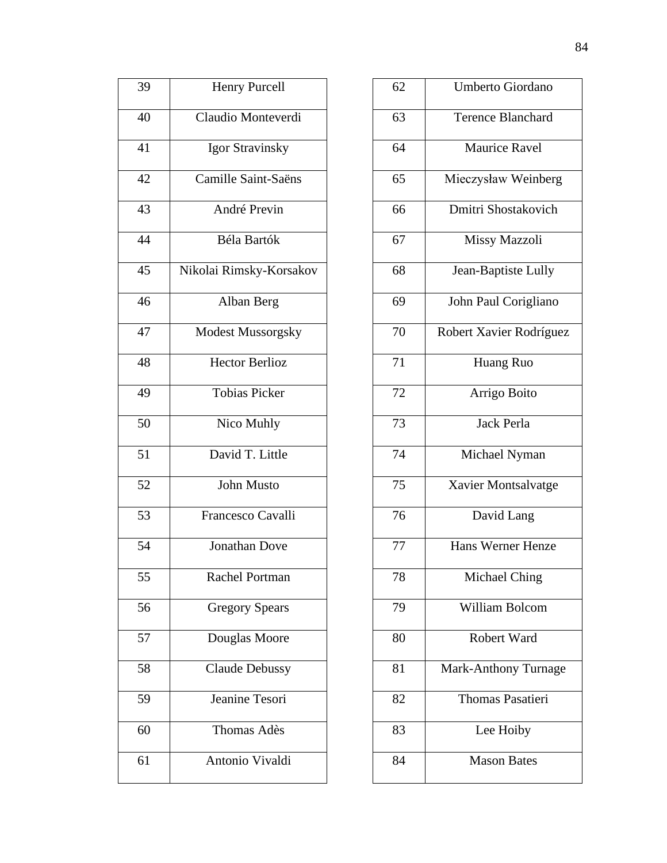| 39 | <b>Henry Purcell</b>     |
|----|--------------------------|
| 40 | Claudio Monteverdi       |
| 41 | Igor Stravinsky          |
| 42 | Camille Saint-Saëns      |
| 43 | André Previn             |
| 44 | <b>Béla Bartók</b>       |
| 45 | Nikolai Rimsky-Korsakov  |
| 46 | Alban Berg               |
| 47 | <b>Modest Mussorgsky</b> |
| 48 | <b>Hector Berlioz</b>    |
| 49 | <b>Tobias Picker</b>     |
| 50 | Nico Muhly               |
| 51 | David T. Little          |
| 52 | <b>John Musto</b>        |
| 53 | Francesco Cavalli        |
| 54 | <b>Jonathan Dove</b>     |
| 55 | <b>Rachel Portman</b>    |
| 56 | <b>Gregory Spears</b>    |
| 57 | Douglas Moore            |
| 58 | <b>Claude Debussy</b>    |
| 59 | Jeanine Tesori           |
| 60 | Thomas Adès              |
| 61 | Antonio Vivaldi          |

| 62 | Umberto Giordano         |
|----|--------------------------|
| 63 | <b>Terence Blanchard</b> |
| 64 | <b>Maurice Ravel</b>     |
| 65 | Mieczysław Weinberg      |
| 66 | Dmitri Shostakovich      |
| 67 | Missy Mazzoli            |
| 68 | Jean-Baptiste Lully      |
| 69 | John Paul Corigliano     |
| 70 | Robert Xavier Rodríguez  |
| 71 | Huang Ruo                |
| 72 | Arrigo Boito             |
| 73 | <b>Jack Perla</b>        |
| 74 | Michael Nyman            |
| 75 | Xavier Montsalvatge      |
| 76 | David Lang               |
| 77 | Hans Werner Henze        |
| 78 | Michael Ching            |
| 79 | <b>William Bolcom</b>    |
| 80 | Robert Ward              |
| 81 | Mark-Anthony Turnage     |
| 82 | <b>Thomas Pasatieri</b>  |
| 83 | Lee Hoiby                |
| 84 | <b>Mason Bates</b>       |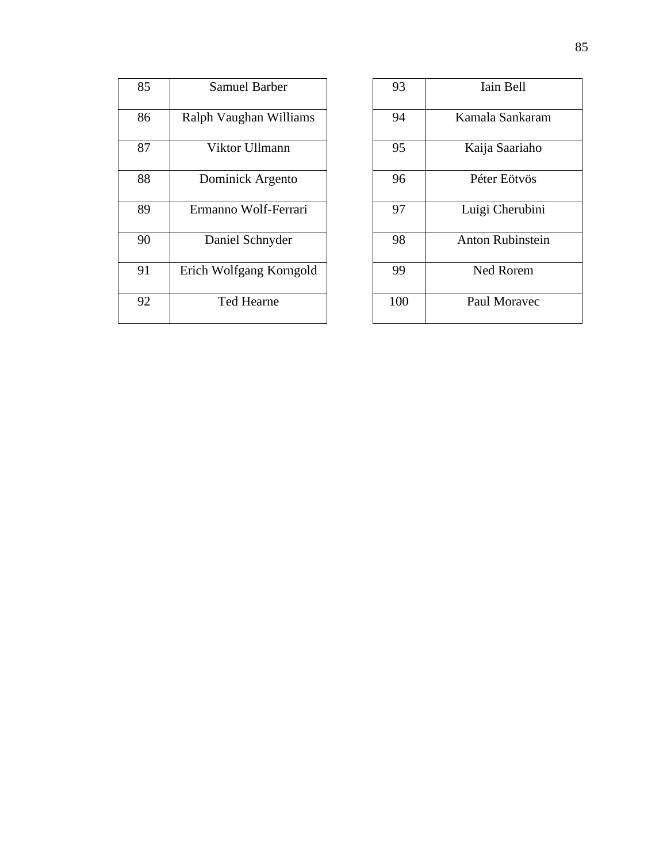| 85 | Samuel Barber           |
|----|-------------------------|
| 86 | Ralph Vaughan Williams  |
| 87 | Viktor Ullmann          |
| 88 | Dominick Argento        |
| 89 | Ermanno Wolf-Ferrari    |
| 90 | Daniel Schnyder         |
| 91 | Erich Wolfgang Korngold |
| 92 | Ted Hearne              |

| 93  | Iain Bell               |
|-----|-------------------------|
| 94  | Kamala Sankaram         |
| 95  | Kaija Saariaho          |
| 96  | Péter Eötvös            |
| 97  | Luigi Cherubini         |
| 98  | <b>Anton Rubinstein</b> |
| 99  | <b>Ned Rorem</b>        |
| 100 | Paul Moravec            |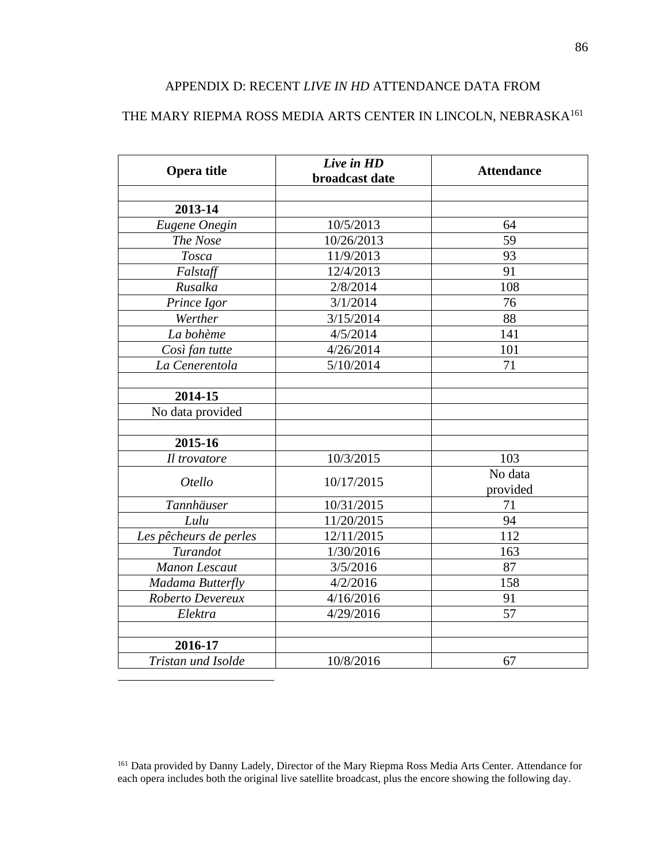### APPENDIX D: RECENT *LIVE IN HD* ATTENDANCE DATA FROM

# THE MARY RIEPMA ROSS MEDIA ARTS CENTER IN LINCOLN,  $\rm NEBRASKA^{161}$

| Live in HD<br>broadcast date | <b>Attendance</b>                                                                                               |
|------------------------------|-----------------------------------------------------------------------------------------------------------------|
|                              |                                                                                                                 |
|                              |                                                                                                                 |
|                              | 64                                                                                                              |
|                              | 59                                                                                                              |
|                              | 93                                                                                                              |
|                              | 91                                                                                                              |
|                              | 108                                                                                                             |
|                              | 76                                                                                                              |
|                              | 88                                                                                                              |
|                              | 141                                                                                                             |
| 4/26/2014                    | 101                                                                                                             |
|                              | 71                                                                                                              |
|                              |                                                                                                                 |
|                              |                                                                                                                 |
|                              |                                                                                                                 |
|                              |                                                                                                                 |
|                              |                                                                                                                 |
| 10/3/2015                    | 103                                                                                                             |
| 10/17/2015                   | No data                                                                                                         |
|                              | provided                                                                                                        |
| 10/31/2015                   | 71                                                                                                              |
| 11/20/2015                   | 94                                                                                                              |
| 12/11/2015                   | 112                                                                                                             |
| 1/30/2016                    | 163                                                                                                             |
| 3/5/2016                     | 87                                                                                                              |
| 4/2/2016                     | 158                                                                                                             |
| 4/16/2016                    | 91                                                                                                              |
| 4/29/2016                    | 57                                                                                                              |
|                              |                                                                                                                 |
|                              |                                                                                                                 |
| 10/8/2016                    | 67                                                                                                              |
|                              | 10/5/2013<br>10/26/2013<br>11/9/2013<br>12/4/2013<br>2/8/2014<br>3/1/2014<br>3/15/2014<br>4/5/2014<br>5/10/2014 |

<sup>&</sup>lt;sup>161</sup> Data provided by Danny Ladely, Director of the Mary Riepma Ross Media Arts Center. Attendance for each opera includes both the original live satellite broadcast, plus the encore showing the following day.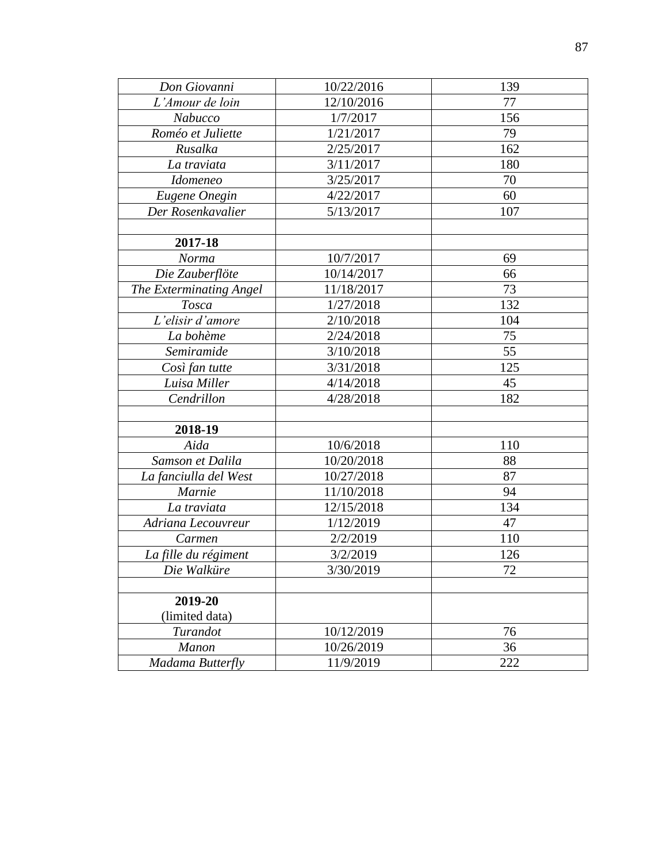| Don Giovanni            | 10/22/2016 | 139 |
|-------------------------|------------|-----|
| L'Amour de loin         | 12/10/2016 | 77  |
| Nabucco                 | 1/7/2017   | 156 |
| Roméo et Juliette       | 1/21/2017  | 79  |
| Rusalka                 | 2/25/2017  | 162 |
| La traviata             | 3/11/2017  | 180 |
| <b>Idomeneo</b>         | 3/25/2017  | 70  |
| Eugene Onegin           | 4/22/2017  | 60  |
| Der Rosenkavalier       | 5/13/2017  | 107 |
|                         |            |     |
| 2017-18                 |            |     |
| Norma                   | 10/7/2017  | 69  |
| Die Zauberflöte         | 10/14/2017 | 66  |
| The Exterminating Angel | 11/18/2017 | 73  |
| <b>Tosca</b>            | 1/27/2018  | 132 |
| L'elisir d'amore        | 2/10/2018  | 104 |
| La bohème               | 2/24/2018  | 75  |
| Semiramide              | 3/10/2018  | 55  |
| Così fan tutte          | 3/31/2018  | 125 |
| Luisa Miller            | 4/14/2018  | 45  |
| Cendrillon              | 4/28/2018  | 182 |
|                         |            |     |
| 2018-19                 |            |     |
| Aida                    | 10/6/2018  | 110 |
| Samson et Dalila        | 10/20/2018 | 88  |
| La fanciulla del West   | 10/27/2018 | 87  |
| Marnie                  | 11/10/2018 | 94  |
| La traviata             | 12/15/2018 | 134 |
| Adriana Lecouvreur      | 1/12/2019  | 47  |
| Carmen                  | 2/2/2019   | 110 |
| La fille du régiment    | 3/2/2019   | 126 |
| Die Walküre             | 3/30/2019  | 72  |
|                         |            |     |
| 2019-20                 |            |     |
| (limited data)          |            |     |
| Turandot                | 10/12/2019 | 76  |
| <b>Manon</b>            | 10/26/2019 | 36  |
| Madama Butterfly        | 11/9/2019  | 222 |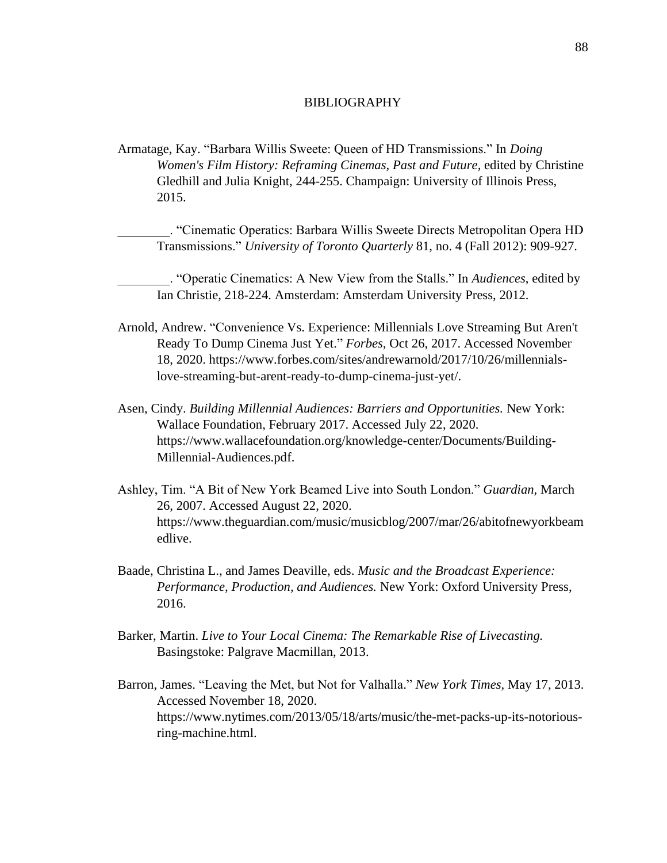#### BIBLIOGRAPHY

Armatage, Kay. "Barbara Willis Sweete: Queen of HD Transmissions." In *Doing Women's Film History: Reframing Cinemas, Past and Future,* edited by Christine Gledhill and Julia Knight, 244-255. Champaign: University of Illinois Press, 2015.

\_\_\_\_\_\_\_\_. "Cinematic Operatics: Barbara Willis Sweete Directs Metropolitan Opera HD Transmissions." *University of Toronto Quarterly* 81, no. 4 (Fall 2012): 909-927.

\_\_\_\_\_\_\_\_. "Operatic Cinematics: A New View from the Stalls." In *Audiences*, edited by Ian Christie, 218-224. Amsterdam: Amsterdam University Press, 2012.

- Arnold, Andrew. "Convenience Vs. Experience: Millennials Love Streaming But Aren't Ready To Dump Cinema Just Yet." *Forbes,* Oct 26, 2017. Accessed November 18, 2020. https://www.forbes.com/sites/andrewarnold/2017/10/26/millennialslove-streaming-but-arent-ready-to-dump-cinema-just-yet/.
- Asen, Cindy. *Building Millennial Audiences: Barriers and Opportunities.* New York: Wallace Foundation, February 2017. Accessed July 22, 2020. https://www.wallacefoundation.org/knowledge-center/Documents/Building-Millennial-Audiences.pdf.
- Ashley, Tim. "A Bit of New York Beamed Live into South London." *Guardian,* March 26, 2007. Accessed August 22, 2020. https://www.theguardian.com/music/musicblog/2007/mar/26/abitofnewyorkbeam edlive.
- Baade, Christina L., and James Deaville, eds. *Music and the Broadcast Experience: Performance, Production, and Audiences.* New York: Oxford University Press, 2016.
- Barker, Martin. *Live to Your Local Cinema: The Remarkable Rise of Livecasting.* Basingstoke: Palgrave Macmillan, 2013.
- Barron, James. "Leaving the Met, but Not for Valhalla." *New York Times,* May 17, 2013. Accessed November 18, 2020. https://www.nytimes.com/2013/05/18/arts/music/the-met-packs-up-its-notoriousring-machine.html.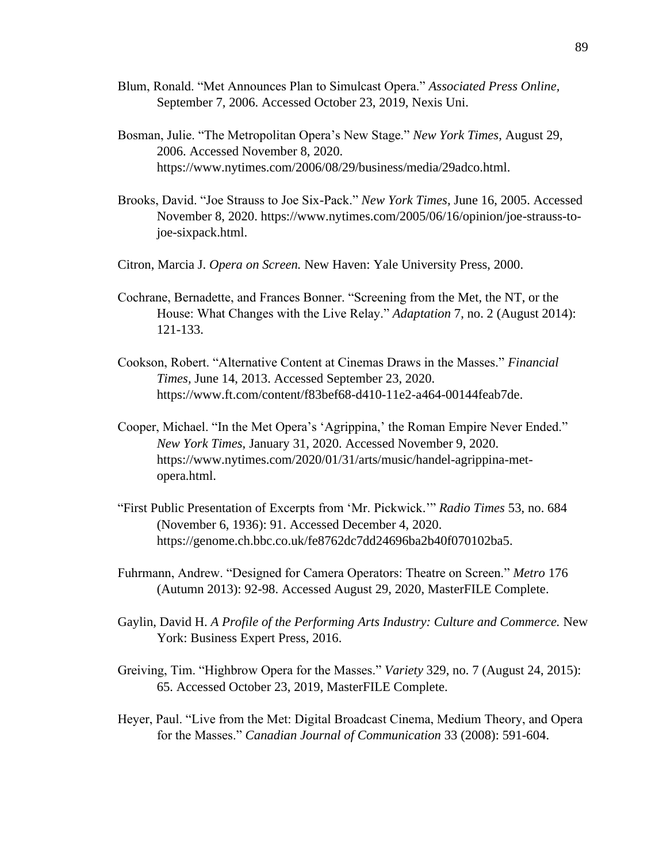- Blum, Ronald. "Met Announces Plan to Simulcast Opera." *Associated Press Online,* September 7, 2006. Accessed October 23, 2019, Nexis Uni.
- Bosman, Julie. "The Metropolitan Opera's New Stage." *New York Times,* August 29, 2006. Accessed November 8, 2020. https://www.nytimes.com/2006/08/29/business/media/29adco.html.
- Brooks, David. "Joe Strauss to Joe Six-Pack." *New York Times,* June 16, 2005. Accessed November 8, 2020. https://www.nytimes.com/2005/06/16/opinion/joe-strauss-tojoe-sixpack.html.
- Citron, Marcia J. *Opera on Screen.* New Haven: Yale University Press, 2000.
- Cochrane, Bernadette, and Frances Bonner. "Screening from the Met, the NT, or the House: What Changes with the Live Relay." *Adaptation* 7, no. 2 (August 2014): 121-133.
- Cookson, Robert. "Alternative Content at Cinemas Draws in the Masses." *Financial Times,* June 14, 2013. Accessed September 23, 2020. https://www.ft.com/content/f83bef68-d410-11e2-a464-00144feab7de.
- Cooper, Michael. "In the Met Opera's 'Agrippina,' the Roman Empire Never Ended." *New York Times,* January 31, 2020. Accessed November 9, 2020. https://www.nytimes.com/2020/01/31/arts/music/handel-agrippina-metopera.html.
- "First Public Presentation of Excerpts from 'Mr. Pickwick.'" *Radio Times* 53, no. 684 (November 6, 1936): 91. Accessed December 4, 2020. https://genome.ch.bbc.co.uk/fe8762dc7dd24696ba2b40f070102ba5.
- Fuhrmann, Andrew. "Designed for Camera Operators: Theatre on Screen." *Metro* 176 (Autumn 2013): 92-98. Accessed August 29, 2020, MasterFILE Complete.
- Gaylin, David H. *A Profile of the Performing Arts Industry: Culture and Commerce.* New York: Business Expert Press, 2016.
- Greiving, Tim. "Highbrow Opera for the Masses." *Variety* 329, no. 7 (August 24, 2015): 65. Accessed October 23, 2019, MasterFILE Complete.
- Heyer, Paul. "Live from the Met: Digital Broadcast Cinema, Medium Theory, and Opera for the Masses." *Canadian Journal of Communication* 33 (2008): 591-604.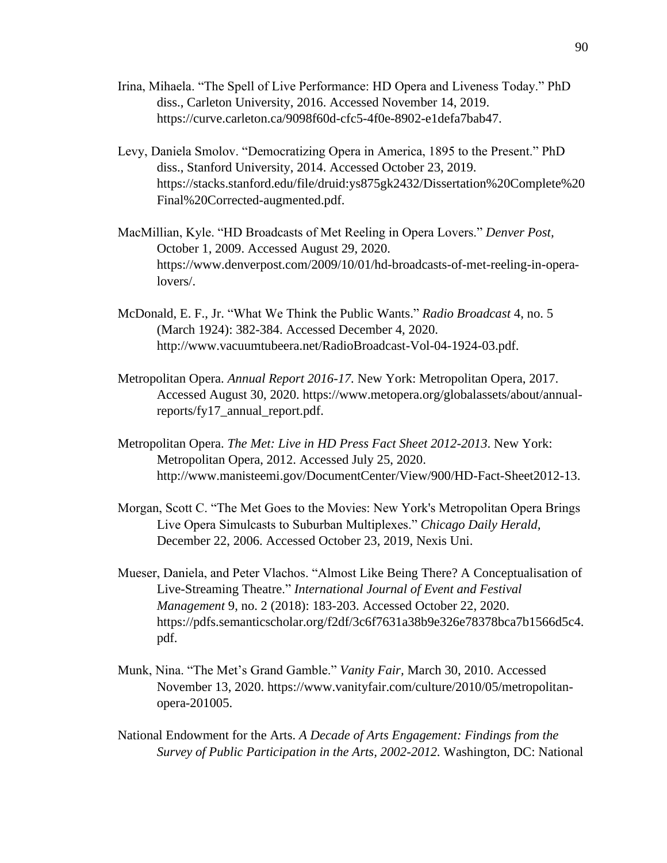- Irina, Mihaela. "The Spell of Live Performance: HD Opera and Liveness Today." PhD diss., Carleton University, 2016. Accessed November 14, 2019. https://curve.carleton.ca/9098f60d-cfc5-4f0e-8902-e1defa7bab47.
- Levy, Daniela Smolov. "Democratizing Opera in America, 1895 to the Present." PhD diss., Stanford University, 2014. Accessed October 23, 2019. https://stacks.stanford.edu/file/druid:ys875gk2432/Dissertation%20Complete%20 Final%20Corrected-augmented.pdf.
- MacMillian, Kyle. "HD Broadcasts of Met Reeling in Opera Lovers." *Denver Post,* October 1, 2009. Accessed August 29, 2020. https://www.denverpost.com/2009/10/01/hd-broadcasts-of-met-reeling-in-operalovers/.
- McDonald, E. F., Jr. "What We Think the Public Wants." *Radio Broadcast* 4, no. 5 (March 1924): 382-384. Accessed December 4, 2020. http://www.vacuumtubeera.net/RadioBroadcast-Vol-04-1924-03.pdf.
- Metropolitan Opera. *Annual Report 2016-17.* New York: Metropolitan Opera, 2017. Accessed August 30, 2020. https://www.metopera.org/globalassets/about/annualreports/fy17\_annual\_report.pdf.
- Metropolitan Opera. *The Met: Live in HD Press Fact Sheet 2012-2013*. New York: Metropolitan Opera, 2012. Accessed July 25, 2020. http://www.manisteemi.gov/DocumentCenter/View/900/HD-Fact-Sheet2012-13.
- Morgan, Scott C. "The Met Goes to the Movies: New York's Metropolitan Opera Brings Live Opera Simulcasts to Suburban Multiplexes." *Chicago Daily Herald,* December 22, 2006. Accessed October 23, 2019, Nexis Uni.
- Mueser, Daniela, and Peter Vlachos. "Almost Like Being There? A Conceptualisation of Live-Streaming Theatre." *International Journal of Event and Festival Management* 9, no. 2 (2018): 183-203. Accessed October 22, 2020. https://pdfs.semanticscholar.org/f2df/3c6f7631a38b9e326e78378bca7b1566d5c4. pdf.
- Munk, Nina. "The Met's Grand Gamble." *Vanity Fair,* March 30, 2010. Accessed November 13, 2020. https://www.vanityfair.com/culture/2010/05/metropolitanopera-201005.
- National Endowment for the Arts. *A Decade of Arts Engagement: Findings from the Survey of Public Participation in the Arts, 2002-2012.* Washington, DC: National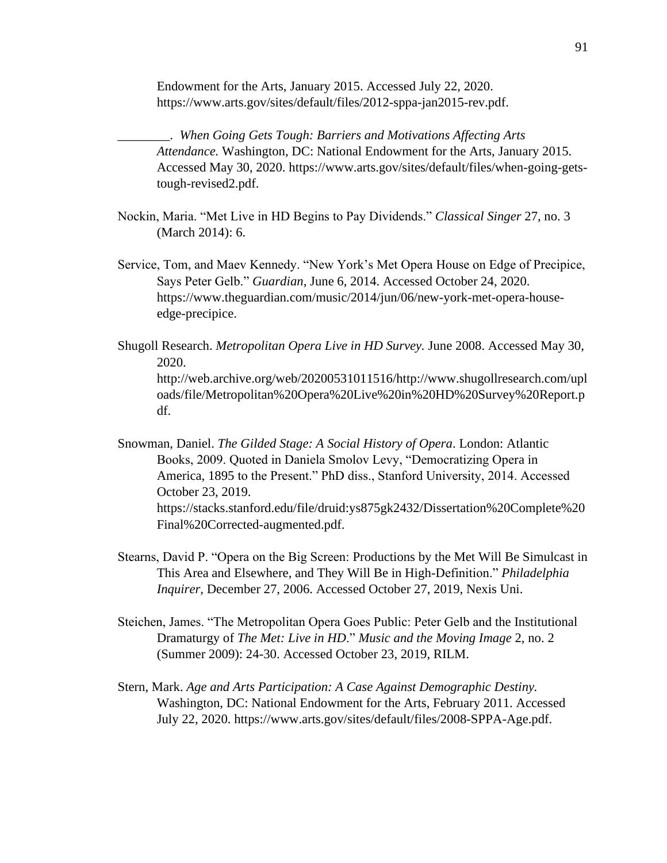Endowment for the Arts, January 2015. Accessed July 22, 2020. https://www.arts.gov/sites/default/files/2012-sppa-jan2015-rev.pdf.

\_\_\_\_\_\_\_\_. *When Going Gets Tough: Barriers and Motivations Affecting Arts Attendance.* Washington, DC: National Endowment for the Arts, January 2015. Accessed May 30, 2020. https://www.arts.gov/sites/default/files/when-going-getstough-revised2.pdf.

- Nockin, Maria. "Met Live in HD Begins to Pay Dividends." *Classical Singer* 27, no. 3 (March 2014): 6.
- Service, Tom, and Maev Kennedy. "New York's Met Opera House on Edge of Precipice, Says Peter Gelb." *Guardian,* June 6, 2014. Accessed October 24, 2020. https://www.theguardian.com/music/2014/jun/06/new-york-met-opera-houseedge-precipice.
- Shugoll Research. *Metropolitan Opera Live in HD Survey.* June 2008. Accessed May 30, 2020. http://web.archive.org/web/20200531011516/http://www.shugollresearch.com/upl oads/file/Metropolitan%20Opera%20Live%20in%20HD%20Survey%20Report.p df.
- Snowman, Daniel. *The Gilded Stage: A Social History of Opera*. London: Atlantic Books, 2009. Quoted in Daniela Smolov Levy, "Democratizing Opera in America, 1895 to the Present." PhD diss., Stanford University, 2014. Accessed October 23, 2019. https://stacks.stanford.edu/file/druid:ys875gk2432/Dissertation%20Complete%20 Final%20Corrected-augmented.pdf.
- Stearns, David P. "Opera on the Big Screen: Productions by the Met Will Be Simulcast in This Area and Elsewhere, and They Will Be in High-Definition." *Philadelphia Inquirer,* December 27, 2006. Accessed October 27, 2019, Nexis Uni.
- Steichen, James. "The Metropolitan Opera Goes Public: Peter Gelb and the Institutional Dramaturgy of *The Met: Live in HD*." *Music and the Moving Image* 2, no. 2 (Summer 2009): 24-30. Accessed October 23, 2019, RILM.
- Stern, Mark. *Age and Arts Participation: A Case Against Demographic Destiny.* Washington, DC: National Endowment for the Arts, February 2011. Accessed July 22, 2020. https://www.arts.gov/sites/default/files/2008-SPPA-Age.pdf.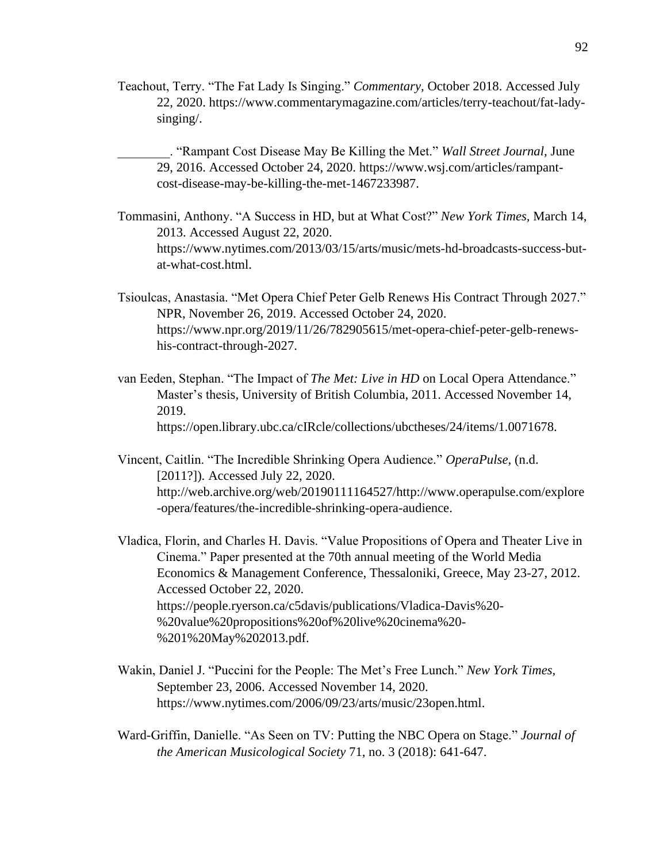Teachout, Terry. "The Fat Lady Is Singing." *Commentary,* October 2018. Accessed July 22, 2020. https://www.commentarymagazine.com/articles/terry-teachout/fat-ladysinging/.

\_\_\_\_\_\_\_\_. "Rampant Cost Disease May Be Killing the Met." *Wall Street Journal,* June 29, 2016. Accessed October 24, 2020. https://www.wsj.com/articles/rampantcost-disease-may-be-killing-the-met-1467233987.

- Tommasini, Anthony. "A Success in HD, but at What Cost?" *New York Times,* March 14, 2013. Accessed August 22, 2020. https://www.nytimes.com/2013/03/15/arts/music/mets-hd-broadcasts-success-butat-what-cost.html.
- Tsioulcas, Anastasia. "Met Opera Chief Peter Gelb Renews His Contract Through 2027." NPR, November 26, 2019. Accessed October 24, 2020. https://www.npr.org/2019/11/26/782905615/met-opera-chief-peter-gelb-renewshis-contract-through-2027.
- van Eeden, Stephan. "The Impact of *The Met: Live in HD* on Local Opera Attendance." Master's thesis, University of British Columbia, 2011. Accessed November 14, 2019. https://open.library.ubc.ca/cIRcle/collections/ubctheses/24/items/1.0071678.
- Vincent, Caitlin. "The Incredible Shrinking Opera Audience." *OperaPulse,* (n.d. [2011?]). Accessed July 22, 2020. http://web.archive.org/web/20190111164527/http://www.operapulse.com/explore -opera/features/the-incredible-shrinking-opera-audience.
- Vladica, Florin, and Charles H. Davis. "Value Propositions of Opera and Theater Live in Cinema." Paper presented at the 70th annual meeting of the World Media Economics & Management Conference, Thessaloniki, Greece, May 23-27, 2012. Accessed October 22, 2020. https://people.ryerson.ca/c5davis/publications/Vladica-Davis%20- %20value%20propositions%20of%20live%20cinema%20- %201%20May%202013.pdf.
- Wakin, Daniel J. "Puccini for the People: The Met's Free Lunch." *New York Times,* September 23, 2006. Accessed November 14, 2020. https://www.nytimes.com/2006/09/23/arts/music/23open.html.
- Ward-Griffin, Danielle. "As Seen on TV: Putting the NBC Opera on Stage." *Journal of the American Musicological Society* 71, no. 3 (2018): 641-647.